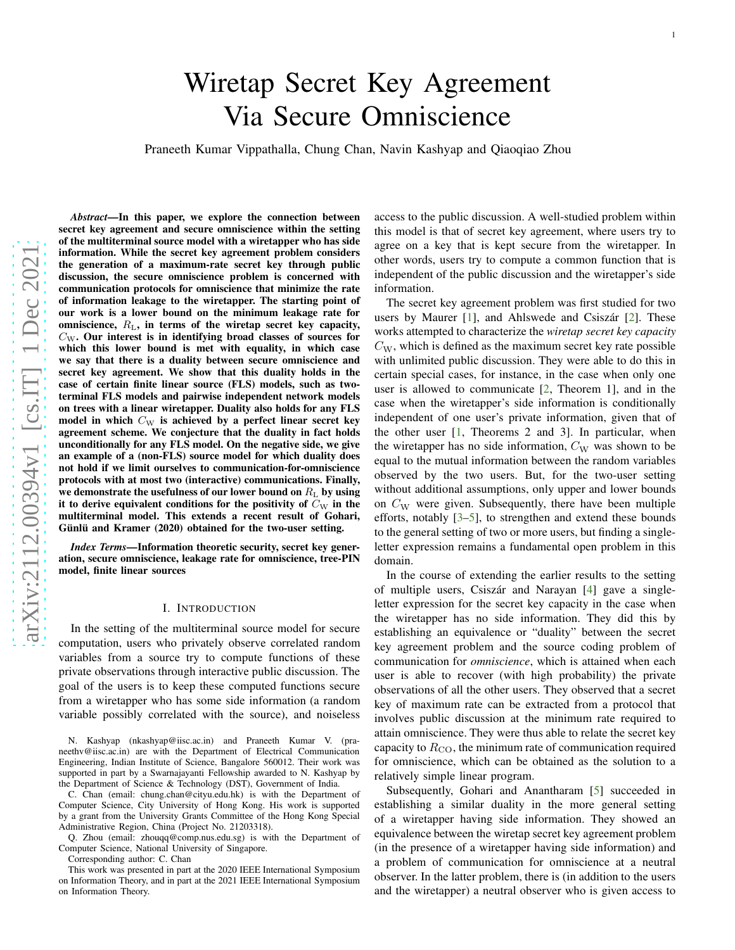# Wiretap Secret Key Agreement Via Secure Omniscience Praneeth Kumar Vippathalla, Chung Chan, Navin Kashyap and Qiaoqiao Zhou

arXiv:2112.00394v1 [cs.IT] 1 Dec 2021 [arXiv:2112.00394v1 \[cs.IT\] 1 Dec 2021](http://arxiv.org/abs/2112.00394v1)

*Abstract*—In this paper, we explore the connection between secret key agreement and secure omniscience within the setting of the multiterminal source model with a wiretapper who has side information. While the secret key agreement problem considers the generation of a maximum-rate secret key through public discussion, the secure omniscience problem is concerned with communication protocols for omniscience that minimize the rate of information leakage to the wiretapper. The starting point of our work is a lower bound on the minimum leakage rate for omniscience,  $R_{\rm L}$ , in terms of the wiretap secret key capacity,  $C_{\text{W}}$ . Our interest is in identifying broad classes of sources for which this lower bound is met with equality, in which case we say that there is a duality between secure omniscience and secret key agreement. We show that this duality holds in the case of certain finite linear source (FLS) models, such as two terminal FLS models and pairwise independent network model s on trees with a linear wiretapper. Duality also holds for any FLS model in which  $C_{\text{W}}$  is achieved by a perfect linear secret key agreement scheme. We conjecture that the duality in fact holds unconditionally for any FLS model. On the negative side, we give an example of a (non-FLS) source model for which duality does not hold if we limit ourselves to communication-for-omniscience protocols with at most two (interactive) communications. Finally, we demonstrate the usefulness of our lower bound on  $R_{\rm L}$  by using it to derive equivalent conditions for the positivity of  $\bar{C}_{\mathrm{W}}$  in the multiterminal model. This extends a recent result of Gohari , Günlü and Kramer (2020) obtained for the two-user setting.

*Index Terms*—Information theoretic security, secret key generation, secure omniscience, leakage rate for omniscience, tree-PIN model, finite linear sources

## I. INTRODUCTION

In the setting of the multiterminal source model for secure computation, users who privately observe correlated rando m variables from a source try to compute functions of these private observations through interactive public discussion. The goal of the users is to keep these computed functions secure from a wiretapper who has some side information (a random variable possibly correlated with the source), and noiseless

N. Kashyap (nkashyap@iisc.ac.in) and Praneeth Kumar V. (praneethv@iisc.ac.in) are with the Department of Electrical Communication Engineering, Indian Institute of Science, Bangalore 560012. Their work was supported in part by a Swarnajayanti Fellowship awarded to N. Kashyap by the Department of Science & Technology (DST), Government of India.

C. Chan (email: chung.chan@cityu.edu.hk) is with the Department of Computer Science, City University of Hong Kong. His work is supported by a grant from the University Grants Committee of the Hong Kong Special Administrative Region, China (Project No. 21203318).

Q. Zhou (email: zhouqq@comp.nus.edu.sg) is with the Department of Computer Science, National University of Singapore.

Corresponding author: C. Chan

This work was presented in part at the 2020 IEEE International Symposium on Information Theory, and in part at the 2021 IEEE International Symposium on Information Theory.

access to the public discussion. A well-studied problem within this model is that of secret key agreement, where users try to agree on a key that is kept secure from the wiretapper. In other words, users try to compute a common function that is independent of the public discussion and the wiretapper's side information.

The secret key agreement problem was first studied for two users by Maurer [[1\]](#page-22-0), and Ahlswede and Csiszár [[2\]](#page-22-1). These works attempted to characterize the *wiretap secret key capacity*  $C_{\rm W}$ , which is defined as the maximum secret key rate possible with unlimited public discussion. They were able to do this i n certain special cases, for instance, in the case when only on e user is allowed to communicate [ [2,](#page-22-1) Theorem 1], and in the case when the wiretapper's side information is conditionally independent of one user's private information, given that o f the other user [ [1,](#page-22-0) Theorems 2 and 3]. In particular, when the wiretapper has no side information,  $C_{\rm W}$  was shown to be equal to the mutual information between the random variable s observed by the two users. But, for the two-user setting without additional assumptions, only upper and lower bounds on  $C_{\rm W}$  were given. Subsequently, there have been multiple efforts, notably [ [3](#page-22-2) – [5\]](#page-22-3), to strengthen and extend these bounds to the general setting of two or more users, but finding a singleletter expression remains a fundamental open problem in this domain.

In the course of extending the earlier results to the setting of multiple users, Csiszár and Narayan [[4\]](#page-22-4) gave a singleletter expression for the secret key capacity in the case when the wiretapper has no side information. They did this by establishing an equivalence or "duality" between the secret key agreement problem and the source coding problem of communication for *omniscience*, which is attained when each user is able to recover (with high probability) the private observations of all the other users. They observed that a secret key of maximum rate can be extracted from a protocol that involves public discussion at the minimum rate required to attain omniscience. They were thus able to relate the secret key capacity to  $R_{\rm CO}$ , the minimum rate of communication required for omniscience, which can be obtained as the solution to a relatively simple linear program.

Subsequently, Gohari and Anantharam [ [5\]](#page-22-3) succeeded in establishing a similar duality in the more general setting of a wiretapper having side information. They showed an equivalence between the wiretap secret key agreement problem (in the presence of a wiretapper having side information) an d a problem of communication for omniscience at a neutral observer. In the latter problem, there is (in addition to the users and the wiretapper) a neutral observer who is given access to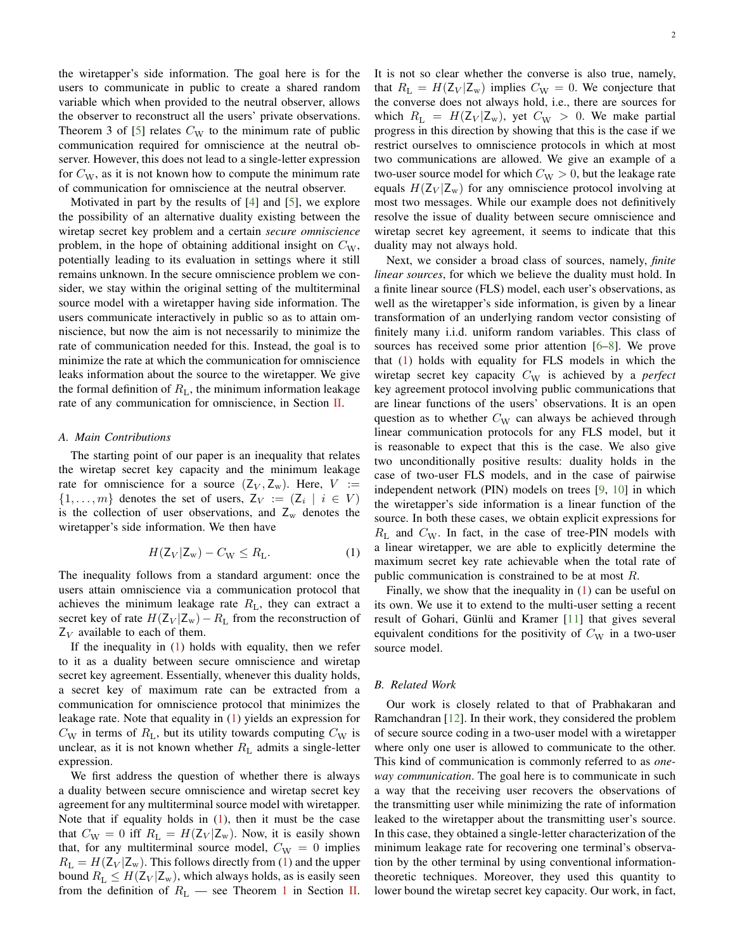the wiretapper's side information. The goal here is for the users to communicate in public to create a shared random variable which when provided to the neutral observer, allows the observer to reconstruct all the users' private observations. Theorem 3 of [\[5\]](#page-22-3) relates  $C_W$  to the minimum rate of public communication required for omniscience at the neutral observer. However, this does not lead to a single-letter expression for  $C_{\rm W}$ , as it is not known how to compute the minimum rate of communication for omniscience at the neutral observer.

Motivated in part by the results of [\[4\]](#page-22-4) and [\[5\]](#page-22-3), we explore the possibility of an alternative duality existing between the wiretap secret key problem and a certain *secure omniscience* problem, in the hope of obtaining additional insight on  $C_{W}$ , potentially leading to its evaluation in settings where it still remains unknown. In the secure omniscience problem we consider, we stay within the original setting of the multiterminal source model with a wiretapper having side information. The users communicate interactively in public so as to attain omniscience, but now the aim is not necessarily to minimize the rate of communication needed for this. Instead, the goal is to minimize the rate at which the communication for omniscience leaks information about the source to the wiretapper. We give the formal definition of  $R<sub>L</sub>$ , the minimum information leakage rate of any communication for omniscience, in Section [II.](#page-3-0)

## *A. Main Contributions*

The starting point of our paper is an inequality that relates the wiretap secret key capacity and the minimum leakage rate for omniscience for a source  $(Z_V, Z_w)$ . Here,  $V :=$  $\{1, \ldots, m\}$  denotes the set of users,  $Z_V := (Z_i \mid i \in V)$ is the collection of user observations, and  $Z_w$  denotes the wiretapper's side information. We then have

$$
H(\mathsf{Z}_V|\mathsf{Z}_w) - C_{\mathsf{W}} \le R_{\mathsf{L}}.\tag{1}
$$

The inequality follows from a standard argument: once the users attain omniscience via a communication protocol that achieves the minimum leakage rate  $R_L$ , they can extract a secret key of rate  $H(Z_V | Z_w) - R_L$  from the reconstruction of  $Z_V$  available to each of them.

If the inequality in  $(1)$  holds with equality, then we refer to it as a duality between secure omniscience and wiretap secret key agreement. Essentially, whenever this duality holds, a secret key of maximum rate can be extracted from a communication for omniscience protocol that minimizes the leakage rate. Note that equality in [\(1\)](#page-1-0) yields an expression for  $C_{\rm W}$  in terms of  $R_{\rm L}$ , but its utility towards computing  $C_{\rm W}$  is unclear, as it is not known whether  $R<sub>L</sub>$  admits a single-letter expression.

We first address the question of whether there is always a duality between secure omniscience and wiretap secret key agreement for any multiterminal source model with wiretapper. Note that if equality holds in  $(1)$ , then it must be the case that  $C_{\text{W}} = 0$  iff  $R_{\text{L}} = H(\text{Z}_{V} | \text{Z}_{w})$ . Now, it is easily shown that, for any multiterminal source model,  $C_{\rm W} = 0$  implies  $R_{\rm L} = H(\rm Z_V | \rm Z_w)$ . This follows directly from [\(1\)](#page-1-0) and the upper bound  $R_L \leq H(Z_V | Z_w)$ , which always holds, as is easily seen from the definition of  $R_L$  — see Theorem [1](#page-4-0) in Section [II.](#page-3-0) It is not so clear whether the converse is also true, namely, that  $R_{\rm L} = H(Z_V | Z_w)$  implies  $C_{\rm W} = 0$ . We conjecture that the converse does not always hold, i.e., there are sources for which  $R_{\rm L} = H(\rm Z_V | \rm Z_w)$ , yet  $C_{\rm W} > 0$ . We make partial progress in this direction by showing that this is the case if we restrict ourselves to omniscience protocols in which at most two communications are allowed. We give an example of a two-user source model for which  $C_{\rm W} > 0$ , but the leakage rate equals  $H(\mathsf{Z}_V | \mathsf{Z}_w)$  for any omniscience protocol involving at most two messages. While our example does not definitively resolve the issue of duality between secure omniscience and wiretap secret key agreement, it seems to indicate that this duality may not always hold.

Next, we consider a broad class of sources, namely, *finite linear sources*, for which we believe the duality must hold. In a finite linear source (FLS) model, each user's observations, as well as the wiretapper's side information, is given by a linear transformation of an underlying random vector consisting of finitely many i.i.d. uniform random variables. This class of sources has received some prior attention [\[6](#page-22-5)[–8\]](#page-22-6). We prove that [\(1\)](#page-1-0) holds with equality for FLS models in which the wiretap secret key capacity  $C_W$  is achieved by a *perfect* key agreement protocol involving public communications that are linear functions of the users' observations. It is an open question as to whether  $C_W$  can always be achieved through linear communication protocols for any FLS model, but it is reasonable to expect that this is the case. We also give two unconditionally positive results: duality holds in the case of two-user FLS models, and in the case of pairwise independent network (PIN) models on trees [\[9](#page-22-7), [10](#page-22-8)] in which the wiretapper's side information is a linear function of the source. In both these cases, we obtain explicit expressions for  $R_{\rm L}$  and  $C_{\rm W}$ . In fact, in the case of tree-PIN models with a linear wiretapper, we are able to explicitly determine the maximum secret key rate achievable when the total rate of public communication is constrained to be at most R.

<span id="page-1-0"></span>Finally, we show that the inequality in [\(1\)](#page-1-0) can be useful on its own. We use it to extend to the multi-user setting a recent result of Gohari, Günlü and Kramer  $[11]$  that gives several equivalent conditions for the positivity of  $C_W$  in a two-user source model.

## *B. Related Work*

Our work is closely related to that of Prabhakaran and Ramchandran [\[12](#page-22-10)]. In their work, they considered the problem of secure source coding in a two-user model with a wiretapper where only one user is allowed to communicate to the other. This kind of communication is commonly referred to as *oneway communication*. The goal here is to communicate in such a way that the receiving user recovers the observations of the transmitting user while minimizing the rate of information leaked to the wiretapper about the transmitting user's source. In this case, they obtained a single-letter characterization of the minimum leakage rate for recovering one terminal's observation by the other terminal by using conventional informationtheoretic techniques. Moreover, they used this quantity to lower bound the wiretap secret key capacity. Our work, in fact,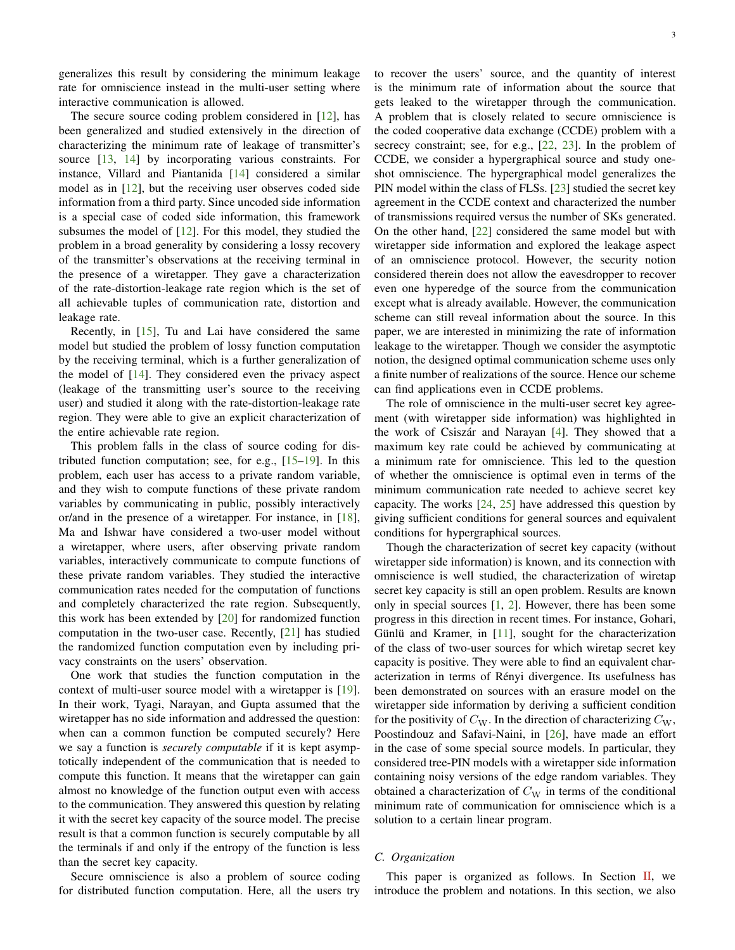generalizes this result by considering the minimum leakage rate for omniscience instead in the multi-user setting where interactive communication is allowed.

The secure source coding problem considered in [\[12](#page-22-10)], has been generalized and studied extensively in the direction of characterizing the minimum rate of leakage of transmitter's source [\[13,](#page-22-11) [14](#page-22-12)] by incorporating various constraints. For instance, Villard and Piantanida [\[14](#page-22-12)] considered a similar model as in [\[12\]](#page-22-10), but the receiving user observes coded side information from a third party. Since uncoded side information is a special case of coded side information, this framework subsumes the model of [\[12](#page-22-10)]. For this model, they studied the problem in a broad generality by considering a lossy recovery of the transmitter's observations at the receiving terminal in the presence of a wiretapper. They gave a characterization of the rate-distortion-leakage rate region which is the set of all achievable tuples of communication rate, distortion and leakage rate.

Recently, in [\[15](#page-22-13)], Tu and Lai have considered the same model but studied the problem of lossy function computation by the receiving terminal, which is a further generalization of the model of [\[14\]](#page-22-12). They considered even the privacy aspect (leakage of the transmitting user's source to the receiving user) and studied it along with the rate-distortion-leakage rate region. They were able to give an explicit characterization of the entire achievable rate region.

This problem falls in the class of source coding for distributed function computation; see, for e.g., [\[15](#page-22-13)[–19](#page-22-14)]. In this problem, each user has access to a private random variable, and they wish to compute functions of these private random variables by communicating in public, possibly interactively or/and in the presence of a wiretapper. For instance, in [\[18](#page-22-15)], Ma and Ishwar have considered a two-user model without a wiretapper, where users, after observing private random variables, interactively communicate to compute functions of these private random variables. They studied the interactive communication rates needed for the computation of functions and completely characterized the rate region. Subsequently, this work has been extended by [\[20\]](#page-22-16) for randomized function computation in the two-user case. Recently, [\[21\]](#page-22-17) has studied the randomized function computation even by including privacy constraints on the users' observation.

One work that studies the function computation in the context of multi-user source model with a wiretapper is [\[19](#page-22-14)]. In their work, Tyagi, Narayan, and Gupta assumed that the wiretapper has no side information and addressed the question: when can a common function be computed securely? Here we say a function is *securely computable* if it is kept asymptotically independent of the communication that is needed to compute this function. It means that the wiretapper can gain almost no knowledge of the function output even with access to the communication. They answered this question by relating it with the secret key capacity of the source model. The precise result is that a common function is securely computable by all the terminals if and only if the entropy of the function is less than the secret key capacity.

Secure omniscience is also a problem of source coding for distributed function computation. Here, all the users try to recover the users' source, and the quantity of interest is the minimum rate of information about the source that gets leaked to the wiretapper through the communication. A problem that is closely related to secure omniscience is the coded cooperative data exchange (CCDE) problem with a secrecy constraint; see, for e.g., [\[22,](#page-22-18) [23\]](#page-22-19). In the problem of CCDE, we consider a hypergraphical source and study oneshot omniscience. The hypergraphical model generalizes the PIN model within the class of FLSs. [\[23\]](#page-22-19) studied the secret key agreement in the CCDE context and characterized the number of transmissions required versus the number of SKs generated. On the other hand, [\[22\]](#page-22-18) considered the same model but with wiretapper side information and explored the leakage aspect of an omniscience protocol. However, the security notion considered therein does not allow the eavesdropper to recover even one hyperedge of the source from the communication except what is already available. However, the communication scheme can still reveal information about the source. In this paper, we are interested in minimizing the rate of information leakage to the wiretapper. Though we consider the asymptotic notion, the designed optimal communication scheme uses only a finite number of realizations of the source. Hence our scheme can find applications even in CCDE problems.

The role of omniscience in the multi-user secret key agreement (with wiretapper side information) was highlighted in the work of Csiszár and Narayan  $[4]$ . They showed that a maximum key rate could be achieved by communicating at a minimum rate for omniscience. This led to the question of whether the omniscience is optimal even in terms of the minimum communication rate needed to achieve secret key capacity. The works [\[24,](#page-22-20) [25\]](#page-22-21) have addressed this question by giving sufficient conditions for general sources and equivalent conditions for hypergraphical sources.

Though the characterization of secret key capacity (without wiretapper side information) is known, and its connection with omniscience is well studied, the characterization of wiretap secret key capacity is still an open problem. Results are known only in special sources [\[1,](#page-22-0) [2\]](#page-22-1). However, there has been some progress in this direction in recent times. For instance, Gohari, Günlü and Kramer, in  $[11]$ , sought for the characterization of the class of two-user sources for which wiretap secret key capacity is positive. They were able to find an equivalent characterization in terms of Rényi divergence. Its usefulness has been demonstrated on sources with an erasure model on the wiretapper side information by deriving a sufficient condition for the positivity of  $C_W$ . In the direction of characterizing  $C_W$ , Poostindouz and Safavi-Naini, in [\[26\]](#page-22-22), have made an effort in the case of some special source models. In particular, they considered tree-PIN models with a wiretapper side information containing noisy versions of the edge random variables. They obtained a characterization of  $C_W$  in terms of the conditional minimum rate of communication for omniscience which is a solution to a certain linear program.

# *C. Organization*

This paper is organized as follows. In Section [II,](#page-3-0) we introduce the problem and notations. In this section, we also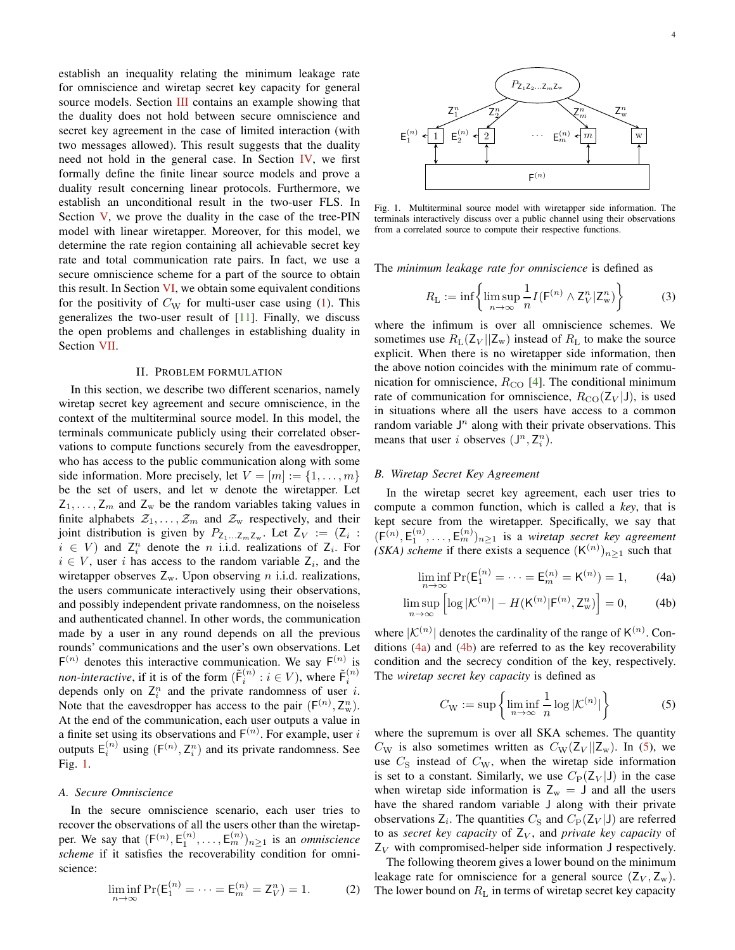establish an inequality relating the minimum leakage rate for omniscience and wiretap secret key capacity for general source models. Section [III](#page-4-1) contains an example showing that the duality does not hold between secure omniscience and secret key agreement in the case of limited interaction (with two messages allowed). This result suggests that the duality need not hold in the general case. In Section [IV,](#page-6-0) we first formally define the finite linear source models and prove a duality result concerning linear protocols. Furthermore, we establish an unconditional result in the two-user FLS. In Section [V,](#page-7-0) we prove the duality in the case of the tree-PIN model with linear wiretapper. Moreover, for this model, we determine the rate region containing all achievable secret key rate and total communication rate pairs. In fact, we use a secure omniscience scheme for a part of the source to obtain this result. In Section  $VI$ , we obtain some equivalent conditions for the positivity of  $C_W$  for multi-user case using [\(1\)](#page-1-0). This generalizes the two-user result of [\[11](#page-22-9)]. Finally, we discuss the open problems and challenges in establishing duality in Section [VII.](#page-10-0)

#### II. PROBLEM FORMULATION

<span id="page-3-0"></span>In this section, we describe two different scenarios, namely wiretap secret key agreement and secure omniscience, in the context of the multiterminal source model. In this model, the terminals communicate publicly using their correlated observations to compute functions securely from the eavesdropper, who has access to the public communication along with some side information. More precisely, let  $V = [m] := \{1, \ldots, m\}$ be the set of users, and let w denote the wiretapper. Let  $Z_1, \ldots, Z_m$  and  $Z_w$  be the random variables taking values in finite alphabets  $\mathcal{Z}_1, \ldots, \mathcal{Z}_m$  and  $\mathcal{Z}_w$  respectively, and their joint distribution is given by  $P_{\mathsf{Z}_1...\mathsf{Z}_m\mathsf{Z}_w}$ . Let  $\mathsf{Z}_V := (\mathsf{Z}_i :$  $i \in V$  and  $Z_i^n$  denote the *n* i.i.d. realizations of  $Z_i$ . For  $i \in V$ , user i has access to the random variable  $Z_i$ , and the wiretapper observes  $Z_w$ . Upon observing *n* i.i.d. realizations, the users communicate interactively using their observations, and possibly independent private randomness, on the noiseless and authenticated channel. In other words, the communication made by a user in any round depends on all the previous rounds' communications and the user's own observations. Let  $F^{(n)}$  denotes this interactive communication. We say  $F^{(n)}$  is *non-interactive*, if it is of the form  $(\tilde{F}_i^{(n)} : i \in V)$ , where  $\tilde{F}_i^{(n)}$ depends only on  $Z_i^n$  and the private randomness of user i. Note that the eavesdropper has access to the pair  $(F^{(n)}, Z_w^n)$ . At the end of the communication, each user outputs a value in a finite set using its observations and  $F^{(n)}$ . For example, user i outputs  $E_i^{(n)}$  using  $(F^{(n)}, Z_i^n)$  and its private randomness. See Fig. [1.](#page-3-1)

## *A. Secure Omniscience*

In the secure omniscience scenario, each user tries to recover the observations of all the users other than the wiretapper. We say that  $(F^{(n)}, E_1^{(n)}, \ldots, E_m^{(n)})_{n \geq 1}$  is an *omniscience scheme* if it satisfies the recoverability condition for omniscience:

$$
\liminf_{n \to \infty} \Pr(E_1^{(n)} = \dots = E_m^{(n)} = Z_V^n) = 1.
$$
 (2)



<span id="page-3-1"></span>Fig. 1. Multiterminal source model with wiretapper side information. The terminals interactively discuss over a public channel using their observations from a correlated source to compute their respective functions.

The *minimum leakage rate for omniscience* is defined as

<span id="page-3-5"></span>
$$
R_{\rm L} := \inf \left\{ \limsup_{n \to \infty} \frac{1}{n} I(F^{(n)} \wedge Z_V^n | Z_w^n) \right\} \tag{3}
$$

where the infimum is over all omniscience schemes. We sometimes use  $R_L(Z_V || Z_w)$  instead of  $R_L$  to make the source explicit. When there is no wiretapper side information, then the above notion coincides with the minimum rate of communication for omniscience,  $R_{CO}$  [\[4\]](#page-22-4). The conditional minimum rate of communication for omniscience,  $R_{\text{CO}}(Z_V | J)$ , is used in situations where all the users have access to a common random variable  $J<sup>n</sup>$  along with their private observations. This means that user *i* observes  $(J^n, Z_i^n)$ .

#### *B. Wiretap Secret Key Agreement*

In the wiretap secret key agreement, each user tries to compute a common function, which is called a *key*, that is kept secure from the wiretapper. Specifically, we say that  $(F^{(n)}, E_1^{(n)}, \ldots, E_m^{(n)})_{n \geq 1}$  is a *wiretap secret key agreement (SKA) scheme* if there exists a sequence  $(K^{(n)})_{n\geq 1}$  such that

<span id="page-3-3"></span><span id="page-3-2"></span>
$$
\liminf_{n \to \infty} \Pr(E_1^{(n)} = \dots = E_m^{(n)} = K^{(n)}) = 1,
$$
 (4a)

$$
\limsup_{n \to \infty} \left[ \log |\mathcal{K}^{(n)}| - H(\mathsf{K}^{(n)} | \mathsf{F}^{(n)}, \mathsf{Z}_{\mathsf{w}}^n) \right] = 0,\tag{4b}
$$

where  $|K^{(n)}|$  denotes the cardinality of the range of  $K^{(n)}$ . Conditions  $(4a)$  and  $(4b)$  are referred to as the key recoverability condition and the secrecy condition of the key, respectively. The *wiretap secret key capacity* is defined as

<span id="page-3-4"></span>
$$
C_{\mathcal{W}} := \sup \left\{ \liminf_{n \to \infty} \frac{1}{n} \log |\mathcal{K}^{(n)}| \right\} \tag{5}
$$

where the supremum is over all SKA schemes. The quantity  $C_{\text{W}}$  is also sometimes written as  $C_{\text{W}}(Z_V || Z_{\text{W}})$ . In [\(5\)](#page-3-4), we use  $C_{\rm S}$  instead of  $C_{\rm W}$ , when the wiretap side information is set to a constant. Similarly, we use  $C_{\rm P}(Z_V | J)$  in the case when wiretap side information is  $Z_w = J$  and all the users have the shared random variable J along with their private observations  $Z_i$ . The quantities  $C_S$  and  $C_P(Z_V|J)$  are referred to as *secret key capacity* of  $Z_V$ , and *private key capacity* of  $Z_V$  with compromised-helper side information J respectively.

The following theorem gives a lower bound on the minimum leakage rate for omniscience for a general source  $(Z_V, Z_w)$ . The lower bound on  $R_L$  in terms of wiretap secret key capacity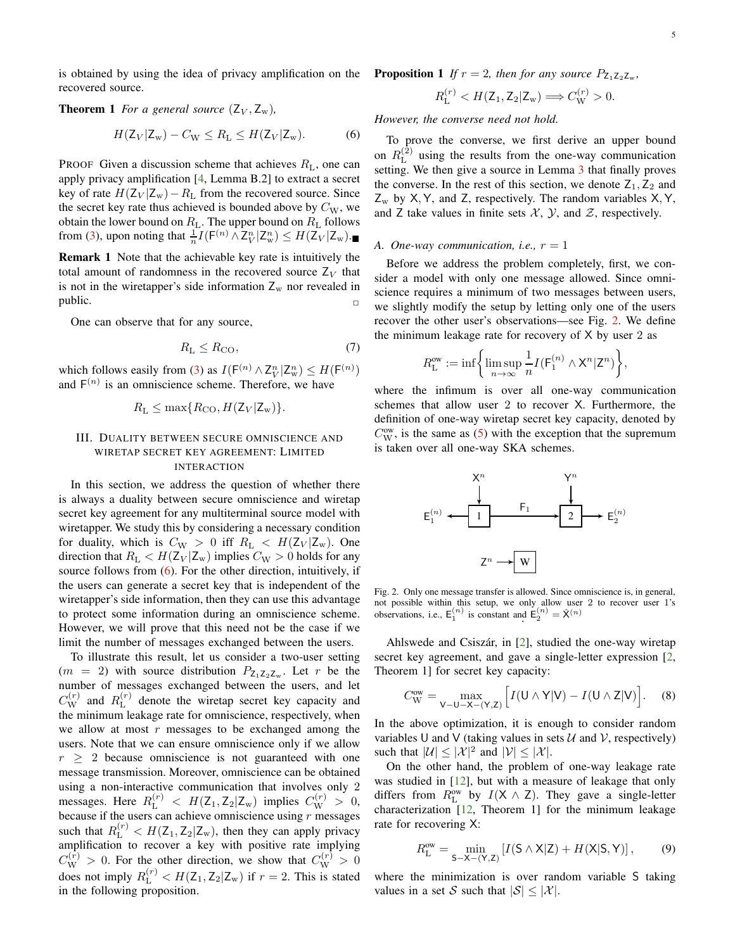<span id="page-4-0"></span>is obtained by using the idea of privacy amplification on the recovered source.

## **Theorem 1** *For a general source*  $(Z_V, Z_w)$ *,*

$$
H(\mathsf{Z}_V|\mathsf{Z}_w) - C_W \le R_L \le H(\mathsf{Z}_V|\mathsf{Z}_w). \tag{6}
$$

PROOF Given a discussion scheme that achieves  $R_L$ , one can apply privacy amplification [\[4,](#page-22-4) Lemma B.2] to extract a secret key of rate  $H(Z_V | Z_w) - R_L$  from the recovered source. Since the secret key rate thus achieved is bounded above by  $C_{W}$ , we obtain the lower bound on  $R_{\rm L}$ . The upper bound on  $R_{\rm L}$  follows from [\(3\)](#page-3-5), upon noting that  $\frac{1}{n}I(F^{(n)} \wedge Z_V^n | Z_w^n) \leq H(Z_V | Z_w)$ .

Remark 1 Note that the achievable key rate is intuitively the total amount of randomness in the recovered source  $Z_V$  that is not in the wiretapper's side information  $Z_w$  nor revealed in public.  $\Box$ 

One can observe that for any source,

$$
R_{\rm L} \le R_{\rm CO},\tag{7}
$$

which follows easily from [\(3\)](#page-3-5) as  $I(F^{(n)} \wedge Z_V^n | Z_w^n) \leq H(F^{(n)})$ and  $F^{(n)}$  is an omniscience scheme. Therefore, we have

$$
R_{\rm L} \leq \max\{R_{\rm CO}, H(\rm Z_V|\rm Z_w)\}.
$$

## <span id="page-4-1"></span>III. DUALITY BETWEEN SECURE OMNISCIENCE AND WIRETAP SECRET KEY AGREEMENT: LIMITED INTERACTION

In this section, we address the question of whether there is always a duality between secure omniscience and wiretap secret key agreement for any multiterminal source model with wiretapper. We study this by considering a necessary condition for duality, which is  $C_{\text{W}} > 0$  iff  $R_{\text{L}} < H(\text{Z}_{V} | \text{Z}_{w})$ . One direction that  $R_L < H(Z_V | Z_w)$  implies  $C_W > 0$  holds for any source follows from  $(6)$ . For the other direction, intuitively, if the users can generate a secret key that is independent of the wiretapper's side information, then they can use this advantage to protect some information during an omniscience scheme. However, we will prove that this need not be the case if we limit the number of messages exchanged between the users.

<span id="page-4-6"></span>To illustrate this result, let us consider a two-user setting  $(m = 2)$  with source distribution  $P_{Z_1Z_2Z_w}$ . Let r be the number of messages exchanged between the users, and let  $C_{\rm W}^{(r)}$  and  $R_{\rm L}^{(r)}$  $L_{\text{L}}^{(r)}$  denote the wiretap secret key capacity and the minimum leakage rate for omniscience, respectively, when we allow at most  $r$  messages to be exchanged among the users. Note that we can ensure omniscience only if we allow  $r \geq 2$  because omniscience is not guaranteed with one message transmission. Moreover, omniscience can be obtained using a non-interactive communication that involves only 2 messages. Here  $R_{\rm L}^{(r)} < H(\rm Z_1, \rm Z_2 | \rm Z_w)$  implies  $C_{\rm W}^{(r)} > 0$ , because if the users can achieve omniscience using  $r$  messages such that  $R_{\text{L}}^{(r)} < H(\text{Z}_1, \text{Z}_2 | \text{Z}_w)$ , then they can apply privacy amplification to recover a key with positive rate implying  $C_{\rm W}^{(\bar{r})} > 0$ . For the other direction, we show that  $C_{\rm W}^{(r)} > 0$ does not imply  $R_{\rm L}^{(r)} < H(\rm Z_1, \rm Z_2 | \rm Z_w)$  if  $r = 2$ . This is stated in the following proposition.

**Proposition 1** If 
$$
r = 2
$$
, then for any source  $P_{Z_1 Z_2 Z_w}$ ,

$$
R_{\rm L}^{(r)} < H(\mathsf{Z}_1, \mathsf{Z}_2 | \mathsf{Z}_{\rm w}) \Longrightarrow C_{\rm W}^{(r)} > 0.
$$

<span id="page-4-2"></span>*However, the converse need not hold.*

To prove the converse, we first derive an upper bound on  $R_{\rm L}^{(\bar{2})}$  $L^{(2)}$  using the results from the one-way communication setting. We then give a source in Lemma [3](#page-6-1) that finally proves the converse. In the rest of this section, we denote  $Z_1, Z_2$  and  $Z_w$  by X, Y, and Z, respectively. The random variables X, Y, and Z take values in finite sets  $X$ ,  $Y$ , and  $Z$ , respectively.

#### *A. One-way communication, i.e.,*  $r = 1$

Before we address the problem completely, first, we consider a model with only one message allowed. Since omniscience requires a minimum of two messages between users, we slightly modify the setup by letting only one of the users recover the other user's observations—see Fig. [2.](#page-4-3) We define the minimum leakage rate for recovery of  $X$  by user 2 as

$$
R_\mathrm{L}^\mathrm{ow} := \inf \biggl\{ \limsup_{n \to \infty} \frac{1}{n} I(\mathsf{F}_1^{(n)} \wedge \mathsf{X}^n | \mathsf{Z}^n) \biggr\},
$$

<span id="page-4-7"></span>where the infimum is over all one-way communication schemes that allow user 2 to recover X. Furthermore, the definition of one-way wiretap secret key capacity, denoted by  $C_{\text{W}}^{\text{ow}}$ , is the same as [\(5\)](#page-3-4) with the exception that the supremum is taken over all one-way SKA schemes.



<span id="page-4-3"></span>Fig. 2. Only one message transfer is allowed. Since omniscience is, in general, not possible within this setup, we only allow user 2 to recover user 1's observations, i.e.,  $E_1^{(n)}$  is constant and  $E_2^{(n)} = \hat{X}^{(n)}$ 

Ahlswede and Csiszár, in  $[2]$ , studied the one-way wiretap secret key agreement, and gave a single-letter expression [\[2,](#page-22-1) Theorem 1] for secret key capacity:

<span id="page-4-5"></span>
$$
C_{\rm W}^{\rm ow} = \max_{\mathsf{V}-\mathsf{U}-\mathsf{X}-(\mathsf{Y},\mathsf{Z})} \Big[ I(\mathsf{U}\wedge\mathsf{Y}|\mathsf{V}) - I(\mathsf{U}\wedge\mathsf{Z}|\mathsf{V}) \Big]. \tag{8}
$$

In the above optimization, it is enough to consider random variables U and V (taking values in sets  $U$  and V, respectively) such that  $|\mathcal{U}| \leq |\mathcal{X}|^2$  and  $|\mathcal{V}| \leq |\mathcal{X}|$ .

On the other hand, the problem of one-way leakage rate was studied in [\[12](#page-22-10)], but with a measure of leakage that only differs from  $R_{\text{L}}^{\text{ow}}$  by  $I(X \wedge Z)$ . They gave a single-letter characterization [\[12,](#page-22-10) Theorem 1] for the minimum leakage rate for recovering X:

<span id="page-4-4"></span>
$$
R_{\rm L}^{\rm ow} = \min_{S-X-(Y,Z)} \left[ I(S \wedge X|Z) + H(X|S,Y) \right],\tag{9}
$$

where the minimization is over random variable S taking values in a set S such that  $|S| \leq |\mathcal{X}|$ .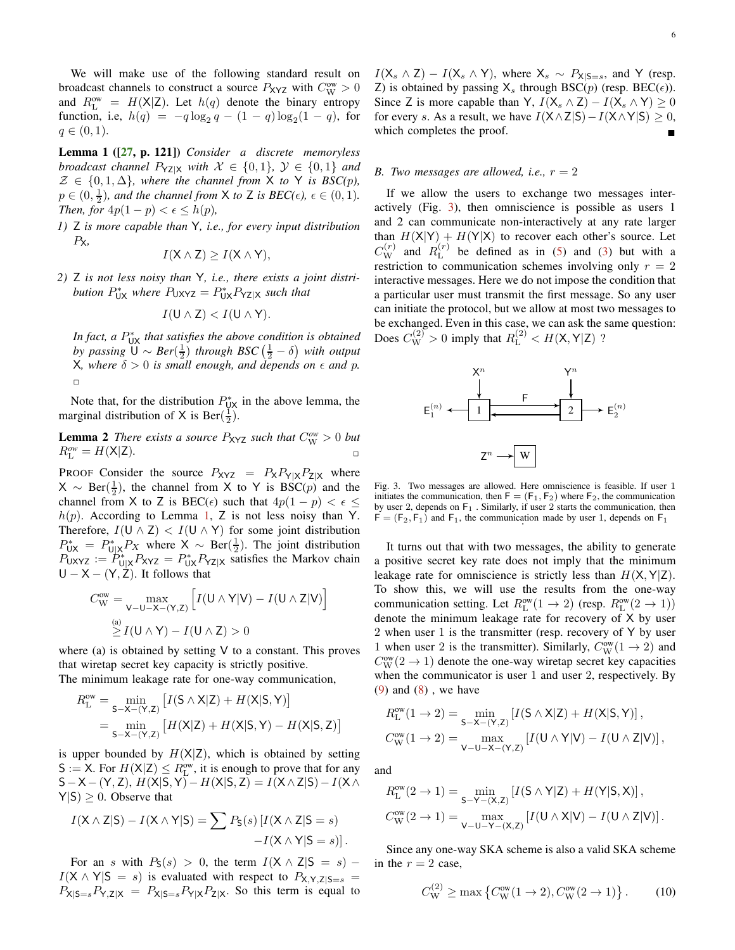We will make use of the following standard result on broadcast channels to construct a source  $P_{\text{XYZ}}$  with  $C_{\text{W}}^{\text{ow}} > 0$ and  $R_{\text{L}}^{\text{ow}} = H(\text{X}|\text{Z})$ . Let  $h(q)$  denote the binary entropy function, i.e,  $h(q) = -q \log_2 q - (1 - q) \log_2 (1 - q)$ , for  $q \in (0, 1).$ 

<span id="page-5-0"></span>Lemma 1 ([\[27,](#page-22-23) p. 121]) *Consider a discrete memoryless broadcast channel*  $P_{YZ|X}$  *with*  $X \in \{0,1\}$ ,  $Y \in \{0,1\}$  *and*  $\mathcal{Z} \in \{0, 1, \Delta\}$ , where the channel from X to Y is BSC(p),  $p \in (0, \frac{1}{2})$ , and the channel from  $X$  to  $Z$  is  $BEC(\epsilon)$ ,  $\epsilon \in (0, 1)$ . *Then, for*  $4p(1-p) < \epsilon \leq h(p)$ ,

*1)* Z *is more capable than* Y*, i.e., for every input distribution* PX*,*

$$
I(X \wedge Z) \geq I(X \wedge Y),
$$

*2)* Z *is not less noisy than* Y*, i.e., there exists a joint distri*bution  $P_{UX}^*$  where  $P_{UXYZ} = P_{UX}^* P_{YZ|X}$  such that

$$
I(\mathsf{U}\wedge\mathsf{Z})< I(\mathsf{U}\wedge\mathsf{Y}).
$$

In fact, a  $P_{\text{UX}}^*$  that satisfies the above condition is obtained *by passing*  $\overline{U} \sim Ber(\frac{1}{2})$  *through BSC*  $(\frac{1}{2} - \delta)$  *with output*  $X$ *, where*  $\delta > 0$  *is small enough, and depends on*  $\epsilon$  *and*  $p$ *.*  $\Box$ 

<span id="page-5-2"></span>Note that, for the distribution  $P_{UX}^*$  in the above lemma, the marginal distribution of X is Ber( $\frac{1}{2}$ ).

**Lemma 2** *There exists a source*  $P_{XYZ}$  *such that*  $C_{W}^{ow} > 0$  *but*  $R_L^{ow} = H(X|Z)$ .

PROOF Consider the source  $P_{XYZ} = P_X P_{Y|X} P_{Z|X}$  where  $X \sim \text{Ber}(\frac{1}{2})$ , the channel from X to Y is BSC(*p*) and the channel from X to Z is BEC( $\epsilon$ ) such that  $4p(1-p) < \epsilon \le$  $h(p)$ . According to Lemma [1,](#page-5-0) Z is not less noisy than Y. Therefore,  $I(U \wedge Z) < I(U \wedge Y)$  for some joint distribution  $P_{\text{U}|X}^* = P_{\text{U}|X}^* P_X$  where  $X \sim \text{Ber}(\frac{1}{2})$ . The joint distribution  $P_{UXYZ} := P_{U|X}^* P_{XYZ} = P_{UX}^* P_{YZ|X}$  satisfies the Markov chain  $U - X - (Y, Z)$ . It follows that

$$
C_{\mathbf{W}}^{\text{ow}} = \max_{\mathbf{V} - \mathbf{U} - \mathbf{X} - (\mathbf{Y}, \mathbf{Z})} \left[ I(\mathbf{U} \wedge \mathbf{Y} | \mathbf{V}) - I(\mathbf{U} \wedge \mathbf{Z} | \mathbf{V}) \right]
$$
  

$$
\stackrel{\text{(a)}}{\geq} I(\mathbf{U} \wedge \mathbf{Y}) - I(\mathbf{U} \wedge \mathbf{Z}) > 0
$$

where (a) is obtained by setting  $V$  to a constant. This proves that wiretap secret key capacity is strictly positive. The minimum leakage rate for one-way communication,

 $R_{\rm L}^{\rm ow} = \min_{\mathsf{S}-\mathsf{X}-(\mathsf{Y},\mathsf{Z})}$  $\big[I(\mathsf{S} \wedge \mathsf{X}|\mathsf{Z}) + H(\mathsf{X}|\mathsf{S},\mathsf{Y})\big]$ 

$$
= \min_{S-X-(Y,Z)} [H(X|Z) + H(X|S,Y) - H(X|S,Z)]
$$

is upper bounded by  $H(X|Z)$ , which is obtained by setting  $S := X$ . For  $H(X|Z) \le R_{\text{L}}^{\text{ow}}$ , it is enough to prove that for any S−X−(Y, Z),  $H(X|S, Y) - H(X|S, Z) = I(X \wedge Z|S) - I(X \wedge Z)$  $Y|S| \geq 0$ . Observe that

$$
I(X \wedge Z|S) - I(X \wedge Y|S) = \sum P_S(s) [I(X \wedge Z|S = s) - I(X \wedge Y|S = s)].
$$

For an s with  $P_S(s) > 0$ , the term  $I(X \wedge Z|S = s)$  –  $I(X \wedge Y|S = s)$  is evaluated with respect to  $P_{X,Y,Z|S=s}$  $P_{X|S=s}P_{Y,Z|X} = P_{X|S=s}P_{Y|X}P_{Z|X}$ . So this term is equal to

## *B. Two messages are allowed, i.e.,*  $r = 2$

If we allow the users to exchange two messages interactively (Fig. [3\)](#page-5-1), then omniscience is possible as users 1 and 2 can communicate non-interactively at any rate larger than  $H(X|Y) + H(Y|X)$  to recover each other's source. Let  $C_{\rm W}^{(r)}$  and  $R_{\rm L}^{(r)}$  $L^{(r)}$  be defined as in [\(5\)](#page-3-4) and [\(3\)](#page-3-5) but with a restriction to communication schemes involving only  $r = 2$ interactive messages. Here we do not impose the condition that a particular user must transmit the first message. So any user can initiate the protocol, but we allow at most two messages to be exchanged. Even in this case, we can ask the same question: Does  $C_{\text{W}}^{(2)} > 0$  imply that  $R_{\text{L}}^{(2)} < H(\text{X}, \text{Y}|\text{Z})$  ?



<span id="page-5-1"></span>Fig. 3. Two messages are allowed. Here omniscience is feasible. If user 1 initiates the communication, then  $F = (F_1, F_2)$  where  $F_2$ , the communication by user 2, depends on  $F_1$  . Similarly, if user 2 starts the communication, then  $F = (F_2, F_1)$  and  $F_1$ , the communication made by user 1, depends on  $F_1$ 

It turns out that with two messages, the ability to generate a positive secret key rate does not imply that the minimum leakage rate for omniscience is strictly less than  $H(X, Y|Z)$ . To show this, we will use the results from the one-way communication setting. Let  $R_{\text{L}}^{\text{ow}}(1 \rightarrow 2)$  (resp.  $R_{\text{L}}^{\text{ow}}(2 \rightarrow 1)$ ) denote the minimum leakage rate for recovery of X by user 2 when user 1 is the transmitter (resp. recovery of Y by user 1 when user 2 is the transmitter). Similarly,  $C_{\text{W}}^{\text{ow}}(1 \rightarrow 2)$  and  $C_{\rm W}^{\rm ow}(2\to1)$  denote the one-way wiretap secret key capacities when the communicator is user 1 and user 2, respectively. By  $(9)$  and  $(8)$ , we have

$$
R_{\text{L}}^{\text{ow}}(1 \to 2) = \min_{\mathsf{S-X-(Y,Z)}} \left[ I(\mathsf{S} \land \mathsf{X}|\mathsf{Z}) + H(\mathsf{X}|\mathsf{S}, \mathsf{Y}) \right],
$$
  

$$
C_{\text{W}}^{\text{ow}}(1 \to 2) = \max_{\mathsf{V-U-X-(Y,Z)}} \left[ I(\mathsf{U} \land \mathsf{Y}|\mathsf{V}) - I(\mathsf{U} \land \mathsf{Z}|\mathsf{V}) \right],
$$

and

$$
R_{\text{L}}^{\text{ow}}(2 \to 1) = \min_{\mathsf{S-Y-(X,Z)}} \left[ I(\mathsf{S} \land \mathsf{Y}|\mathsf{Z}) + H(\mathsf{Y}|\mathsf{S}, \mathsf{X}) \right],
$$
  

$$
C_{\text{W}}^{\text{ow}}(2 \to 1) = \max_{\mathsf{V-U-Y-(X,Z)}} \left[ I(\mathsf{U} \land \mathsf{X}|\mathsf{V}) - I(\mathsf{U} \land \mathsf{Z}|\mathsf{V}) \right].
$$

Since any one-way SKA scheme is also a valid SKA scheme in the  $r = 2$  case,

<span id="page-5-3"></span>
$$
C_{\rm W}^{(2)} \ge \max \left\{ C_{\rm W}^{\rm ow}(1 \to 2), C_{\rm W}^{\rm ow}(2 \to 1) \right\}.
$$
 (10)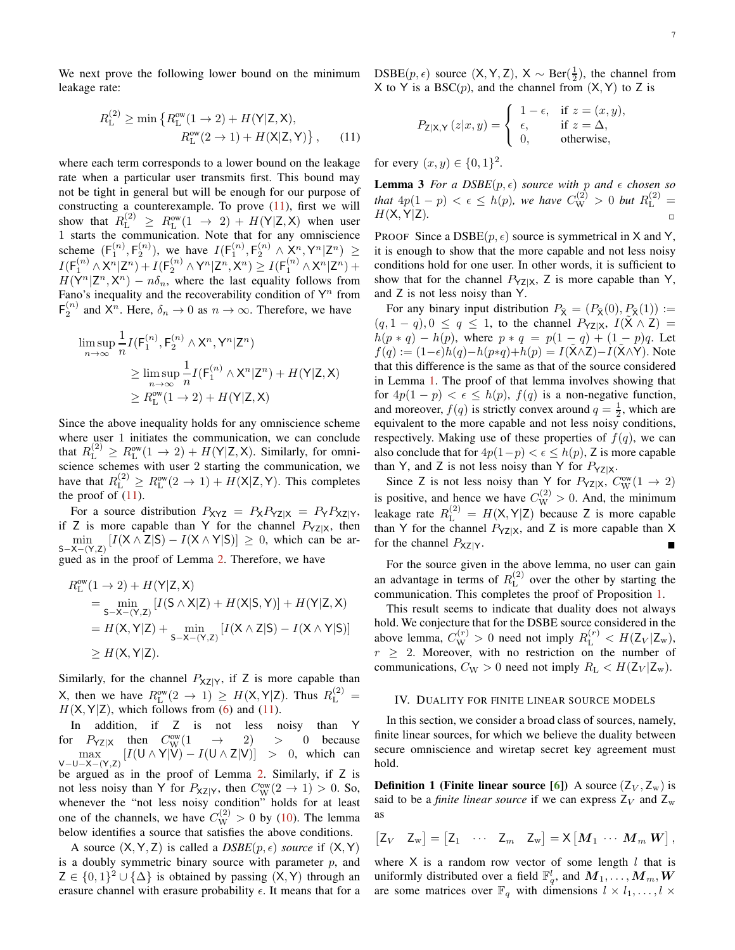We next prove the following lower bound on the minimum leakage rate:

$$
R_{\rm L}^{(2)} \ge \min \left\{ R_{\rm L}^{\rm ow}(1 \to 2) + H(\mathsf{Y}|\mathsf{Z}, \mathsf{X}), \right.\n R_{\rm L}^{\rm ow}(2 \to 1) + H(\mathsf{X}|\mathsf{Z}, \mathsf{Y}) \right\},\n \tag{11}
$$

where each term corresponds to a lower bound on the leakage rate when a particular user transmits first. This bound may not be tight in general but will be enough for our purpose of constructing a counterexample. To prove  $(11)$ , first we will show that  $R_{\rm L}^{(2)} \ge R_{\rm L}^{\rm ow}(1 \rightarrow 2) + H(Y|Z, X)$  when user 1 starts the communication. Note that for any omniscience scheme  $(F_1^{(n)}, F_2^{(n)})$ , we have  $I(F_1^{(n)}, F_2^{(n)} \wedge X_i^n, Y^n | Z^n) \ge$  $I(F_1^{(n)} \wedge X^n | Z^n) + I(F_2^{(n)} \wedge Y^n | Z^n, X^n) \geq I(F_1^{(n)} \wedge X^n | Z^n) +$  $H(Y^n | Z^n, X^n) - n\delta_n$ , where the last equality follows from Fano's inequality and the recoverability condition of  $Y^n$  from  $F_2^{(n)}$  and  $X^n$ . Here,  $\delta_n \to 0$  as  $n \to \infty$ . Therefore, we have

$$
\limsup_{n \to \infty} \frac{1}{n} I(F_1^{(n)}, F_2^{(n)} \wedge X^n, Y^n | Z^n)
$$
\n
$$
\geq \limsup_{n \to \infty} \frac{1}{n} I(F_1^{(n)} \wedge X^n | Z^n) + H(Y | Z, X)
$$
\n
$$
\geq R_{\text{L}}^{\text{ow}} (1 \to 2) + H(Y | Z, X)
$$

Since the above inequality holds for any omniscience scheme where user 1 initiates the communication, we can conclude that  $R_{\rm L}^{(2)} \ge R_{\rm L}^{\rm ow}(1 \to 2) + H({\sf Y}|{\sf Z},{\sf X})$ . Similarly, for omniscience schemes with user 2 starting the communication, we have that  $R_{\rm L}^{(2)} \ge R_{\rm L}^{\rm ow}(2 \to 1) + H(X|Z,Y)$ . This completes the proof of  $(11)$ .

For a source distribution  $P_{XYZ} = P_X P_{YZ|X} = P_Y P_{XZ|Y}$ , if Z is more capable than Y for the channel  $P_{YZ|X}$ , then  $\min_{S-X-(Y,Z)} [I(X \wedge Z|S) - I(X \wedge Y|S)] \geq 0$ , which can be argued as in the proof of Lemma [2.](#page-5-2) Therefore, we have

$$
R_{L}^{ow}(1 \to 2) + H(Y|Z, X)
$$
  
= min<sub>S-X-(Y,Z)</sub> [*I*(S ∧ X|Z) + *H*(X|S,Y)] + *H*(Y|Z, X)  
= *H*(X, Y|Z) + min<sub>S-X-(Y,Z)</sub> [*I*(X ∧ Z|S) – *I*(X ∧ Y|S)]  
\ge *H*(X, Y|Z).

Similarly, for the channel  $P_{XZ|Y}$ , if Z is more capable than X, then we have  $R_{\text{L}}^{\text{ow}}(2 \to 1) \geq H(\text{X}, \text{Y}|\text{Z})$ . Thus  $R_{\text{L}}^{(2)} =$  $H(X, Y|Z)$ , which follows from [\(6\)](#page-4-2) and [\(11\)](#page-6-2).

In addition, if Z is not less noisy than Y for  $P_{\text{YZ}|X}$  then  $C_{\text{W}}^{\text{ow}}$  $W(W(1 \rightarrow 2) > 0$  because  $\max_{V-U-X-(Y,Z)} [I(U \wedge Y | V) - I(U \wedge Z | V)] > 0$ , which can be argued as in the proof of Lemma [2.](#page-5-2) Similarly, if Z is not less noisy than Y for  $P_{XZ|Y}$ , then  $C_{W}^{\text{ow}}(2 \to 1) > 0$ . So, whenever the "not less noisy condition" holds for at least one of the channels, we have  $C_{\rm W}^{(2)} > 0$  by [\(10\)](#page-5-3). The lemma below identifies a source that satisfies the above conditions.

A source  $(X, Y, Z)$  is called a  $DSBE(p, \epsilon)$  *source* if  $(X, Y)$ is a doubly symmetric binary source with parameter  $p$ , and  $Z \in \{0,1\}^2 \cup \{\Delta\}$  is obtained by passing  $(X, Y)$  through an erasure channel with erasure probability  $\epsilon$ . It means that for a

 $DSBE(p, \epsilon)$  source  $(X, Y, Z)$ ,  $X \sim Ber(\frac{1}{2})$ , the channel from X to Y is a BSC $(p)$ , and the channel from  $(X, Y)$  to Z is

<span id="page-6-1"></span>
$$
P_{\mathsf{Z}|\mathsf{X},\mathsf{Y}}\left(z|x,y\right)=\left\{\begin{array}{ll}1-\epsilon, & \text{if } z=(x,y),\\ \epsilon, & \text{if } z=\Delta,\\ 0, & \text{otherwise},\end{array}\right.
$$

<span id="page-6-2"></span>for every  $(x, y) \in \{0, 1\}^2$ .

**Lemma 3** For a DSBE $(p, \epsilon)$  source with p and  $\epsilon$  chosen so *that*  $4p(1-p) < \epsilon \le h(p)$ , we have  $C_{\rm W}^{(2)} > 0$  but  $R_{\rm L}^{(2)} =$  $H(X, Y|Z)$ .

PROOF Since a  $DSBE(p, \epsilon)$  source is symmetrical in X and Y, it is enough to show that the more capable and not less noisy conditions hold for one user. In other words, it is sufficient to show that for the channel  $P_{YZ|X}$ , Z is more capable than Y, and Z is not less noisy than Y.

For any binary input distribution  $P_{\tilde{\chi}} = (P_{\tilde{\chi}}(0), P_{\tilde{\chi}}(1)) :=$  $(q, 1 - q), 0 \le q \le 1$ , to the channel  $P_{YZ|X}$ ,  $I(X \wedge Z) =$  $h(p * q) - h(p)$ , where  $p * q = p(1 - q) + (1 - p)q$ . Let  $f(q) := (1-\epsilon)h(q) - h(p*q) + h(p) = I(\tilde{X} \wedge Z) - I(\tilde{X} \wedge Y)$ . Note that this difference is the same as that of the source considered in Lemma [1.](#page-5-0) The proof of that lemma involves showing that for  $4p(1-p) < \epsilon \leq h(p)$ ,  $f(q)$  is a non-negative function, and moreover,  $f(q)$  is strictly convex around  $q = \frac{1}{2}$ , which are equivalent to the more capable and not less noisy conditions, respectively. Making use of these properties of  $f(q)$ , we can also conclude that for  $4p(1-p) < \epsilon \leq h(p)$ , Z is more capable than Y, and Z is not less noisy than Y for  $P_{YZ|X}$ .

Since Z is not less noisy than Y for  $P_{YZ|X}$ ,  $C_{W}^{\text{ow}}(1 \rightarrow 2)$ is positive, and hence we have  $C_{\text{W}}^{(2)} > 0$ . And, the minimum leakage rate  $R_{\text{L}}^{(2)} = H(\text{X}, \text{Y}|\text{Z})$  because Z is more capable than Y for the channel  $P_{YZ|X}$ , and Z is more capable than X for the channel  $P_{XZ|Y}$ .

For the source given in the above lemma, no user can gain an advantage in terms of  $R_{\text{L}}^{(2)}$  $L^{(2)}$  over the other by starting the communication. This completes the proof of Proposition [1.](#page-4-6)

This result seems to indicate that duality does not always hold. We conjecture that for the DSBE source considered in the above lemma,  $C_{\text{W}}^{(r)} > 0$  need not imply  $R_{\text{L}}^{(r)} < H(\text{Z}_V | \text{Z}_w)$ ,  $r \geq 2$ . Moreover, with no restriction on the number of communications,  $C_{\text{W}} > 0$  need not imply  $R_{\text{L}} < H(\text{Z}_{V} | \text{Z}_{w})$ .

## <span id="page-6-0"></span>IV. DUALITY FOR FINITE LINEAR SOURCE MODELS

In this section, we consider a broad class of sources, namely, finite linear sources, for which we believe the duality between secure omniscience and wiretap secret key agreement must hold.

**Definition 1 (Finite linear source [\[6\]](#page-22-5))** A source  $(Z_V, Z_w)$  is said to be a *finite linear source* if we can express  $Z_V$  and  $Z_w$ as

$$
\begin{bmatrix} Z_V & Z_w \end{bmatrix} = \begin{bmatrix} Z_1 & \cdots & Z_m & Z_w \end{bmatrix} = X \begin{bmatrix} M_1 & \cdots & M_m & W \end{bmatrix},
$$

where  $X$  is a random row vector of some length  $l$  that is uniformly distributed over a field  $\mathbb{F}_q^l$ , and  $\overline{M}_1, \ldots, \overline{M}_m, \overline{W}_q$ are some matrices over  $\mathbb{F}_q$  with dimensions  $l \times l_1, \ldots, l \times l_r$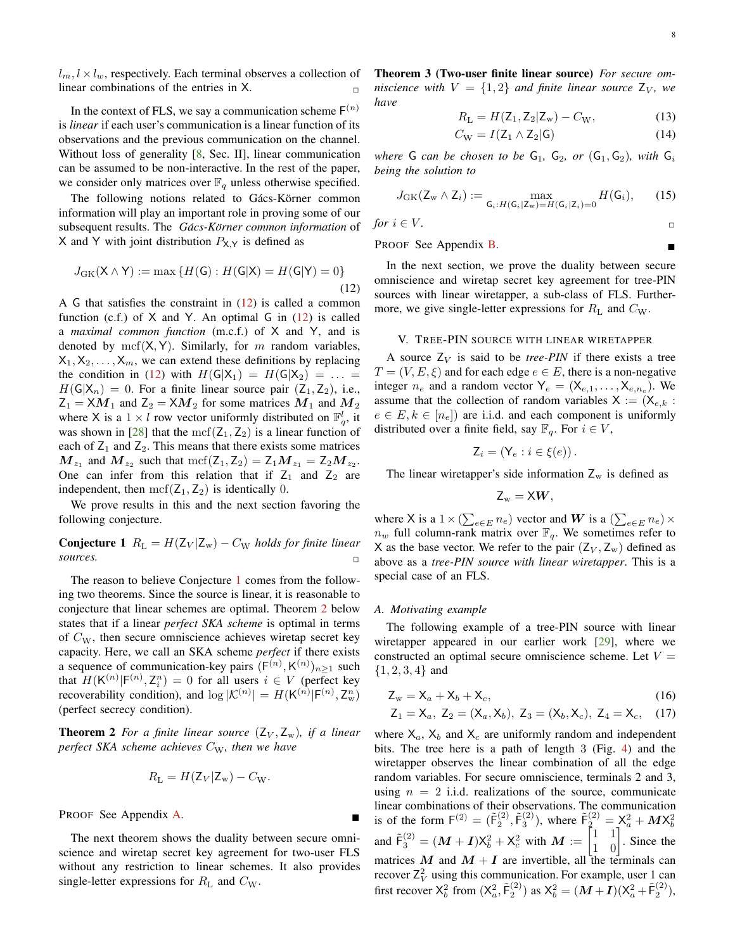$l_m, l \times l_w$ , respectively. Each terminal observes a collection of linear combinations of the entries in X.

In the context of FLS, we say a communication scheme  $F^{(n)}$ is *linear* if each user's communication is a linear function of its observations and the previous communication on the channel. Without loss of generality [\[8](#page-22-6), Sec. II], linear communication can be assumed to be non-interactive. In the rest of the paper, we consider only matrices over  $\mathbb{F}_q$  unless otherwise specified.

The following notions related to Gács-Körner common information will play an important role in proving some of our subsequent results. The *Gács-Körner common information* of X and Y with joint distribution  $P_{X,Y}$  is defined as

$$
J_{\text{GK}}(\mathsf{X} \wedge \mathsf{Y}) := \max \left\{ H(\mathsf{G}) : H(\mathsf{G}|\mathsf{X}) = H(\mathsf{G}|\mathsf{Y}) = 0 \right\}
$$
\n(12)

A G that satisfies the constraint in  $(12)$  is called a common function (c.f.) of  $X$  and Y. An optimal G in  $(12)$  is called a *maximal common function* (m.c.f.) of X and Y, and is denoted by mcf( $X, Y$ ). Similarly, for m random variables,  $X_1, X_2, \ldots, X_m$ , we can extend these definitions by replacing the condition in [\(12\)](#page-7-1) with  $H(G|X_1) = H(G|X_2) = \ldots$  $H(G|X_n) = 0$ . For a finite linear source pair  $(Z_1, Z_2)$ , i.e.,  $Z_1 = XM_1$  and  $Z_2 = XM_2$  for some matrices  $M_1$  and  $M_2$ where X is a  $1 \times l$  row vector uniformly distributed on  $\mathbb{F}_q^l$ , it was shown in [\[28](#page-22-24)] that the mcf( $Z_1, Z_2$ ) is a linear function of each of  $Z_1$  and  $Z_2$ . This means that there exists some matrices  $M_{z_1}$  and  $M_{z_2}$  such that  $\mathrm{mcf}(\mathsf{Z}_1, \mathsf{Z}_2) = \mathsf{Z}_1 M_{z_1} = \mathsf{Z}_2 M_{z_2}$ . One can infer from this relation that if  $Z_1$  and  $Z_2$  are independent, then  $\mathrm{mcf}(Z_1, Z_2)$  is identically 0.

<span id="page-7-2"></span>We prove results in this and the next section favoring the following conjecture.

**Conjecture 1**  $R_{\text{L}} = H(Z_V | Z_w) - C_W$  *holds for finite linear sources.* sources.

The reason to believe Conjecture [1](#page-7-2) comes from the following two theorems. Since the source is linear, it is reasonable to conjecture that linear schemes are optimal. Theorem [2](#page-7-3) below states that if a linear *perfect SKA scheme* is optimal in terms of  $C_{\rm W}$ , then secure omniscience achieves wiretap secret key capacity. Here, we call an SKA scheme *perfect* if there exists a sequence of communication-key pairs  $(F^{(n)}, K^{(n)})_{n\geq 1}$  such that  $H(K^{(n)} | F^{(n)}, Z_i^n) = 0$  for all users  $i \in V$  (perfect key recoverability condition), and  $\log |\mathcal{K}^{(n)}| = H(K^{(n)} | F^{(n)}, Z_w^n)$ (perfect secrecy condition).

<span id="page-7-3"></span>**Theorem 2** For a finite linear source  $(Z_V, Z_w)$ , if a linear *perfect SKA scheme achieves*  $C_W$ , then we have

$$
R_{\rm L}=H(\mathsf{Z}_V|\mathsf{Z}_{\rm w})-C_{\rm W}.
$$

PROOF See Appendix [A.](#page-10-1)

<span id="page-7-4"></span>The next theorem shows the duality between secure omniscience and wiretap secret key agreement for two-user FLS without any restriction to linear schemes. It also provides single-letter expressions for  $R_{\rm L}$  and  $C_{\rm W}$ .

Theorem 3 (Two-user finite linear source) *For secure omniscience with*  $V = \{1, 2\}$  *and finite linear source*  $Z_V$ *, we have*

$$
R_{\rm L} = H(\mathsf{Z}_1, \mathsf{Z}_2 | \mathsf{Z}_{\rm w}) - C_{\rm W},\tag{13}
$$

$$
C_{\rm W} = I(\mathsf{Z}_1 \wedge \mathsf{Z}_2 | \mathsf{G}) \tag{14}
$$

*where* G *can be chosen to be*  $G_1$ ,  $G_2$ , *or*  $(G_1, G_2)$ *, with*  $G_i$ *being the solution to*

$$
J_{\text{GK}}(\mathsf{Z}_{\mathrm{w}} \wedge \mathsf{Z}_{i}) := \max_{\mathsf{G}_{i}: H(\mathsf{G}_{i}|\mathsf{Z}_{\mathrm{w}}) = H(\mathsf{G}_{i}|\mathsf{Z}_{i}) = 0} H(\mathsf{G}_{i}), \qquad (15)
$$

for 
$$
i \in V
$$
.

PROOF See Appendix [B.](#page-11-0)

<span id="page-7-1"></span>In the next section, we prove the duality between secure omniscience and wiretap secret key agreement for tree-PIN sources with linear wiretapper, a sub-class of FLS. Furthermore, we give single-letter expressions for  $R_{\rm L}$  and  $C_{\rm W}$ .

## <span id="page-7-0"></span>V. TREE-PIN SOURCE WITH LINEAR WIRETAPPER

A source  $Z_V$  is said to be *tree-PIN* if there exists a tree  $T = (V, E, \xi)$  and for each edge  $e \in E$ , there is a non-negative integer  $n_e$  and a random vector  $\mathsf{Y}_e = (\mathsf{X}_{e,1}, \ldots, \mathsf{X}_{e,n_e})$ . We assume that the collection of random variables  $X := (X_{e,k} :$  $e \in E, k \in [n_e]$  are i.i.d. and each component is uniformly distributed over a finite field, say  $\mathbb{F}_q$ . For  $i \in V$ ,

$$
\mathsf{Z}_i = (\mathsf{Y}_e : i \in \xi(e)).
$$

The linear wiretapper's side information  $Z_w$  is defined as

$$
\mathsf{Z}_w = \mathsf{X}\boldsymbol{W},
$$

where X is a  $1 \times (\sum_{e \in E} n_e)$  vector and W is a  $(\sum_{e \in E} n_e) \times$  $n_w$  full column-rank matrix over  $\mathbb{F}_q$ . We sometimes refer to X as the base vector. We refer to the pair  $(Z_V, Z_w)$  defined as above as a *tree-PIN source with linear wiretapper*. This is a special case of an FLS.

#### *A. Motivating example*

The following example of a tree-PIN source with linear wiretapper appeared in our earlier work [\[29\]](#page-22-25), where we constructed an optimal secure omniscience scheme. Let  $V =$  $\{1, 2, 3, 4\}$  and

$$
Z_{w} = X_{a} + X_{b} + X_{c}, \qquad (16)
$$

$$
Z_1 = X_a
$$
,  $Z_2 = (X_a, X_b)$ ,  $Z_3 = (X_b, X_c)$ ,  $Z_4 = X_c$ , (17)

where  $X_a$ ,  $X_b$  and  $X_c$  are uniformly random and independent bits. The tree here is a path of length 3 (Fig. [4\)](#page-8-0) and the wiretapper observes the linear combination of all the edge random variables. For secure omniscience, terminals 2 and 3, using  $n = 2$  i.i.d. realizations of the source, communicate linear combinations of their observations. The communication is of the form  $F^{(2)} = (\tilde{F}_2^{(2)}, \tilde{F}_3^{(2)})$ , where  $\tilde{F}_2^{(2)} = X_a^2 + M X_b^2$ and  $\tilde{F}_3^{(2)} = (M + I)X_b^2 + X_c^2$  with  $M := \begin{bmatrix} 1 & 1 \\ 1 & 0 \end{bmatrix}$ . Since the matrices M and  $M + I$  are invertible, all the terminals can recover  $Z_V^2$  using this communication. For example, user 1 can first recover  $X_b^2$  from  $(X_a^2, \tilde{F}_2^{(2)})$  as  $X_b^2 = (M + I)(X_a^2 + \tilde{F}_2^{(2)})$ ,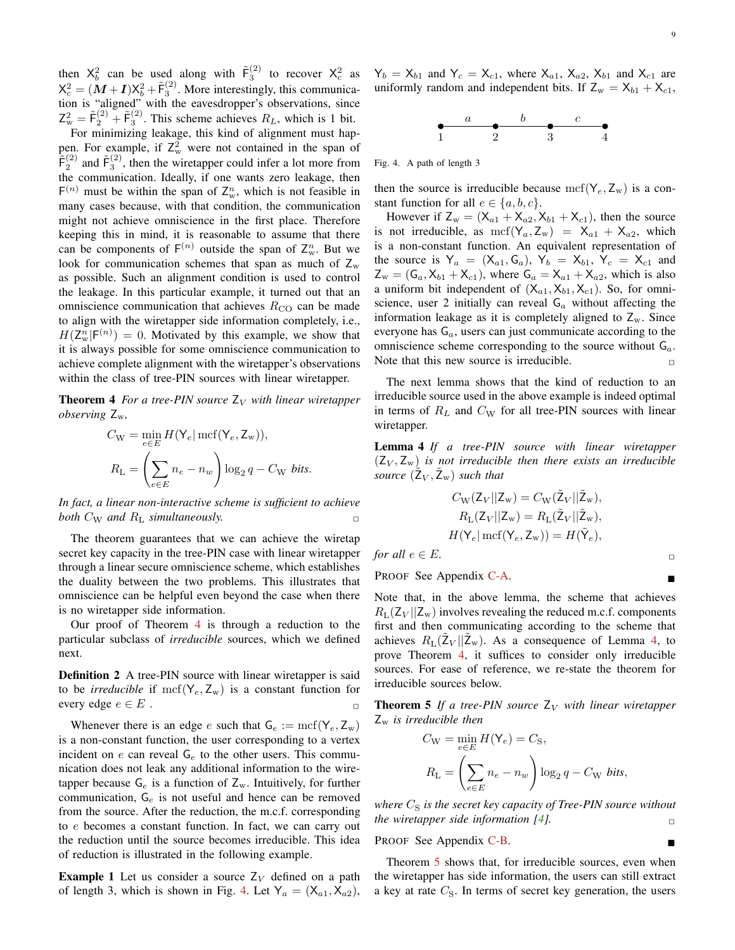then  $X_b^2$  can be used along with  $\tilde{F}_3^{(2)}$  to recover  $X_c^2$  as  $X_c^2 = (M + I)X_b^2 + \tilde{F}_3^{(2)}$ . More interestingly, this communication is "aligned" with the eavesdropper's observations, since  $Z_w^2 = \tilde{F}_2^{(2)} + \tilde{F}_3^{(2)}$ . This scheme achieves  $R_L$ , which is 1 bit.

For minimizing leakage, this kind of alignment must happen. For example, if  $Z_w^2$  were not contained in the span of  $\tilde{F}_2^{(2)}$  and  $\tilde{F}_3^{(2)}$ , then the wiretapper could infer a lot more from the communication. Ideally, if one wants zero leakage, then  $F^{(n)}$  must be within the span of  $Z_w^n$ , which is not feasible in many cases because, with that condition, the communication might not achieve omniscience in the first place. Therefore keeping this in mind, it is reasonable to assume that there can be components of  $F^{(n)}$  outside the span of  $Z_w^n$ . But we look for communication schemes that span as much of  $Z_w$ as possible. Such an alignment condition is used to control the leakage. In this particular example, it turned out that an omniscience communication that achieves  $R_{\text{CO}}$  can be made to align with the wiretapper side information completely, i.e.,  $H(\mathsf{Z}_{\mathsf{w}}^n | \mathsf{F}^{(n)}) = 0$ . Motivated by this example, we show that it is always possible for some omniscience communication to achieve complete alignment with the wiretapper's observations within the class of tree-PIN sources with linear wiretapper.

<span id="page-8-1"></span>**Theorem 4** *For a tree-PIN source*  $Z_V$  *with linear wiretapper observing* Zw*,*

$$
C_{\rm W} = \min_{e \in E} H(\mathsf{Y}_e | \operatorname{mcf}(\mathsf{Y}_e, \mathsf{Z}_{\rm w})),
$$

$$
R_{\rm L} = \left(\sum_{e \in E} n_e - n_w\right) \log_2 q - C_{\rm W} \text{ bits.}
$$

*In fact, a linear non-interactive scheme is sufficient to achieve both*  $C_{\rm W}$  *and*  $R_{\rm L}$  *simultaneously.* 

The theorem guarantees that we can achieve the wiretap secret key capacity in the tree-PIN case with linear wiretapper through a linear secure omniscience scheme, which establishes the duality between the two problems. This illustrates that omniscience can be helpful even beyond the case when there is no wiretapper side information.

Our proof of Theorem [4](#page-8-1) is through a reduction to the particular subclass of *irreducible* sources, which we defined next.

<span id="page-8-4"></span>Definition 2 A tree-PIN source with linear wiretapper is said to be *irreducible* if  $\mathrm{mcf}(\mathsf{Y}_e, \mathsf{Z}_w)$  is a constant function for every edge  $e \in E$ .

Whenever there is an edge e such that  $G_e := \text{mcf}(Y_e, Z_w)$ is a non-constant function, the user corresponding to a vertex incident on  $e$  can reveal  $G_e$  to the other users. This communication does not leak any additional information to the wiretapper because  $G_e$  is a function of  $Z_w$ . Intuitively, for further communication,  $G_e$  is not useful and hence can be removed from the source. After the reduction, the m.c.f. corresponding to e becomes a constant function. In fact, we can carry out the reduction until the source becomes irreducible. This idea of reduction is illustrated in the following example.

**Example 1** Let us consider a source  $Z_V$  defined on a path of length 3, which is shown in Fig. [4.](#page-8-0) Let  $Y_a = (X_{a1}, X_{a2})$ ,  $Y_b = X_{b1}$  and  $Y_c = X_{c1}$ , where  $X_{a1}$ ,  $X_{a2}$ ,  $X_{b1}$  and  $X_{c1}$  are uniformly random and independent bits. If  $Z_w = X_{b1} + X_{c1}$ ,



<span id="page-8-0"></span>Fig. 4. A path of length 3

then the source is irreducible because  $\mathrm{mcf}(\mathsf{Y}_e, \mathsf{Z}_w)$  is a constant function for all  $e \in \{a, b, c\}.$ 

However if  $Z_w = (X_{a1} + X_{a2}, X_{b1} + X_{c1})$ , then the source is not irreducible, as  $\text{mcf}(Y_a, Z_w) = X_{a1} + X_{a2}$ , which is a non-constant function. An equivalent representation of the source is  $Y_a = (X_{a1}, G_a), Y_b = X_{b1}, Y_c = X_{c1}$  and  $Z_{w} = (G_{a}, X_{b1} + X_{c1})$ , where  $G_{a} = X_{a1} + X_{a2}$ , which is also a uniform bit independent of  $(X_{a1}, X_{b1}, X_{c1})$ . So, for omniscience, user 2 initially can reveal  $G_a$  without affecting the information leakage as it is completely aligned to  $Z_w$ . Since everyone has  $G_a$ , users can just communicate according to the omniscience scheme corresponding to the source without  $G_a$ . Note that this new source is irreducible.  $\Box$ 

The next lemma shows that the kind of reduction to an irreducible source used in the above example is indeed optimal in terms of  $R_L$  and  $C_W$  for all tree-PIN sources with linear wiretapper.

<span id="page-8-2"></span>Lemma 4 *If a tree-PIN source with linear wiretapper*  $(Z_V, Z_w)$  *is not irreducible then there exists an irreducible source*  $(\tilde{Z}_V, \tilde{Z}_w)$  *such that* 

$$
C_{\rm W}(Z_V||Z_{\rm w}) = C_{\rm W}(\tilde{Z}_V||\tilde{Z}_{\rm w}),
$$
  
\n
$$
R_{\rm L}(Z_V||Z_{\rm w}) = R_{\rm L}(\tilde{Z}_V||\tilde{Z}_{\rm w}),
$$
  
\n
$$
H(\mathsf{Y}_e | \operatorname{mcf}(\mathsf{Y}_e, \mathsf{Z}_{\rm w})) = H(\tilde{\mathsf{Y}}_e),
$$

*for all*  $e \in E$ .

PROOF See Appendix [C-A.](#page-12-0)

Note that, in the above lemma, the scheme that achieves  $R_L(Z_V || Z_w)$  involves revealing the reduced m.c.f. components first and then communicating according to the scheme that achieves  $R_{\rm L}(\tilde{Z}_V || \tilde{Z}_{w})$ . As a consequence of Lemma [4,](#page-8-2) to prove Theorem [4,](#page-8-1) it suffices to consider only irreducible sources. For ease of reference, we re-state the theorem for irreducible sources below.

<span id="page-8-3"></span>**Theorem 5** If a tree-PIN source  $Z_V$  with linear wiretapper  $Z_{w}$  *is irreducible then* 

$$
C_{\rm W} = \min_{e \in E} H(\mathsf{Y}_e) = C_{\rm S},
$$
  

$$
R_{\rm L} = \left(\sum_{e \in E} n_e - n_w\right) \log_2 q - C_{\rm W} \text{ bits},
$$

*where*  $C_S$  *is the secret key capacity of Tree-PIN source without the wiretapper side information* [\[4](#page-22-4)].

PROOF See Appendix [C-B.](#page-14-0)

Theorem [5](#page-8-3) shows that, for irreducible sources, even when the wiretapper has side information, the users can still extract a key at rate  $C_{\rm S}$ . In terms of secret key generation, the users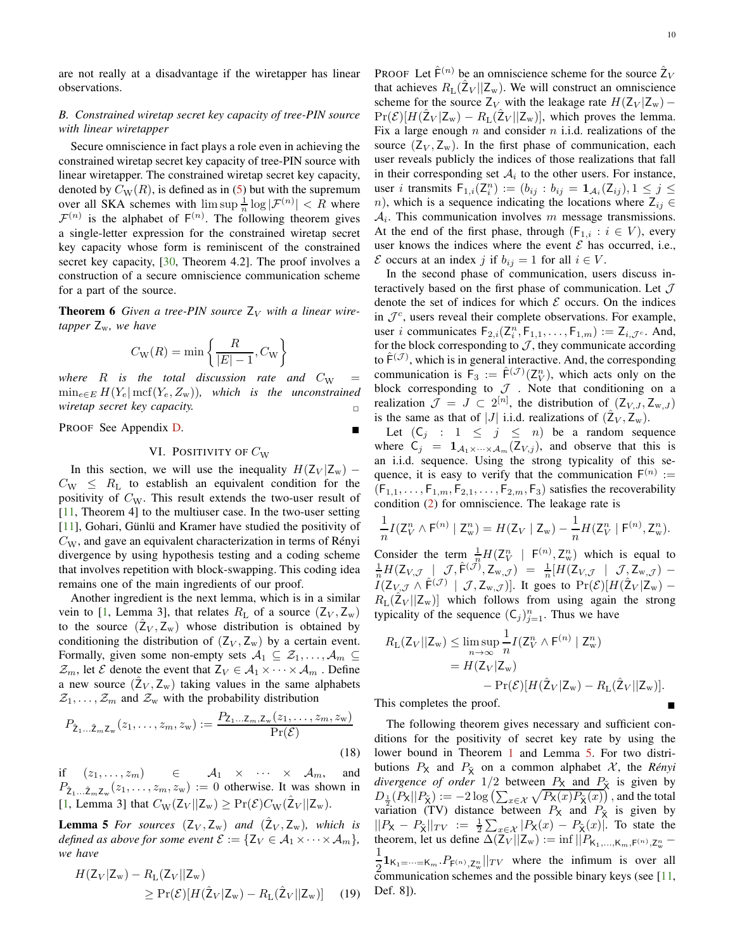are not really at a disadvantage if the wiretapper has linear observations.

# *B. Constrained wiretap secret key capacity of tree-PIN source with linear wiretapper*

Secure omniscience in fact plays a role even in achieving the constrained wiretap secret key capacity of tree-PIN source with linear wiretapper. The constrained wiretap secret key capacity, denoted by  $C_{\text{W}}(R)$ , is defined as in [\(5\)](#page-3-4) but with the supremum over all SKA schemes with  $\limsup_{n} \frac{1}{n} \log |\mathcal{F}^{(n)}| < R$  where  $\mathcal{F}^{(n)}$  is the alphabet of  $F^{(n)}$ . The following theorem gives a single-letter expression for the constrained wiretap secret key capacity whose form is reminiscent of the constrained secret key capacity, [\[30](#page-22-26), Theorem 4.2]. The proof involves a construction of a secure omniscience communication scheme for a part of the source.

<span id="page-9-2"></span>**Theorem 6** Given a tree-PIN source  $Z_V$  with a linear wire*tapper* Zw*, we have*

$$
C_{\rm W}(R)=\min\left\{\frac{R}{|E|-1},C_{\rm W}\right\}
$$

*where*  $R$  *is the total discussion rate and*  $C_W$  $\min_{e \in E} H(Y_e | \text{mcf}(Y_e, Z_w))$ , which is the unconstrained *wiretap secret key capacity.* 

<span id="page-9-0"></span>PROOF See Appendix [D.](#page-18-0)

## VI. POSITIVITY OF  $C_W$

In this section, we will use the inequality  $H(Z_V | Z_w)$  −  $C_{\rm W} \leq R_{\rm L}$  to establish an equivalent condition for the positivity of  $C_W$ . This result extends the two-user result of [\[11](#page-22-9), Theorem 4] to the multiuser case. In the two-user setting [\[11](#page-22-9)], Gohari, Günlü and Kramer have studied the positivity of  $C_{\rm W}$ , and gave an equivalent characterization in terms of Rényi divergence by using hypothesis testing and a coding scheme that involves repetition with block-swapping. This coding idea remains one of the main ingredients of our proof.

Another ingredient is the next lemma, which is in a similar vein to [\[1](#page-22-0), Lemma 3], that relates  $R_{\rm L}$  of a source  $(Z_V, Z_w)$ to the source  $(\hat{Z}_V, Z_w)$  whose distribution is obtained by conditioning the distribution of  $(Z_V, Z_w)$  by a certain event. Formally, given some non-empty sets  $A_1 \subseteq \mathcal{Z}_1, \ldots, \mathcal{A}_m \subseteq$  $\mathcal{Z}_m$ , let  $\mathcal E$  denote the event that  $Z_V \in \mathcal A_1 \times \cdots \times \mathcal A_m$ . Define a new source  $(\hat{Z}_V, Z_w)$  taking values in the same alphabets  $\mathcal{Z}_1, \ldots, \mathcal{Z}_m$  and  $\mathcal{Z}_w$  with the probability distribution

$$
P_{\hat{\mathbf{Z}}_1\ldots\hat{\mathbf{Z}}_m\mathbf{Z}_w}(z_1,\ldots,z_m,z_w) := \frac{P_{\mathbf{Z}_1\ldots\mathbf{Z}_m,\mathbf{Z}_w}(z_1,\ldots,z_m,z_w)}{\Pr(\mathcal{E})}
$$
\n(18)

if  $(z_1, \ldots, z_m)$   $\in$   $\mathcal{A}_1 \times \cdots \times \mathcal{A}_m$ , and  $P_{\hat{Z}_1...\hat{Z}_mZ_w}(z_1,\ldots,z_m,z_w) := 0$  otherwise. It was shown in [\[1](#page-22-0), Lemma 3] that  $C_{\text{W}}(Z_V || Z_{\text{w}}) \ge \Pr(\mathcal{E}) C_{\text{W}}(\hat{Z}_V || Z_{\text{w}})$ .

**Lemma 5** For sources  $(Z_V, Z_w)$  and  $(\hat{Z}_V, Z_w)$ , which is *defined as above for some event*  $\mathcal{E} := \{ \mathsf{Z}_V \in \mathcal{A}_1 \times \cdots \times \mathcal{A}_m \},\$ *we have*

$$
H(Z_V|Z_w) - R_{L}(Z_V||Z_w)
$$
  
\n
$$
\geq \Pr(\mathcal{E})[H(\hat{Z}_V|Z_w) - R_{L}(\hat{Z}_V||Z_w)] \quad (19)
$$

PROOF Let  $\hat{\mathsf{F}}^{(n)}$  be an omniscience scheme for the source  $\hat{\mathsf{Z}}_V$ that achieves  $R_{\rm L}(\hat{\mathbb{Z}}_V || \mathbb{Z}_{w})$ . We will construct an omniscience scheme for the source  $Z_V$  with the leakage rate  $H(Z_V | Z_w)$  –  $Pr(\mathcal{E})[H(\hat{Z}_V | Z_w) - R_L(\hat{Z}_V || Z_w)],$  which proves the lemma. Fix a large enough  $n$  and consider  $n$  i.i.d. realizations of the source  $(Z_V, Z_w)$ . In the first phase of communication, each user reveals publicly the indices of those realizations that fall in their corresponding set  $A_i$  to the other users. For instance, user *i* transmits  $F_{1,i}(Z_i^n) := (b_{ij} : b_{ij} = 1_{\mathcal{A}_i}(Z_{ij}), 1 \leq j \leq$ n), which is a sequence indicating the locations where  $Z_{ij} \in$  $A_i$ . This communication involves m message transmissions. At the end of the first phase, through ( $F_{1,i} : i \in V$ ), every user knows the indices where the event  $\mathcal E$  has occurred, i.e.,  $\mathcal E$  occurs at an index j if  $b_{ij} = 1$  for all  $i \in V$ .

In the second phase of communication, users discuss interactively based on the first phase of communication. Let  $J$ denote the set of indices for which  $\mathcal E$  occurs. On the indices in  $\mathcal{J}^c$ , users reveal their complete observations. For example, user *i* communicates  $F_{2,i}(Z_i^n, F_{1,1}, \ldots, F_{1,m}) := Z_{i,\mathcal{J}^c}$ . And, for the block corresponding to  $J$ , they communicate according to  $\hat{\mathsf{F}}^{(\mathcal{J})}$ , which is in general interactive. And, the corresponding communication is  $\overline{F}_3 := \hat{F}^{(\mathcal{J})}(\mathcal{Z}_{V}^{n})$ , which acts only on the block corresponding to  $J$  . Note that conditioning on a realization  $\mathcal{J} = J \subset 2^{[n]}$ , the distribution of  $(Z_{V,J}, Z_{w,J})$ is the same as that of |J| i.i.d. realizations of  $(\hat{Z}_V, \hat{Z}_w)$ .

Let  $(C_i : 1 \le j \le n)$  be a random sequence where  $C_j = 1_{A_1 \times \cdots \times A_m} (Z_{V,j})$ , and observe that this is an i.i.d. sequence. Using the strong typicality of this sequence, it is easy to verify that the communication  $F^{(n)}$  :=  $(F_{1,1},\ldots,F_{1,m},F_{2,1},\ldots,F_{2,m},F_3)$  satisfies the recoverability condition [\(2\)](#page-3-3) for omniscience. The leakage rate is

$$
\frac{1}{n}I(Z_V^n \wedge \mathsf{F}^{(n)} \mid Z_w^n) = H(Z_V \mid Z_w) - \frac{1}{n}H(Z_V^n \mid \mathsf{F}^{(n)}, Z_w^n).
$$

Consider the term  $\frac{1}{n}H(Z_V^n \mid F^{(n)}, Z_w^n)$  which is equal to  $\frac{1}{n}H(\mathsf{Z}_{V,\mathcal{J}}\left[\right.\mathcal{J},\hat{\mathsf{F}}^{(\mathcal{J})},\mathsf{Z}_{\mathrm{w},\mathcal{J}})\;=\;\frac{1}{n}[H(\mathsf{Z}_{V,\mathcal{J}}\;\mid\;\mathcal{J},\mathsf{Z}_{\mathrm{w},\mathcal{J}})\; I(Z_{V, \mathcal{J}} \wedge \hat{F}^{(\mathcal{J})} | \mathcal{J}, Z_{w, \mathcal{J}})$ . It goes to  $Pr(\mathcal{E})[H(\hat{Z}_V | Z_w) R_{\text{L}}(\hat{Z}_V || Z_{\text{w}})$  which follows from using again the strong typicality of the sequence  $(C_j)_{j=1}^n$ . Thus we have

$$
R_{\mathcal{L}}(\mathcal{Z}_V||\mathcal{Z}_w) \le \limsup_{n \to \infty} \frac{1}{n} I(\mathcal{Z}_V^n \wedge \mathsf{F}^{(n)} | \mathcal{Z}_w^n)
$$
  
=  $H(\mathcal{Z}_V|\mathcal{Z}_w)$   
-  $\Pr(\mathcal{E})[H(\hat{\mathcal{Z}}_V|\mathcal{Z}_w) - R_{\mathcal{L}}(\hat{\mathcal{Z}}_V||\mathcal{Z}_w)].$ 

This completes the proof.

<span id="page-9-4"></span><span id="page-9-3"></span><span id="page-9-1"></span>The following theorem gives necessary and sufficient conditions for the positivity of secret key rate by using the lower bound in Theorem [1](#page-4-0) and Lemma [5.](#page-9-1) For two distributions  $P_X$  and  $P_{\tilde{X}}$  on a common alphabet  $X$ , the *Rényi divergence of order*  $1/2$  between  $P_X$  and  $P_{\tilde{X}}$  is given by  $D_{\frac{1}{2}}(P_X||P_{\tilde{X}}) := -2 \log \left( \sum_{x \in \mathcal{X}} \sqrt{P_X(x) P_{\tilde{X}}(x)} \right)$ , and the total variation (TV) distance between  $P_X$  and  $P_X^{\prime}$  is given by  $||P_X - P_{\tilde{X}}||_{TV} := \frac{1}{2} \sum_{x \in \mathcal{X}} |P_X(x) - P_{\tilde{X}}(x)|$ . To state the theorem, let us define  $\Delta(Z_V||Z_w) := \inf ||P_{K_1,...,K_m,F^{(n)},Z_w^n} -$ 1  $\frac{1}{2}$ **1**<sub>K<sub>1</sub>= $\cdots$  = K<sub>m</sub> .  $P_{F(n)}$ ,  $Z_n^n$  ||*TV* where the infimum is over all</sub> communication schemes and the possible binary keys (see  $[11,$ Def. 8]).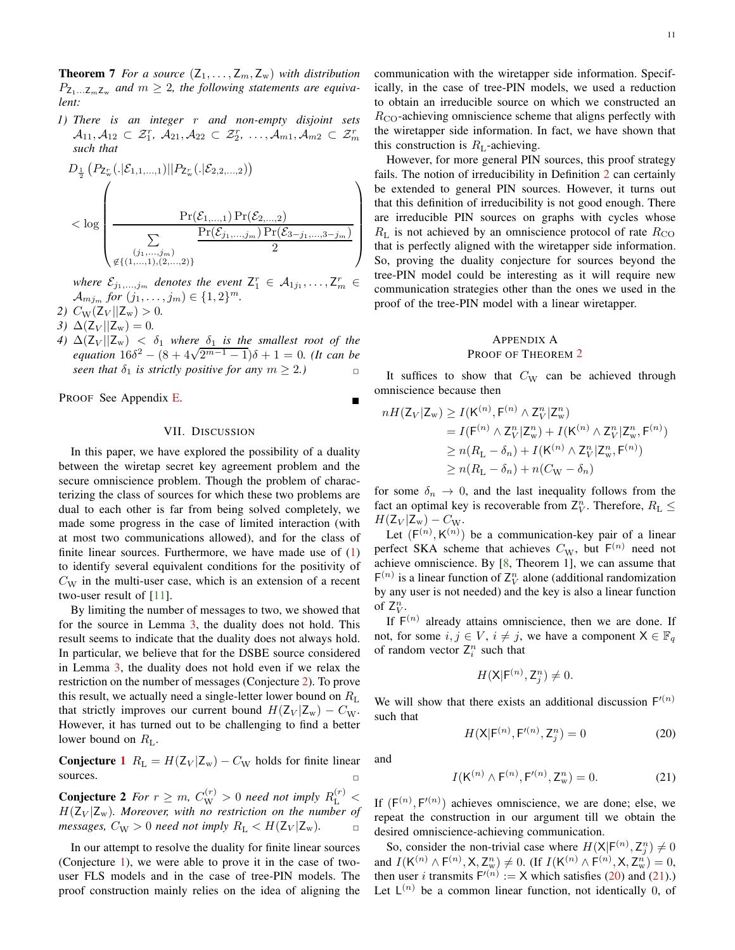**Theorem 7** *For a source*  $(Z_1, \ldots, Z_m, Z_w)$  *with distribution*  $P_{\mathsf{Z}_1...\mathsf{Z}_m\mathsf{Z}_w}$  and  $m\geq 2$ , the following statements are equiva*lent:*

*1) There is an integer* r *and non-empty disjoint sets*  $A_{11}, A_{12} \subset \mathcal{Z}_{1}^{r}, A_{21}, A_{22} \subset \mathcal{Z}_{2}^{r}, \ldots, A_{m1}, A_{m2} \subset \mathcal{Z}_{m}^{r}$ *such that*

$$
D_{\frac{1}{2}}\left(P_{Z_{w}^{r}}(.|\mathcal{E}_{1,1,...,1})||P_{Z_{w}^{r}}(.|\mathcal{E}_{2,2,...,2})\right)
$$
  

$$
< \log \left(\frac{\Pr(\mathcal{E}_{1,...,1}) \Pr(\mathcal{E}_{2,...,2})}{\sum\limits_{(\mathit{j}_{1},...,\mathit{j}_{m})} \frac{\Pr(\mathcal{E}_{j_{1},...,j_{m}}) \Pr(\mathcal{E}_{3-\mathit{j}_{1},...,3-\mathit{j}_{m}})}{2}}\right)
$$

where  $\mathcal{E}_{j_1,\dots,j_m}$  denotes the event  $\mathsf{Z}_1^r \in \mathcal{A}_{1j_1},\dots,\mathsf{Z}_m^r \in$  $A_{mj_m}$  *for*  $(j_1, ..., j_m) \in \{1, 2\}^m$ .

- 2)  $C_{\text{W}}(Z_V || Z_{\text{w}}) > 0$ .
- *3*)  $\Delta(Z_V||Z_w) = 0$ .
- *4)*  $\Delta (Z_V || Z_w) < \delta_1$  *where*  $\delta_1$  *is the smallest root of the equation*  $16\delta^2 - (8 + 4\sqrt{2^{m-1} - 1})\delta + 1 = 0$ . *(It can be seen that*  $\delta_1$  *is strictly positive for any*  $m \geq 2$ *.)*

<span id="page-10-0"></span>PROOF See Appendix [E.](#page-20-0)

## VII. DISCUSSION

In this paper, we have explored the possibility of a duality between the wiretap secret key agreement problem and the secure omniscience problem. Though the problem of characterizing the class of sources for which these two problems are dual to each other is far from being solved completely, we made some progress in the case of limited interaction (with at most two communications allowed), and for the class of finite linear sources. Furthermore, we have made use of  $(1)$ to identify several equivalent conditions for the positivity of  $C_{\rm W}$  in the multi-user case, which is an extension of a recent two-user result of [\[11\]](#page-22-9).

By limiting the number of messages to two, we showed that for the source in Lemma [3,](#page-6-1) the duality does not hold. This result seems to indicate that the duality does not always hold. In particular, we believe that for the DSBE source considered in Lemma [3,](#page-6-1) the duality does not hold even if we relax the restriction on the number of messages (Conjecture [2\)](#page-10-2). To prove this result, we actually need a single-letter lower bound on  $R_L$ that strictly improves our current bound  $H(Z_V | Z_w) - C_W$ . However, it has turned out to be challenging to find a better lower bound on  $R_L$ .

**Conjecture [1](#page-7-2)**  $R_L = H(Z_V | Z_w) - C_W$  holds for finite linear sources. sources.  $\Box$ 

<span id="page-10-2"></span>**Conjecture 2** For  $r \ge m$ ,  $C_{\rm W}^{(r)} > 0$  need not imply  $R_{\rm L}^{(r)} <$  $H(Z_V | Z_w)$ *. Moreover, with no restriction on the number of messages,*  $C_{\text{W}} > 0$  *need not imply*  $R_{\text{L}} < H(Z_V | Z_w)$ .

In our attempt to resolve the duality for finite linear sources (Conjecture [1\)](#page-7-2), we were able to prove it in the case of twouser FLS models and in the case of tree-PIN models. The proof construction mainly relies on the idea of aligning the communication with the wiretapper side information. Specifically, in the case of tree-PIN models, we used a reduction to obtain an irreducible source on which we constructed an  $R_{\rm CO}$ -achieving omniscience scheme that aligns perfectly with the wiretapper side information. In fact, we have shown that this construction is  $R_L$ -achieving.

However, for more general PIN sources, this proof strategy fails. The notion of irreducibility in Definition [2](#page-8-4) can certainly be extended to general PIN sources. However, it turns out that this definition of irreducibility is not good enough. There are irreducible PIN sources on graphs with cycles whose  $R_{\rm L}$  is not achieved by an omniscience protocol of rate  $R_{\rm CO}$ that is perfectly aligned with the wiretapper side information. So, proving the duality conjecture for sources beyond the tree-PIN model could be interesting as it will require new communication strategies other than the ones we used in the proof of the tree-PIN model with a linear wiretapper.

## <span id="page-10-1"></span>APPENDIX A PROOF OF THEOREM [2](#page-7-3)

It suffices to show that  $C_W$  can be achieved through omniscience because then

$$
nH(Z_V|Z_w) \ge I(K^{(n)}, F^{(n)} \wedge Z_V^n|Z_w^n)
$$
  
=  $I(F^{(n)} \wedge Z_V^n|Z_w^n) + I(K^{(n)} \wedge Z_V^n|Z_w^n, F^{(n)})$   
 $\ge n(R_L - \delta_n) + I(K^{(n)} \wedge Z_V^n|Z_w^n, F^{(n)})$   
 $\ge n(R_L - \delta_n) + n(C_W - \delta_n)$ 

for some  $\delta_n \to 0$ , and the last inequality follows from the fact an optimal key is recoverable from  $Z_V^n$ . Therefore,  $R_L \leq$  $H(\mathsf{Z}_V | \mathsf{Z}_w) - C_W.$ 

Let  $(F^{(n)}, K^{(n)})$  be a communication-key pair of a linear perfect SKA scheme that achieves  $C_{\rm W}$ , but  $F^{(n)}$  need not achieve omniscience. By [\[8](#page-22-6), Theorem 1], we can assume that  $F^{(n)}$  is a linear function of  $Z_V^n$  alone (additional randomization by any user is not needed) and the key is also a linear function of  $Z_V^n$ .

If  $F^{(n)}$  already attains omniscience, then we are done. If not, for some  $i, j \in V$ ,  $i \neq j$ , we have a component  $X \in \mathbb{F}_q$ of random vector  $Z_i^n$  such that

<span id="page-10-3"></span>
$$
H(\mathsf{X}|\mathsf{F}^{(n)},\mathsf{Z}_{j}^{n})\neq 0.
$$

We will show that there exists an additional discussion  $F'(n)$ such that

<span id="page-10-4"></span>
$$
H(\mathsf{X}|\mathsf{F}^{(n)},\mathsf{F}'^{(n)},\mathsf{Z}_{j}^{n})=0
$$
 (20)

and

$$
I(K^{(n)} \wedge F^{(n)}, F'^{(n)}, Z_w^n) = 0.
$$
 (21)

If  $(F^{(n)}, F^{(n)})$  achieves omniscience, we are done; else, we repeat the construction in our argument till we obtain the desired omniscience-achieving communication.

So, consider the non-trivial case where  $H(\mathsf{X}|\mathsf{F}^{(n)}, \mathsf{Z}_{j}^{n}) \neq 0$ and  $I(K^{(n)} \wedge F^{(n)}, X, Z^n_{w}) \neq 0$ . (If  $I(K^{(n)} \wedge F^{(n)}, X, Z^n_{w}) = 0$ , then user *i* transmits  $F'(n) := X$  which satisfies [\(20\)](#page-10-3) and [\(21\)](#page-10-4).) Let  $L^{(n)}$  be a common linear function, not identically 0, of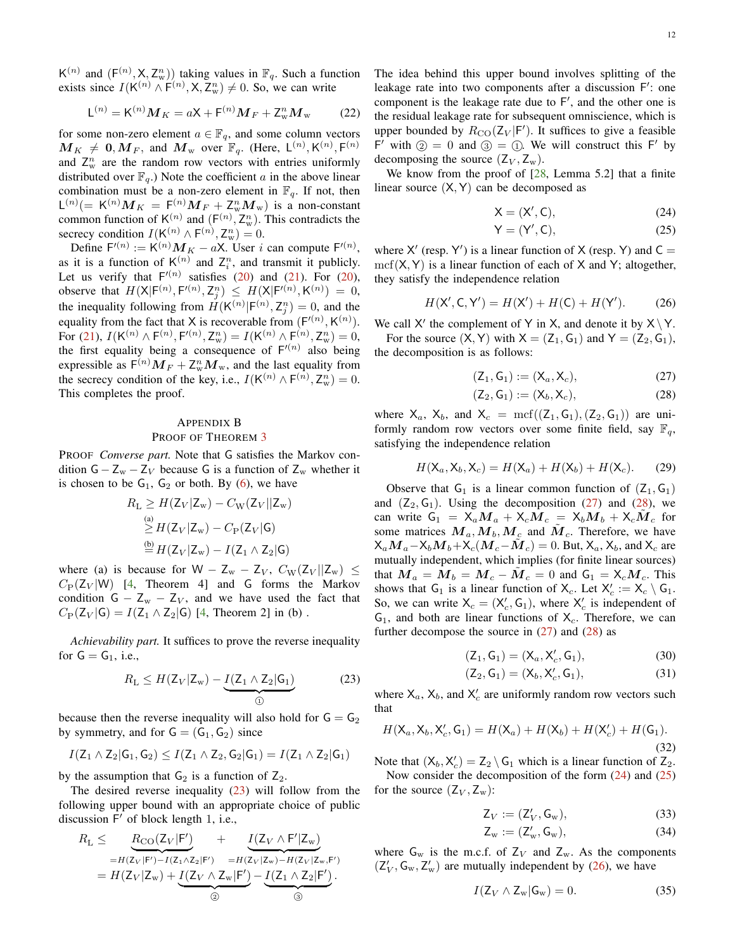$K^{(n)}$  and  $(F^{(n)}, X, Z_w^n)$  taking values in  $\mathbb{F}_q$ . Such a function exists since  $I(K^{(n)} \wedge F^{(n)}, X, Z_w^n) \neq 0$ . So, we can write

$$
\mathsf{L}^{(n)} = \mathsf{K}^{(n)} \mathbf{M}_K = a\mathsf{X} + \mathsf{F}^{(n)} \mathbf{M}_F + \mathsf{Z}_{\mathsf{w}}^n \mathbf{M}_{\mathsf{w}} \tag{22}
$$

for some non-zero element  $a \in \mathbb{F}_q$ , and some column vectors  $M_{K_{\perp}} \neq 0, M_{F}$ , and  $M_{w}$  over  $\mathbb{F}_{q}$ . (Here,  $\mathsf{L}^{(n)}, \mathsf{K}^{(n)}, \mathsf{F}^{(n)}$ and  $Z_w^n$  are the random row vectors with entries uniformly distributed over  $\mathbb{F}_q$ .) Note the coefficient a in the above linear combination must be a non-zero element in  $\mathbb{F}_q$ . If not, then  $\mathsf{L}^{(n)}(=\mathsf{K}^{(n)}\boldsymbol{M}_K = \mathsf{F}^{(n)}(M_F + \mathsf{Z}_{\mathrm{w}}^n \boldsymbol{M}_{\mathrm{w}})$  is a non-constant common function of  $\mathsf{K}^{(n)}$  and  $(\mathsf{F}^{(n)}, \mathsf{Z}_{\mathrm{w}}^n)$ . This contradicts the secrecy condition  $I(K^{(n)} \wedge F^{(n)}, Z_w^n) = 0.$ 

Define  $F'(n) := K^{(n)} M_K - aX$ . User i can compute  $F'(n)$ , as it is a function of  $K^{(n)}$  and  $Z_i^n$ , and transmit it publicly. Let us verify that  $F^{(n)}$  satisfies [\(20\)](#page-10-3) and [\(21\)](#page-10-4). For (20), observe that  $H(X | F^{(n)}, F^{(n)}, Z_j^n) \leq H(X | F^{(n)}, K^{(n)}) = 0$ , the inequality following from  $H(K^{(n)} | F^{(n)}, Z_j^n) = 0$ , and the equality from the fact that X is recoverable from  $(F^{(n)}, K^{(n)})$ . For [\(21\)](#page-10-4),  $I(K^{(n)} \wedge F^{(n)}, F^{(n)}, Z_w^n) = I(K^{(n)} \wedge F^{(n)}, Z_w^n) = 0,$ the first equality being a consequence of  $F^{(n)}$  also being expressible as  $F^{(n)}M_F + Z_w^nM_w$ , and the last equality from the secrecy condition of the key, i.e.,  $I(K^{(n)} \wedge F^{(n)}, Z_w^n) = 0$ . This completes the proof.

# <span id="page-11-0"></span>APPENDIX B PROOF OF THEOREM [3](#page-7-4)

PROOF *Converse part.* Note that G satisfies the Markov condition  $G - Z_w - Z_V$  because G is a function of  $Z_w$  whether it is chosen to be  $G_1$ ,  $G_2$  or both. By [\(6\)](#page-4-2), we have

$$
R_{\rm L} \ge H(Z_V|Z_{\rm w}) - C_{\rm W}(Z_V||Z_{\rm w})
$$
  
\n
$$
\ge H(Z_V|Z_{\rm w}) - C_{\rm P}(Z_V|G)
$$
  
\n
$$
\stackrel{\text{(b)}}{=} H(Z_V|Z_{\rm w}) - I(Z_1 \wedge Z_2|G)
$$

where (a) is because for W –  $Z_w - Z_V$ ,  $C_W(Z_V || Z_w) \le$  $C_P(Z_V | W)$  [\[4](#page-22-4), Theorem 4] and G forms the Markov condition  $G - Z_w - Z_V$ , and we have used the fact that  $C_P(Z_V | G) = I(Z_1 \wedge Z_2 | G)$  [\[4,](#page-22-4) Theorem 2] in (b).

*Achievability part.* It suffices to prove the reverse inequality for  $G = G_1$ , i.e.,

$$
R_{\rm L} \le H(Z_V | Z_{\rm w}) - \underbrace{I(Z_1 \wedge Z_2 | \mathsf{G}_1)}_{\odot} \tag{23}
$$

because then the reverse inequality will also hold for  $G = G_2$ by symmetry, and for  $G = (G_1, G_2)$  since

$$
I(Z_1 \wedge Z_2 | G_1, G_2) \leq I(Z_1 \wedge Z_2, G_2 | G_1) = I(Z_1 \wedge Z_2 | G_1)
$$

by the assumption that  $G_2$  is a function of  $Z_2$ .

The desired reverse inequality  $(23)$  will follow from the following upper bound with an appropriate choice of public discussion F ′ of block length 1, i.e.,

$$
R_{\mathrm{L}} \leq \underbrace{R_{\mathrm{CO}}(Z_V|\mathrm{F}')}_{=H(Z_V|\mathrm{F}')-I(Z_1 \wedge Z_2|\mathrm{F}')}_{=H(Z_V|Z_w)-H(Z_V|Z_w,\mathrm{F}')}_{=H(Z_V|Z_w,\mathrm{F}')}=H(Z_V|Z_w,\mathrm{F}')}_{=H(Z_V|Z_w)+\underbrace{I(Z_V \wedge Z_w|\mathrm{F}')}_{\textcircled{\tiny 2}}- \underbrace{I(Z_1 \wedge Z_2|\mathrm{F}')}_{\textcircled{\tiny 3}}.
$$

The idea behind this upper bound involves splitting of the leakage rate into two components after a discussion F': one component is the leakage rate due to F ′ , and the other one is the residual leakage rate for subsequent omniscience, which is upper bounded by  $R_{\text{CO}}(Z_V | F')$ . It suffices to give a feasible F' with  $\odot$  = 0 and  $\odot$  =  $\odot$ . We will construct this F' by decomposing the source  $(Z_V, Z_w)$ .

We know from the proof of [\[28,](#page-22-24) Lemma 5.2] that a finite linear source  $(X, Y)$  can be decomposed as

<span id="page-11-4"></span>
$$
X = (X', C), \tag{24}
$$

<span id="page-11-6"></span><span id="page-11-5"></span>
$$
Y = (Y', C), \tag{25}
$$

where  $X'$  (resp. Y') is a linear function of X (resp. Y) and  $C =$  $mcf(X, Y)$  is a linear function of each of X and Y; altogether, they satisfy the independence relation

$$
H(X', C, Y') = H(X') + H(C) + H(Y').
$$
 (26)

We call X' the complement of Y in X, and denote it by  $X \ Y$ . For the source  $(X, Y)$  with  $X = (Z_1, G_1)$  and  $Y = (Z_2, G_1)$ , the decomposition is as follows:

$$
(Z_1, G_1) := (X_a, X_c), \tag{27}
$$

<span id="page-11-3"></span><span id="page-11-2"></span>
$$
(\mathsf{Z}_2, \mathsf{G}_1) := (\mathsf{X}_b, \mathsf{X}_c), \tag{28}
$$

where  $X_a$ ,  $X_b$ , and  $X_c = \text{mcf}((Z_1, G_1), (Z_2, G_1))$  are uniformly random row vectors over some finite field, say  $\mathbb{F}_q$ , satisfying the independence relation

$$
H(\mathsf{X}_a, \mathsf{X}_b, \mathsf{X}_c) = H(\mathsf{X}_a) + H(\mathsf{X}_b) + H(\mathsf{X}_c). \tag{29}
$$

Observe that  $G_1$  is a linear common function of  $(Z_1, G_1)$ and  $(Z_2, G_1)$ . Using the decomposition  $(27)$  and  $(28)$ , we can write  $G_1 = X_a M_a + X_c M_c = X_b M_b + X_c M_c$  for some matrices  $\boldsymbol{M}_a, \boldsymbol{M}_b, \boldsymbol{M}_c$  and  $\boldsymbol{\tilde{M}}_c$ . Therefore, we have  $X_a \boldsymbol{M}_a - X_b \boldsymbol{M}_b + X_c(\boldsymbol{M}_c - \tilde{\boldsymbol{M}}_c) = 0$ . But,  $X_a$ ,  $X_b$ , and  $X_c$  are mutually independent, which implies (for finite linear sources) that  $\overline{M}_a = \overline{M}_b = \overline{M}_c - \tilde{M}_c = 0$  and  $G_1 = X_c M_c$ . This shows that  $G_1$  is a linear function of  $X_c$ . Let  $X'_c := X_c \setminus G_1$ . So, we can write  $X_c = (X'_c, G_1)$ , where  $X'_c$  is independent of  $G_1$ , and both are linear functions of  $X_c$ . Therefore, we can further decompose the source in  $(27)$  and  $(28)$  as

<span id="page-11-7"></span>
$$
(\mathsf{Z}_1, \mathsf{G}_1) = (\mathsf{X}_a, \mathsf{X}'_c, \mathsf{G}_1), \tag{30}
$$

<span id="page-11-8"></span>
$$
(\mathsf{Z}_2, \mathsf{G}_1) = (\mathsf{X}_b, \mathsf{X}_c', \mathsf{G}_1), \tag{31}
$$

<span id="page-11-1"></span>where  $X_a$ ,  $X_b$ , and  $X_c'$  are uniformly random row vectors such that

$$
H(\mathsf{X}_a, \mathsf{X}_b, \mathsf{X}_c', \mathsf{G}_1) = H(\mathsf{X}_a) + H(\mathsf{X}_b) + H(\mathsf{X}_c') + H(\mathsf{G}_1). \tag{32}
$$

Note that  $(X_b, X_c') = Z_2 \setminus G_1$  which is a linear function of  $Z_2$ . Now consider the decomposition of the form  $(24)$  and  $(25)$ for the source  $(Z_V, Z_w)$ :

<span id="page-11-11"></span>
$$
Z_V := (Z'_V, \mathsf{G}_w),\tag{33}
$$

<span id="page-11-10"></span><span id="page-11-9"></span>
$$
Z_w := (Z'_w, G_w), \tag{34}
$$

where  $G_w$  is the m.c.f. of  $Z_V$  and  $Z_w$ . As the components  $(Z'_V, G_w, Z'_w)$  are mutually independent by [\(26\)](#page-11-6), we have

$$
I(\mathsf{Z}_V \wedge \mathsf{Z}_w | \mathsf{G}_w) = 0. \tag{35}
$$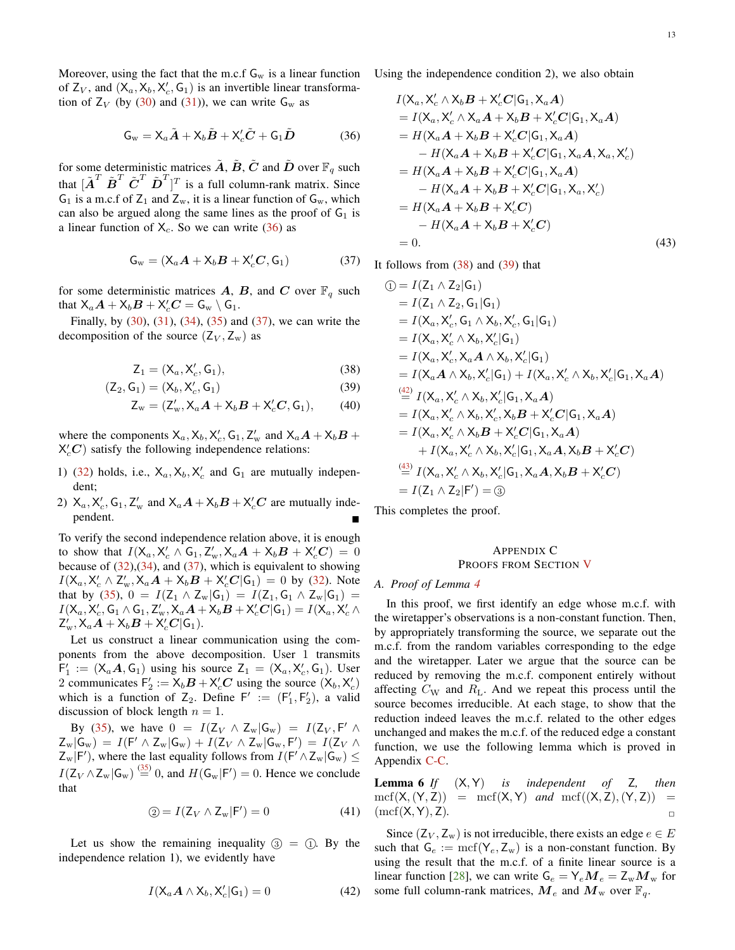Moreover, using the fact that the m.c.f  $G_w$  is a linear function of  $Z_V$ , and  $(X_a, X_b, X_c', G_1)$  is an invertible linear transformation of  $Z_V$  (by [\(30\)](#page-11-7) and [\(31\)](#page-11-8)), we can write  $G_w$  as

$$
\mathsf{G}_{\mathrm{w}} = \mathsf{X}_{a}\tilde{\mathbf{A}} + \mathsf{X}_{b}\tilde{\mathbf{B}} + \mathsf{X}_{c}'\tilde{\mathbf{C}} + \mathsf{G}_{1}\tilde{\mathbf{D}} \tag{36}
$$

for some deterministic matrices  $\tilde{A}$ ,  $\tilde{B}$ ,  $\tilde{C}$  and  $\tilde{D}$  over  $\mathbb{F}_q$  such that  $[\tilde{\boldsymbol{A}}^T \tilde{\boldsymbol{B}}^T \tilde{\boldsymbol{C}}^T \tilde{\boldsymbol{D}}^T]^T$  is a full column-rank matrix. Since  $G_1$  is a m.c.f of  $Z_1$  and  $Z_w$ , it is a linear function of  $G_w$ , which can also be argued along the same lines as the proof of  $G_1$  is a linear function of  $X_c$ . So we can write [\(36\)](#page-12-1) as

$$
\mathsf{G}_{w} = (\mathsf{X}_{a}\boldsymbol{A} + \mathsf{X}_{b}\boldsymbol{B} + \mathsf{X}_{c}'\boldsymbol{C}, \mathsf{G}_{1})
$$
(37)

for some deterministic matrices A, B, and C over  $\mathbb{F}_q$  such that  $X_a\boldsymbol{A} + X_b\boldsymbol{B} + X_c'\boldsymbol{C} = \mathsf{G}_{\mathrm{w}}\setminus \mathsf{G}_1.$ 

Finally, by  $(30)$ ,  $(31)$ ,  $(34)$ ,  $(35)$  and  $(37)$ , we can write the decomposition of the source  $(Z_V, Z_w)$  as

$$
\mathsf{Z}_1 = (\mathsf{X}_a, \mathsf{X}_c', \mathsf{G}_1),\tag{38}
$$

$$
(\mathsf{Z}_2, \mathsf{G}_1) = (\mathsf{X}_b, \mathsf{X}_c', \mathsf{G}_1) \tag{39}
$$

$$
\mathsf{Z}_{w} = (\mathsf{Z}'_{w}, \mathsf{X}_{a}\mathbf{A} + \mathsf{X}_{b}\mathbf{B} + \mathsf{X}'_{c}\mathbf{C}, \mathsf{G}_{1}), \qquad (40)
$$

where the components  $X_a$ ,  $X_b$ ,  $X_c'$ ,  $G_1$ ,  $Z_w'$  and  $X_aA + X_bB +$  $X_c'$ C) satisfy the following independence relations:

- 1) [\(32\)](#page-11-11) holds, i.e.,  $X_a$ ,  $X_b$ ,  $X_c$  and  $G_1$  are mutually independent;
- 2)  $X_a$ ,  $X'_c$ ,  $G_1$ ,  $Z'_w$  and  $X_aA + X_bB + X'_cC$  are mutually independent.

To verify the second independence relation above, it is enough to show that  $I(X_a, X'_c \wedge G_1, Z'_w, X_aA + X_bB + X'_cC) = 0$ because of  $(32),(34)$  $(32),(34)$ , and  $(37)$ , which is equivalent to showing  $I(X_a, X'_c \wedge Z'_w, X_aA + X_bB + X'_cC|G_1) = 0$  by [\(32\)](#page-11-11). Note that by [\(35\)](#page-11-10),  $0 = I(Z_1 \wedge Z_w | G_1) = I(Z_1, G_1 \wedge Z_w | G_1) =$  $I(\mathsf{X}_a,\mathsf{X}'_c,\mathsf{G}_1 \wedge \mathsf{G}_1,\mathsf{Z}'_w,\mathsf{X}_a\boldsymbol{A} + \mathsf{X}_b\boldsymbol{B} + \mathsf{X}'_c\boldsymbol{C}|\mathsf{G}_1) = I(\mathsf{X}_a,\mathsf{X}'_c \wedge \mathsf{X}'_c)$  $\mathsf{Z}^{\prime}_{\mathrm{w}}, \mathsf{X}_{a}\tilde{\boldsymbol{A}} + \mathsf{X}_{b}\boldsymbol{B} + \mathsf{X}_{c}^{\prime}\boldsymbol{C}|\mathsf{G}_{1}).$ 

Let us construct a linear communication using the components from the above decomposition. User 1 transmits  $F'_1 := (X_a A, G_1)$  using his source  $Z_1 = (X_a, X'_c, G_1)$ . User 2 communicates  $F'_2 := X_b B + X'_c C$  using the source  $(X_b, X'_c)$ which is a function of  $Z_2$ . Define  $F' := (F'_1, F'_2)$ , a valid discussion of block length  $n = 1$ .

By [\(35\)](#page-11-10), we have  $0 = I(Z_V \wedge Z_w | G_w) = I(Z_V, F' \wedge$  $Z_{\rm w}|\mathsf{G}_{\rm w}) = I(\mathsf{F}' \wedge Z_{\rm w}|\mathsf{G}_{\rm w}) + I(Z_V \wedge Z_{\rm w}|\mathsf{G}_{\rm w},\mathsf{F}') = I(Z_V \wedge$  $Z_{\rm w}$ |F'), where the last equality follows from  $I(F' \wedge Z_{\rm w}|G_{\rm w}) \leq$  $I(\mathsf{Z}_V \wedge \mathsf{Z}_w | \mathsf{G}_w) \stackrel{(35)}{=} 0$  $I(\mathsf{Z}_V \wedge \mathsf{Z}_w | \mathsf{G}_w) \stackrel{(35)}{=} 0$  $I(\mathsf{Z}_V \wedge \mathsf{Z}_w | \mathsf{G}_w) \stackrel{(35)}{=} 0$ , and  $H(\mathsf{G}_w | \mathsf{F}') = 0$ . Hence we conclude that

$$
\textcircled{2} = I(\text{Z}_V \wedge \text{Z}_w | \text{F}') = 0 \tag{41}
$$

Let us show the remaining inequality  $(3) = (1)$ . By the independence relation 1), we evidently have

$$
I(\mathsf{X}_a \mathbf{A} \wedge \mathsf{X}_b, \mathsf{X}_c' | \mathsf{G}_1) = 0 \tag{42}
$$

Using the independence condition 2), we also obtain

<span id="page-12-1"></span>
$$
I(X_a, X'_c \wedge X_b B + X'_c C | G_1, X_a A)
$$
  
=  $I(X_a, X'_c \wedge X_a A + X_b B + X'_c C | G_1, X_a A)$   
=  $H(X_a A + X_b B + X'_c C | G_1, X_a A)$   
 $- H(X_a A + X_b B + X'_c C | G_1, X_a A, X_a, X'_c)$   
=  $H(X_a A + X_b B + X'_c C | G_1, X_a A)$   
 $- H(X_a A + X_b B + X'_c C | G_1, X_a, X'_c)$   
=  $H(X_a A + X_b B + X'_c C)$   
 $- H(X_a A + X_b B + X'_c C)$   
= 0. (43)

<span id="page-12-2"></span>It follows from  $(38)$  and  $(39)$  that

<span id="page-12-6"></span><span id="page-12-4"></span><span id="page-12-3"></span>
$$
① = I(Z_1 \wedge Z_2 | G_1)
$$
  
\n= I(X<sub>a</sub>, X<sub>c</sub>', G<sub>1</sub> | G<sub>1</sub>)  
\n= I(X<sub>a</sub>, X<sub>c</sub>', G<sub>1</sub> ∧ X<sub>b</sub>, X<sub>c</sub>', G<sub>1</sub> | G<sub>1</sub>)  
\n= I(X<sub>a</sub>, X<sub>c</sub>' ∧ X<sub>b</sub>, X<sub>c</sub>' | G<sub>1</sub>)  
\n= I(X<sub>a</sub>, X<sub>c</sub>', X<sub>a</sub> A ∧ X<sub>b</sub>, X<sub>c</sub>' | G<sub>1</sub>)  
\n= I(X<sub>a</sub>, A ∧ X<sub>b</sub>, X<sub>c</sub>' | G<sub>1</sub>)  
\n= I(X<sub>a</sub>, A ∧ X<sub>b</sub>, X<sub>c</sub>' | G<sub>1</sub>) + I(X<sub>a</sub>, X<sub>c</sub>' ∧ X<sub>b</sub>, X<sub>c</sub>' | G<sub>1</sub>, X<sub>a</sub>A)  
\n
$$
\stackrel{(42)}{=} I(Xa, Xc' ∧ Xb, Xc' | G1, XaA)
$$
\n= I(X<sub>a</sub>, X<sub>c</sub>' ∧ X<sub>b</sub>, X<sub>c</sub>', X<sub>b</sub>B + X<sub>c</sub>'C | G<sub>1</sub>, X<sub>a</sub>A)  
\n+ I(X<sub>a</sub>, X<sub>c</sub>' ∧ X<sub>b</sub>, X<sub>c</sub>' | G<sub>1</sub>, X<sub>a</sub>A, X<sub>b</sub>B + X<sub>c</sub>'C)  
\n
$$
\stackrel{(43)}{=} I(Xa, Xc' ∧ Xb, Xc' | G1, XaA, XbB + Xc'C)\n= I(Z1 ∧ Z2 | F') = ③
$$

This completes the proof.

## APPENDIX C PROOFS FROM SECTION [V](#page-7-0)

### <span id="page-12-0"></span>*A. Proof of Lemma [4](#page-8-2)*

In this proof, we first identify an edge whose m.c.f. with the wiretapper's observations is a non-constant function. Then, by appropriately transforming the source, we separate out the m.c.f. from the random variables corresponding to the edge and the wiretapper. Later we argue that the source can be reduced by removing the m.c.f. component entirely without affecting  $C_W$  and  $R_L$ . And we repeat this process until the source becomes irreducible. At each stage, to show that the reduction indeed leaves the m.c.f. related to the other edges unchanged and makes the m.c.f. of the reduced edge a constant function, we use the following lemma which is proved in Appendix [C-C.](#page-16-0)

<span id="page-12-7"></span>Lemma 6 *If* (X, Y) *is independent of* Z*, then*  $mcf(X,(Y,Z)) = mcf(X,Y)$  *and*  $mcf((X,Z),(Y,Z)) =$  $(\text{mcf}(X, Y), Z)$ .

<span id="page-12-5"></span>Since  $(Z_V, Z_w)$  is not irreducible, there exists an edge  $e \in E$ such that  $G_e := \text{mcf}(Y_e, Z_w)$  is a non-constant function. By using the result that the m.c.f. of a finite linear source is a linear function [\[28\]](#page-22-24), we can write  $G_e = Y_e M_e = Z_w M_w$  for some full column-rank matrices,  $M_e$  and  $M_w$  over  $\mathbb{F}_q$ .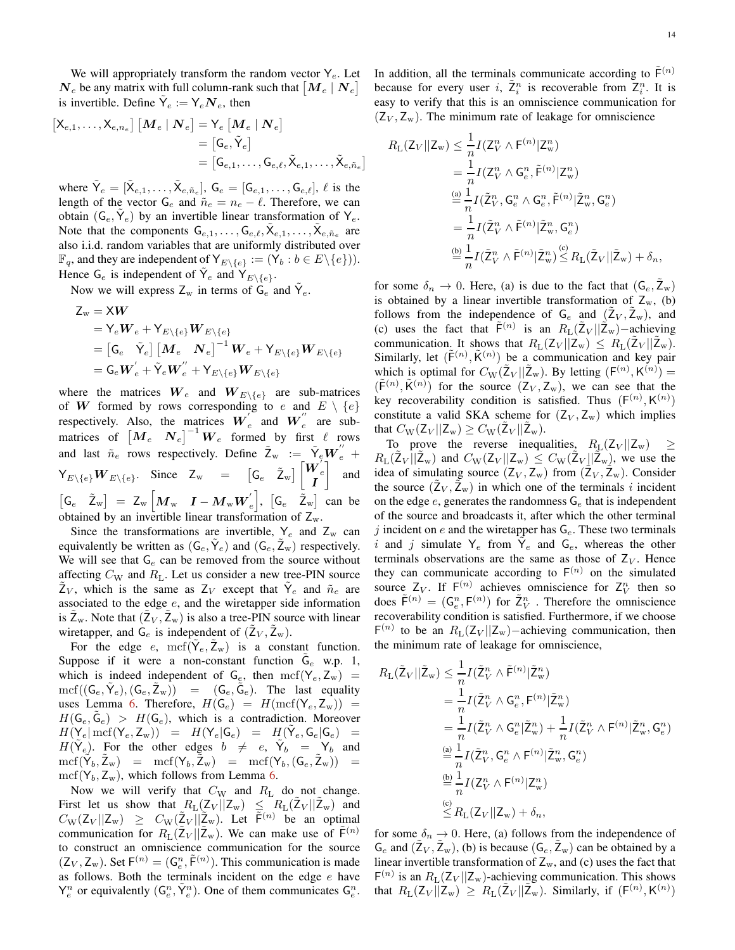We will appropriately transform the random vector  $Y_e$ . Let  $N_e$  be any matrix with full column-rank such that  $\left[Me\right]$   $N_e$ is invertible. Define  $\tilde{Y}_e := Y_e \mathbf{N}_e$ , then

$$
\begin{aligned} \left[\mathsf{X}_{e,1}, \ldots, \mathsf{X}_{e,n_e}\right] \left[\boldsymbol{M}_e \mid \boldsymbol{N}_e\right] & = \mathsf{Y}_e \left[\boldsymbol{M}_e \mid \boldsymbol{N}_e\right] \\ & = \left[\mathsf{G}_e, \tilde{\mathsf{Y}}_e\right] \\ & = \left[\mathsf{G}_{e,1}, \ldots, \mathsf{G}_{e,\ell}, \tilde{\mathsf{X}}_{e,1}, \ldots, \tilde{\mathsf{X}}_{e,\tilde{n}_e}\right] \end{aligned}
$$

where  $\tilde{\mathsf{Y}}_e = [\tilde{\mathsf{X}}_{e,1}, \dots, \tilde{\mathsf{X}}_{e,\tilde{n}_e}], \mathsf{G}_e = [\mathsf{G}_{e,1}, \dots, \mathsf{G}_{e,\ell}], \ell$  is the length of the vector  $G_e$  and  $\tilde{n}_e = n_e - \ell$ . Therefore, we can obtain  $(G_e, \tilde{Y}_e)$  by an invertible linear transformation of  $Y_e$ . Note that the components  $G_{e,1}, \ldots, G_{e,\ell}, \tilde{X}_{e,1}, \ldots, \tilde{X}_{e, \tilde{n}_e}$  are also i.i.d. random variables that are uniformly distributed over  $\mathbb{F}_q$ , and they are independent of  $\mathsf{Y}_{E \setminus \{e\}} := (\mathsf{Y}_b : b \in E \setminus \{e\})$ . Hence  $G_e$  is independent of  $\tilde{Y}_e$  and  $\tilde{Y}_{E \setminus \{e\}}$ .

Now we will express  $Z_w$  in terms of  $\tilde{G}_e$  and  $\tilde{Y}_e$ .

$$
\begin{aligned} \mathsf{Z}_{\mathrm{w}}&=\mathsf{X}\boldsymbol{W} \\ &=\mathsf{Y}_{e}\boldsymbol{W}_{e}+\mathsf{Y}_{E\setminus\left\{e\right\}}\boldsymbol{W}_{E\setminus\left\{e\right\}} \\ &=\left[\mathsf{G}_{e}\quad\widetilde{\mathsf{Y}}_{e}\right]\left[\boldsymbol{M}_{e}\quad\boldsymbol{N}_{e}\right]^{-1}\boldsymbol{W}_{e}+\mathsf{Y}_{E\setminus\left\{e\right\}}\boldsymbol{W}_{E\setminus\left\{e\right\}} \\ &=\mathsf{G}_{e}\boldsymbol{W}_{e}^{'}+\widetilde{\mathsf{Y}}_{e}\boldsymbol{W}_{e}^{''}+\mathsf{Y}_{E\setminus\left\{e\right\}}\boldsymbol{W}_{E\setminus\left\{e\right\}} \end{aligned}
$$

where the matrices  $W_e$  and  $W_{E\setminus\{e\}}$  are sub-matrices of W formed by rows corresponding to e and  $E \setminus \{e\}$ respectively. Also, the matrices  $\boldsymbol{W}'_e$  $\int_{e}^{e}$  and  $\boldsymbol{W}_{e}^{''}$  $e$  are submatrices of  $\left[ M_e \quad N_e \right]^{-1} W_e$  formed by first  $\ell$  rows and last  $\tilde{n}_e$  rows respectively. Define  $\tilde{Z}_w := \tilde{Y}_e W_e'' +$  $Y_{E\setminus\{e\}}W_{E\setminus\{e\}}$ . Since  $Z_{w} = [G_{e} \tilde{Z}_{w}] [W_{e} \tilde{Z}_{w}]$  $\overset{\bullet}{I}{}^e$ 1 and  $\begin{bmatrix} \mathsf{G}_{e} & \tilde{\mathsf{Z}}_{\mathrm{w}} \end{bmatrix} \; = \; \mathsf{Z}_{\mathrm{w}} \begin{bmatrix} \boldsymbol{M}_{\mathrm{w}} & \boldsymbol{I} - \boldsymbol{M}_{\mathrm{w}} \boldsymbol{W}_{e}' \end{bmatrix}$ e ,  $[G_e \quad \tilde{Z}_w]$  can be obtained by an invertible linear transformation of  $Z_w$ .

Since the transformations are invertible,  $Y_e$  and  $Z_w$  can equivalently be written as  $(G_e, \tilde{Y}_e)$  and  $(G_e, \tilde{Z}_w)$  respectively. We will see that  $G_e$  can be removed from the source without affecting  $C_W$  and  $R_L$ . Let us consider a new tree-PIN source  $\tilde{Z}_V$ , which is the same as  $Z_V$  except that  $\tilde{Y}_e$  and  $\tilde{n}_e$  are associated to the edge  $e$ , and the wiretapper side information is  $\tilde{Z}_w$ . Note that  $(\tilde{Z}_V, \tilde{Z}_w)$  is also a tree-PIN source with linear wiretapper, and  $G_e$  is independent of  $(\tilde{Z}_V, \tilde{Z}_w)$ .

For the edge e,  $\text{mcf}(\tilde{\mathsf{Y}}_e, \tilde{\mathsf{Z}}_w)$  is a constant function. Suppose if it were a non-constant function  $\tilde{G}_e$  w.p. 1, which is indeed independent of  $G_e$ , then  $\mathrm{mcf}(Y_e, Z_w)$  =  $\mathrm{mcf}((\mathsf{G}_e, \tilde{\mathsf{Y}}_e),(\mathsf{G}_e, \tilde{\mathsf{Z}}_w)) = (\mathsf{G}_e, \tilde{\mathsf{G}}_e)$ . The last equality uses Lemma [6.](#page-12-7) Therefore,  $H(\mathsf{G}_e) = H(\text{mcf}(\mathsf{Y}_e, \mathsf{Z}_w)) =$  $H(\mathsf{G}_e, \tilde{\mathsf{G}}_e) > H(\mathsf{G}_e)$ , which is a contradiction. Moreover  $H(\mathsf{Y}_e | \operatorname{mcf}(\mathsf{Y}_e,\mathsf{Z}_w)) = H(\mathsf{Y}_e | \mathsf{G}_e) = H(\tilde{\mathsf{Y}}_e,\mathsf{G}_e | \mathsf{G}_e) =$  $H(\tilde{Y}_e)$ . For the other edges  $b \neq e$ ,  $\tilde{Y}_b = Y_b$  and  ${\rm mcf}(\tilde{\mathsf{Y}}_b,\tilde{\mathsf{Z}}_{\mathrm{w}}) \;\;\; = \;\; {\rm mcf}({\mathsf{Y}}_b,\tilde{\mathsf{Z}}_{\mathrm{w}}) \;\;\; = \;\; {\rm mcf}({\mathsf{Y}}_b,({\mathsf{G}}_e,\tilde{\mathsf{Z}}_{\mathrm{w}})) \;\;\; =$  $\text{mcf}(Y_b, Z_w)$ , which follows from Lemma [6.](#page-12-7)

Now we will verify that  $C_W$  and  $R_L$  do not change. First let us show that  $R_{\text{L}}(Z_V||Z_w) \leq R_{\text{L}}(Z_V||\tilde{Z}_w)$  and  $C_{\rm W}(Z_V || Z_{\rm w}) \geq C_{\rm W}(\tilde{Z}_V || \tilde{Z}_{\rm w}).$  Let  $\tilde{F}^{(n)}$  be an optimal communication for  $R_L(\tilde{Z}_V || \tilde{Z}_w)$ . We can make use of  $\tilde{F}^{(n)}$ to construct an omniscience communication for the source  $(Z_V, Z_w)$ . Set  $F^{(n)} = (G_e^n, \tilde{F}^{(n)})$ . This communication is made as follows. Both the terminals incident on the edge  $e$  have  $Y_e^n$  or equivalently  $(G_e^n, \tilde{Y}_e^n)$ . One of them communicates  $G_e^n$ .

In addition, all the terminals communicate according to  $\tilde{F}^{(n)}$ because for every user i,  $\tilde{Z}_i^n$  is recoverable from  $Z_i^n$ . It is easy to verify that this is an omniscience communication for  $(Z_V, Z_w)$ . The minimum rate of leakage for omniscience

$$
R_{\mathcal{L}}(Z_V||Z_{\mathbf{w}}) \leq \frac{1}{n} I(Z_V^n \wedge \mathsf{F}^{(n)}|Z_{\mathbf{w}}^n)
$$
  
\n
$$
= \frac{1}{n} I(Z_V^n \wedge \mathsf{G}_e^n, \tilde{\mathsf{F}}^{(n)}|Z_{\mathbf{w}}^n)
$$
  
\n
$$
\stackrel{\text{(a)}}{=} \frac{1}{n} I(\tilde{Z}_V^n, \mathsf{G}_e^n \wedge \mathsf{G}_e^n, \tilde{\mathsf{F}}^{(n)}|\tilde{Z}_{\mathbf{w}}^n, \mathsf{G}_e^n)
$$
  
\n
$$
= \frac{1}{n} I(\tilde{Z}_V^n \wedge \tilde{\mathsf{F}}^{(n)}|\tilde{Z}_{\mathbf{w}}^n, \mathsf{G}_e^n)
$$
  
\n
$$
\stackrel{\text{(b)}}{=} \frac{1}{n} I(\tilde{Z}_V^n \wedge \tilde{\mathsf{F}}^{(n)}|\tilde{Z}_{\mathbf{w}}^n) \stackrel{\text{(c)}}{\leq} R_{\mathcal{L}}(\tilde{Z}_V||\tilde{Z}_{\mathbf{w}}) + \delta_n,
$$

for some  $\delta_n \to 0$ . Here, (a) is due to the fact that  $(\mathsf{G}_e, \mathsf{Z}_w)$ is obtained by a linear invertible transformation of  $Z_w$ , (b) follows from the independence of  $G_e$  and  $(\tilde{Z}_V, \tilde{Z}_w)$ , and (c) uses the fact that  $\tilde{F}^{(n)}$  is an  $R_L(\tilde{Z}_V || \tilde{Z}_w)$  -achieving communication. It shows that  $R_{\text{L}}(Z_V || Z_w) \leq R_{\text{L}}(\tilde{Z}_V || \tilde{Z}_w)$ . Similarly, let  $(\tilde{\mathsf{F}}^{(n)}, \tilde{\mathsf{K}}^{(n)})$  be a communication and key pair which is optimal for  $C_{\text{W}}(\tilde{Z}_V || \tilde{Z}_{\text{w}})$ . By letting  $(F^{(n)}, K^{(n)}) =$  $(\tilde{\mathsf{F}}^{(n)}, \tilde{\mathsf{K}}^{(n)})$  for the source  $(Z_V, Z_w)$ , we can see that the key recoverability condition is satisfied. Thus  $(F^{(n)}, K^{(n)})$ constitute a valid SKA scheme for  $(Z_V, Z_w)$  which implies that  $C_{\text{W}}(\mathsf{Z}_V || \mathsf{Z}_{\text{w}}) \geq C_{\text{W}}(\tilde{\mathsf{Z}}_V || \tilde{\mathsf{Z}}_{\text{w}})$ .

To prove the reverse inequalities,  $R_L(Z_V || Z_w) \geq$  $R_{\text{L}}(\tilde{Z}_V||\tilde{Z}_w)$  and  $C_{\text{W}}(Z_V||Z_w) \leq C_{\text{W}}(\tilde{Z}_V||\tilde{Z}_w)$ , we use the idea of simulating source  $(Z_V, Z_w)$  from  $(\tilde{Z}_V, \tilde{Z}_w)$ . Consider the source  $(\tilde{Z}_V, \tilde{Z}_w)$  in which one of the terminals i incident on the edge  $e$ , generates the randomness  $G_e$  that is independent of the source and broadcasts it, after which the other terminal j incident on  $e$  and the wiretapper has  $G_e$ . These two terminals i and j simulate  $Y_e$  from  $\tilde{Y}_e$  and  $G_e$ , whereas the other terminals observations are the same as those of  $Z_V$ . Hence they can communicate according to  $F^{(n)}$  on the simulated source  $Z_V$ . If  $F^{(n)}$  achieves omniscience for  $Z_V^n$  then so does  $\tilde{\mathsf{F}}^{(n)} = (\mathsf{G}_e^n, \mathsf{F}^{(n)})$  for  $\tilde{\mathsf{Z}}_V^n$  . Therefore the omniscience recoverability condition is satisfied. Furthermore, if we choose  $F^{(n)}$  to be an  $R_L(Z_V||Z_w)$  – achieving communication, then the minimum rate of leakage for omniscience,

$$
R_{\mathcal{L}}(\tilde{Z}_{V}||\tilde{Z}_{w}) \leq \frac{1}{n} I(\tilde{Z}_{V}^{n} \wedge \tilde{\mathsf{F}}^{(n)}|\tilde{Z}_{w}^{n})
$$
  
\n
$$
= \frac{1}{n} I(\tilde{Z}_{V}^{n} \wedge \mathsf{G}_{e}^{n}, \mathsf{F}^{(n)}|\tilde{Z}_{w}^{n})
$$
  
\n
$$
= \frac{1}{n} I(\tilde{Z}_{V}^{n} \wedge \mathsf{G}_{e}^{n}|\tilde{Z}_{w}^{n}) + \frac{1}{n} I(\tilde{Z}_{V}^{n} \wedge \mathsf{F}^{(n)}|\tilde{Z}_{w}^{n}, \mathsf{G}_{e}^{n})
$$
  
\n
$$
\stackrel{\text{(a)}}{=} \frac{1}{n} I(\tilde{Z}_{V}^{n}, \mathsf{G}_{e}^{n} \wedge \mathsf{F}^{(n)}|\tilde{Z}_{w}^{n}, \mathsf{G}_{e}^{n})
$$
  
\n
$$
\stackrel{\text{(b)}}{=} \frac{1}{n} I(Z_{V}^{n} \wedge \mathsf{F}^{(n)}|Z_{w}^{n})
$$
  
\n
$$
\stackrel{\text{(c)}}{\leq} R_{\mathcal{L}}(Z_{V}||Z_{w}) + \delta_{n},
$$

for some  $\delta_n \to 0$ . Here, (a) follows from the independence of  $G_e$  and  $(\tilde{Z}_V, \tilde{Z}_w)$ , (b) is because  $(G_e, \tilde{Z}_w)$  can be obtained by a linear invertible transformation of  $Z_w$ , and (c) uses the fact that  $F^{(n)}$  is an  $R_L(Z_V||Z_w)$ -achieving communication. This shows that  $R_{\text{L}}(Z_V||Z_w) \ge R_{\text{L}}(\tilde{Z}_V||\tilde{Z}_w)$ . Similarly, if  $(F^{(n)}, K^{(n)})$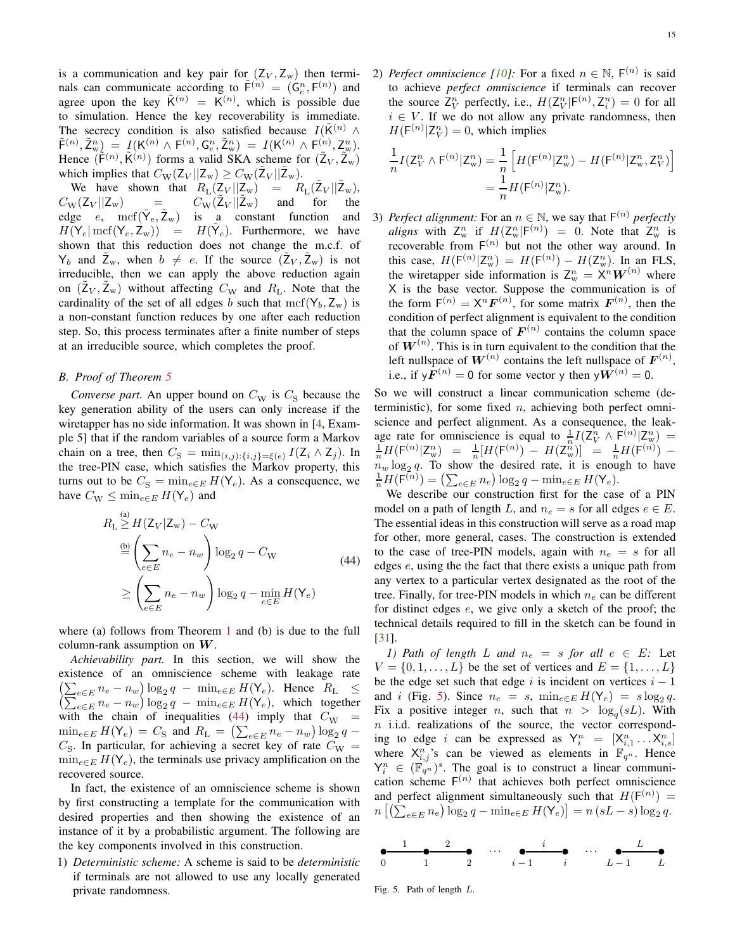is a communication and key pair for  $(Z_V, Z_w)$  then terminals can communicate according to  $\tilde{F}^{(n)} = (G_e^n, F^{(n)})$  and agree upon the key  $\tilde{K}^{(n)} = \tilde{K}^{(n)}$ , which is possible due to simulation. Hence the key recoverability is immediate. The secrecy condition is also satisfied because  $I(K^{(n)} \wedge$  $\tilde{F}^{(n)}, \tilde{Z}^n_{w}$  =  $I(K^{(n)} \wedge F^{(n)}, G^n_e, \tilde{Z}^n_w) = I(K^{(n)} \wedge F^{(n)}, Z^n_w).$ Hence  $(\tilde{\mathsf{F}}^{(n)}, \tilde{\mathsf{K}}^{(n)})$  forms a valid SKA scheme for  $(\tilde{\mathsf{Z}}_V, \tilde{\mathsf{Z}}_w)$ which implies that  $C_{\text{W}}(\mathsf{Z}_V || \mathsf{Z}_{\text{w}}) \geq C_{\text{W}}(\tilde{\mathsf{Z}}_V || \tilde{\mathsf{Z}}_{\text{w}})$ .

We have shown that  $R_{\rm L}(\mathbf{Z}_V || \mathbf{Z}_w) = R_{\rm L}(\mathbf{Z}_V || \mathbf{Z}_w)$ ,  $C_{\rm W}(Z_V || Z_{\rm w})$  =  $C_{\rm W}(Z_V||Z_{\rm w})$  and for the<br>is a constant function and edge  $e$ ,  $\text{mcf}(\tilde{\mathsf{Y}}_e, \tilde{\mathsf{Z}}_w)$  is a constant function and  $H(\mathsf{Y}_e | \text{mcf}(\mathsf{Y}_e, \mathsf{Z}_w)) = H(\tilde{\mathsf{Y}}_e)$ . Furthermore, we have shown that this reduction does not change the m.c.f. of  $Y_b$  and  $\tilde{Z}_w$ , when  $b \neq e$ . If the source  $(\tilde{Z}_V, \tilde{Z}_w)$  is not irreducible, then we can apply the above reduction again on  $(\tilde{Z}_V, \tilde{Z}_w)$  without affecting  $C_W$  and  $R_L$ . Note that the cardinality of the set of all edges b such that  $\text{mcf}(Y_b, Z_w)$  is a non-constant function reduces by one after each reduction step. So, this process terminates after a finite number of steps at an irreducible source, which completes the proof.

## <span id="page-14-0"></span>*B. Proof of Theorem [5](#page-8-3)*

*Converse part.* An upper bound on  $C_W$  is  $C_S$  because the key generation ability of the users can only increase if the wiretapper has no side information. It was shown in [\[4](#page-22-4), Example 5] that if the random variables of a source form a Markov chain on a tree, then  $C_{\rm S} = \min_{(i,j): \{i,j\} = \xi(e)} I(Z_i \wedge Z_j)$ . In the tree-PIN case, which satisfies the Markov property, this turns out to be  $C_{\rm S} = \min_{e \in E} H(Y_e)$ . As a consequence, we have  $C_{\text{W}} \leq \min_{e \in E} H(\mathsf{Y}_e)$  and

$$
R_{\text{L}} \geq H(Z_V | Z_w) - C_W
$$
  
\n
$$
\stackrel{\text{(b)}}{=} \left( \sum_{e \in E} n_e - n_w \right) \log_2 q - C_W
$$
  
\n
$$
\geq \left( \sum_{e \in E} n_e - n_w \right) \log_2 q - \min_{e \in E} H(Y_e)
$$
\n(44)

where (a) follows from Theorem  $1$  and (b) is due to the full column-rank assumption on  $W$ .

*Achievability part.* In this section, we will show the existence of an omniscience scheme with leakage rate  $\begin{array}{l} \left(\sum_{e\in E}n_{e}-n_{w}\right)\log_{2}q\ -\ \min_{e\in E}H(\mathsf{Y}_{e}).\quad \text{Hence}\quad R_{\text{L}}\quad\leq\\ \left(\sum_{e\in E}n_{e}-n_{w}\right)\log_{2}q\ -\ \min_{e\in E}H(\mathsf{Y}_{e}),\quad \text{which}\quad \text{together} \end{array}$ with the chain of inequalities [\(44\)](#page-14-1) imply that  $C_{\rm W}$  =  $\min_{e \in E} H(\mathsf{Y}_e) = C_{\mathsf{S}}$  and  $R_{\mathsf{L}} = (\sum_{e \in E} n_e - n_w) \log_2 q C_{\rm S}$ . In particular, for achieving a secret key of rate  $C_{\rm W}$  =  $\min_{e \in E} H(Y_e)$ , the terminals use privacy amplification on the recovered source.

In fact, the existence of an omniscience scheme is shown by first constructing a template for the communication with desired properties and then showing the existence of an instance of it by a probabilistic argument. The following are the key components involved in this construction.

1) *Deterministic scheme:* A scheme is said to be *deterministic* if terminals are not allowed to use any locally generated private randomness.

2) *Perfect omniscience [\[10\]](#page-22-8)*: For a fixed  $n \in \mathbb{N}$ ,  $F^{(n)}$  is said to achieve *perfect omniscience* if terminals can recover the source  $Z_V^n$  perfectly, i.e.,  $H(Z_V^n | F^{(n)}, Z_i^n) = 0$  for all  $i \in V$ . If we do not allow any private randomness, then  $H(\mathsf{F}^{(n)}|\mathsf{Z}_{V}^{n})=0$ , which implies

$$
\frac{1}{n}I(Z_V^n \wedge \mathsf{F}^{(n)}|Z_{\mathsf{w}}^n) = \frac{1}{n} \left[ H(\mathsf{F}^{(n)}|Z_{\mathsf{w}}^n) - H(\mathsf{F}^{(n)}|Z_{\mathsf{w}}^n, Z_V^n) \right] \n= \frac{1}{n} H(\mathsf{F}^{(n)}|Z_{\mathsf{w}}^n).
$$

3) *Perfect alignment:* For an  $n \in \mathbb{N}$ , we say that  $F^{(n)}$  *perfectly aligns* with  $Z_w^n$  if  $H(Z_w^n | F^{(n)}) = 0$ . Note that  $Z_w^n$  is recoverable from  $F^{(n)}$  but not the other way around. In this case,  $H(\mathsf{F}^{(n)}|\mathsf{Z}_{\mathrm{w}}^n) = H(\mathsf{F}^{(n)}) - H(\mathsf{Z}_{\mathrm{w}}^n)$ . In an FLS, the wiretapper side information is  $Z_w^n = X^n W^{(n)}$  where X is the base vector. Suppose the communication is of the form  $F^{(n)} = X^n F^{(n)}$ , for some matrix  $F^{(n)}$ , then the condition of perfect alignment is equivalent to the condition that the column space of  $F^{(n)}$  contains the column space of  $W^{(n)}$ . This is in turn equivalent to the condition that the left nullspace of  $W^{(n)}$  contains the left nullspace of  $F^{(n)}$ , i.e., if  $y\tilde{\mathbf{F}}^{(n)} = 0$  for some vector y then  $y\tilde{\mathbf{W}}^{(n)} = 0$ .

So we will construct a linear communication scheme (deterministic), for some fixed  $n$ , achieving both perfect omniscience and perfect alignment. As a consequence, the leakage rate for omniscience is equal to  $\frac{1}{n}I(Z_V^n \wedge F^{(n)}|Z_w^n) = \frac{1}{n}H(F^{(n)}|Z_w^n) = \frac{1}{n}[H(F^{(n)}) - H(Z_w^n)] = \frac{1}{n}H(F^{(n)})$  $n_w \log_2 q$ . To show the desired rate, it is enough to have  $\frac{1}{n}H(\bar{\mathsf{F}}^{(n)}) = \left(\sum_{e \in E} n_e\right) \log_2 q - \min_{e \in E} H(\mathsf{Y}_e).$ 

<span id="page-14-1"></span>We describe our construction first for the case of a PIN model on a path of length L, and  $n_e = s$  for all edges  $e \in E$ . The essential ideas in this construction will serve as a road map for other, more general, cases. The construction is extended to the case of tree-PIN models, again with  $n_e = s$  for all edges e, using the the fact that there exists a unique path from any vertex to a particular vertex designated as the root of the tree. Finally, for tree-PIN models in which  $n_e$  can be different for distinct edges e, we give only a sketch of the proof; the technical details required to fill in the sketch can be found in [\[31](#page-22-27)].

*1) Path of length L* and  $n_e = s$  *for all*  $e \in E$ *:* Let  $V = \{0, 1, \ldots, L\}$  be the set of vertices and  $E = \{1, \ldots, L\}$ be the edge set such that edge i is incident on vertices  $i - 1$ and *i* (Fig. [5\)](#page-14-2). Since  $n_e = s$ ,  $\min_{e \in E} H(Y_e) = s \log_2 q$ . Fix a positive integer *n*, such that  $n > \log_q(sL)$ . With  $n$  i.i.d. realizations of the source, the vector corresponding to edge *i* can be expressed as  $Y_i^n = [X_{i,1}^n \dots X_{i,s}^n]$ where  $X_{i,j}^{n}$ 's can be viewed as elements in  $\mathbb{F}_{q^n}$ . Hence  $Y_i^n \in (\mathbb{F}_{q^n}^{\mathbb{Z}})^s$ . The goal is to construct a linear communication scheme  $F^{(n)}$  that achieves both perfect omniscience and perfect alignment simultaneously such that  $H(\mathsf{F}^{(n)}) =$  $n \left[ \left( \sum_{e \in E} n_e \right) \log_2 q - \min_{e \in E} H(\mathsf{Y}_e) \right] = n \left( sL - s \right) \log_2 q.$ 



<span id="page-14-2"></span>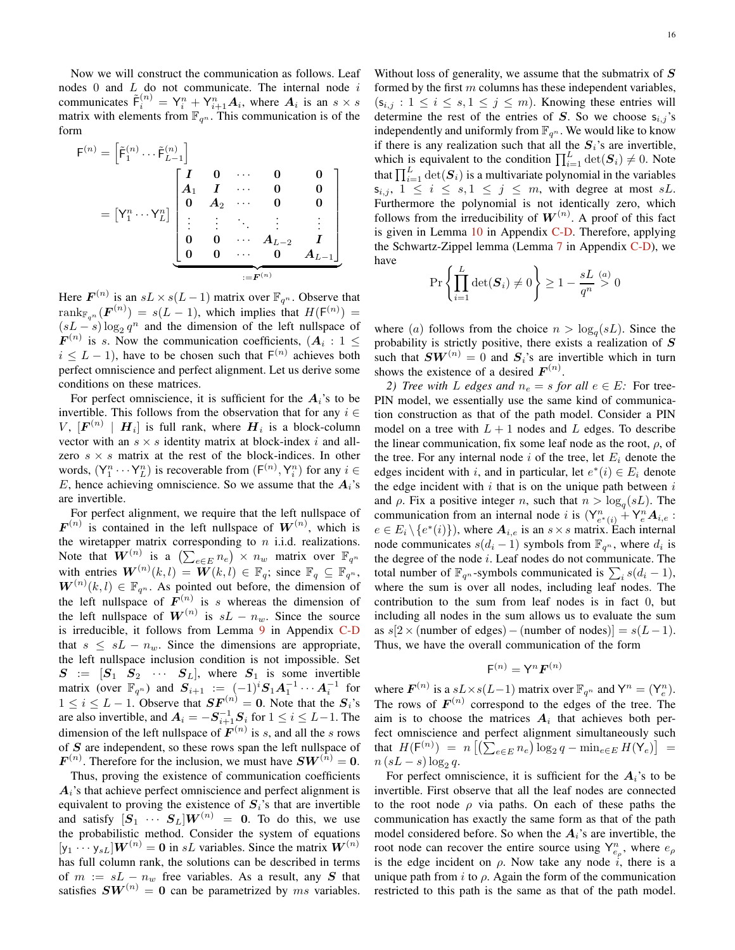Now we will construct the communication as follows. Leaf nodes  $0$  and  $L$  do not communicate. The internal node  $i$ communicates  $\tilde{\mathsf{F}}_i^{(n)} = \mathsf{Y}_i^n + \mathsf{Y}_{i+1}^n A_i$ , where  $A_i$  is an  $s \times s$ matrix with elements from  $\mathbb{F}_{q^n}$ . This communication is of the form

$$
\mathbf{F}^{(n)} = \begin{bmatrix} \tilde{\mathbf{F}}_1^{(n)} \cdots \tilde{\mathbf{F}}_{L-1}^{(n)} \end{bmatrix}
$$

$$
= \begin{bmatrix} \mathbf{Y}_1^n \cdots \mathbf{Y}_L^n \end{bmatrix} \begin{bmatrix} \mathbf{I} & \mathbf{0} & \cdots & \mathbf{0} & \mathbf{0} \\ \mathbf{A}_1 & \mathbf{I} & \cdots & \mathbf{0} & \mathbf{0} \\ \mathbf{0} & \mathbf{A}_2 & \cdots & \mathbf{0} & \mathbf{0} \\ \vdots & \vdots & \ddots & \vdots & \vdots \\ \mathbf{0} & \mathbf{0} & \cdots & \mathbf{A}_{L-2} & \mathbf{I} \\ \mathbf{0} & \mathbf{0} & \cdots & \mathbf{0} & \mathbf{A}_{L-1} \end{bmatrix}
$$

$$
:= \mathbf{F}^{(n)}
$$

Here  $\mathbf{F}^{(n)}$  is an  $sL \times s(L-1)$  matrix over  $\mathbb{F}_{q^n}$ . Observe that  $\operatorname{rank}_{\mathbb{F}_{q^n}}(\boldsymbol{F}^{(n)}) = s(L-1)$ , which implies that  $H(\mathsf{F}^{(n)}) =$  $(sL - s) \log_2 q^n$  and the dimension of the left nullspace of  $F^{(n)}$  is s. Now the communication coefficients,  $(A_i : 1 \leq$  $i \leq L - 1$ , have to be chosen such that  $F^{(n)}$  achieves both perfect omniscience and perfect alignment. Let us derive some conditions on these matrices.

For perfect omniscience, it is sufficient for the  $A_i$ 's to be invertible. This follows from the observation that for any  $i \in$ V,  $[F^{(n)} \mid H_i]$  is full rank, where  $H_i$  is a block-column vector with an  $s \times s$  identity matrix at block-index i and allzero  $s \times s$  matrix at the rest of the block-indices. In other words,  $(Y_1^n \cdots Y_L^n)$  is recoverable from  $(F^{(n)}, Y_i^n)$  for any  $i \in$ E, hence achieving omniscience. So we assume that the  $A_i$ 's are invertible.

For perfect alignment, we require that the left nullspace of  $F^{(n)}$  is contained in the left nullspace of  $W^{(n)}$ , which is the wiretapper matrix corresponding to  $n$  i.i.d. realizations. Note that  $\overline{W}^{(n)}$  is a  $\left(\sum_{e \in E} n_e\right) \times n_w$  matrix over  $\mathbb{F}_{q^n}$ with entries  $\mathbf{W}^{(n)}(k,l) = \mathbf{W}(k,l) \in \mathbb{F}_q$ ; since  $\mathbb{F}_q \subseteq \mathbb{F}_{q^n}$ ,  $W^{(n)}(k, l) \in \mathbb{F}_{q^n}$ . As pointed out before, the dimension of the left nullspace of  $F^{(n)}$  is s whereas the dimension of the left nullspace of  $W^{(n)}$  is  $sL - n_w$ . Since the source is irreducible, it follows from Lemma [9](#page-17-0) in Appendix [C-D](#page-16-1) that  $s \leq sL - n_w$ . Since the dimensions are appropriate, the left nullspace inclusion condition is not impossible. Set  $S = [S_1 \ S_2 \ \cdots \ S_L]$ , where  $S_1$  is some invertible matrix (over  $\mathbb{F}_{q^n}$ ) and  $S_{i+1} := (-1)^i S_1 A_1^{-1} \cdots A_i^{-1}$  for  $1 \le i \le L - 1$ . Observe that  $SF^{(n)} = 0$ . Note that the  $S_i$ 's are also invertible, and  $A_i = -S_{i+1}^{-1}S_i$  for  $1 \le i \le L-1$ . The dimension of the left nullspace of  $F^{(n)}$  is s, and all the s rows of S are independent, so these rows span the left nullspace of  $\boldsymbol{F}^{(n)}$ . Therefore for the inclusion, we must have  $\boldsymbol{SW}^{(n)} = \boldsymbol{0}$ .

Thus, proving the existence of communication coefficients  $A_i$ 's that achieve perfect omniscience and perfect alignment is equivalent to proving the existence of  $S_i$ 's that are invertible and satisfy  $[S_1 \cdots S_L]W^{(n)} = 0$ . To do this, we use the probabilistic method. Consider the system of equations  $[y_1 \cdots y_{sL}]$  $W^{(n)} = 0$  in sL variables. Since the matrix  $W^{(n)}$ has full column rank, the solutions can be described in terms of  $m := sL - n_w$  free variables. As a result, any S that satisfies  $SW^{(n)} = 0$  can be parametrized by ms variables.

Without loss of generality, we assume that the submatrix of  $S$ formed by the first  $m$  columns has these independent variables,  $(s_{i,j} : 1 \leq i \leq s, 1 \leq j \leq m)$ . Knowing these entries will determine the rest of the entries of S. So we choose  $s_{i,j}$ 's independently and uniformly from  $\mathbb{F}_{q^n}$ . We would like to know if there is any realization such that all the  $S_i$ 's are invertible, which is equivalent to the condition  $\prod_{i=1}^{L} \det(\mathbf{S}_i) \neq 0$ . Note that  $\prod_{i=1}^{L} \det(\mathbf{S}_i)$  is a multivariate polynomial in the variables  $s_{i,j}, 1 \leq i \leq s, 1 \leq j \leq m$ , with degree at most sL. Furthermore the polynomial is not identically zero, which follows from the irreducibility of  $W^{(n)}$ . A proof of this fact is given in Lemma [10](#page-18-1) in Appendix [C-D.](#page-16-1) Therefore, applying the Schwartz-Zippel lemma (Lemma [7](#page-16-2) in Appendix [C-D\)](#page-16-1), we have

$$
\Pr\left\{\prod_{i=1}^{L}\det(\boldsymbol{S}_{i})\neq 0\right\}\geq 1-\frac{sL}{q^{n}}\stackrel{(a)}{>}0
$$

where (*a*) follows from the choice  $n > log<sub>q</sub>(sL)$ . Since the probability is strictly positive, there exists a realization of  $S$ such that  $SW^{(n)} = 0$  and  $S_i$ 's are invertible which in turn shows the existence of a desired  $F^{(n)}$ .

*2)* Tree with L edges and  $n_e = s$  for all  $e \in E$ : For tree-PIN model, we essentially use the same kind of communication construction as that of the path model. Consider a PIN model on a tree with  $L + 1$  nodes and L edges. To describe the linear communication, fix some leaf node as the root,  $\rho$ , of the tree. For any internal node i of the tree, let  $E_i$  denote the edges incident with i, and in particular, let  $e^*(i) \in E_i$  denote the edge incident with  $i$  that is on the unique path between  $i$ and  $\rho$ . Fix a positive integer n, such that  $n > \log_q(sL)$ . The communication from an internal node i is  $(Y_{e^*(i)}^n + Y_e^n A_{i,e}$ :  $e \in E_i \setminus \{e^*(i)\}\)$ , where  $\mathbf{A}_{i,e}$  is an  $s \times s$  matrix. Each internal node communicates  $s(d_i - 1)$  symbols from  $\mathbb{F}_{q^n}$ , where  $d_i$  is the degree of the node  $i$ . Leaf nodes do not communicate. The total number of  $\mathbb{F}_{q^n}$ -symbols communicated is  $\sum_i s(d_i - 1)$ , where the sum is over all nodes, including leaf nodes. The contribution to the sum from leaf nodes is in fact 0, but including all nodes in the sum allows us to evaluate the sum as  $s[2\times$ (number of edges) – (number of nodes)] =  $s(L-1)$ . Thus, we have the overall communication of the form

$$
\mathsf{F}^{(n)} = \mathsf{Y}^n \bm{F}^{(n)}
$$

where  $\mathbf{F}^{(n)}$  is a  $sL \times s(L-1)$  matrix over  $\mathbb{F}_{q^n}$  and  $\mathsf{Y}^n = (\mathsf{Y}_e^n)$ . The rows of  $\boldsymbol{F}^{(n)}$  correspond to the edges of the tree. The aim is to choose the matrices  $A_i$  that achieves both perfect omniscience and perfect alignment simultaneously such that  $H(\mathsf{F}^{(n)}) = n \left[ \left( \sum_{e \in E} n_e \right) \log_2 q - \min_{e \in E} H(\mathsf{Y}_e) \right] =$  $n (sL - s) \log_2 q$ .

For perfect omniscience, it is sufficient for the  $A_i$ 's to be invertible. First observe that all the leaf nodes are connected to the root node  $\rho$  via paths. On each of these paths the communication has exactly the same form as that of the path model considered before. So when the  $A_i$ 's are invertible, the root node can recover the entire source using  $Y_{e_{\rho}}^n$ , where  $e_{\rho}$ is the edge incident on  $\rho$ . Now take any node i, there is a unique path from i to  $\rho$ . Again the form of the communication restricted to this path is the same as that of the path model.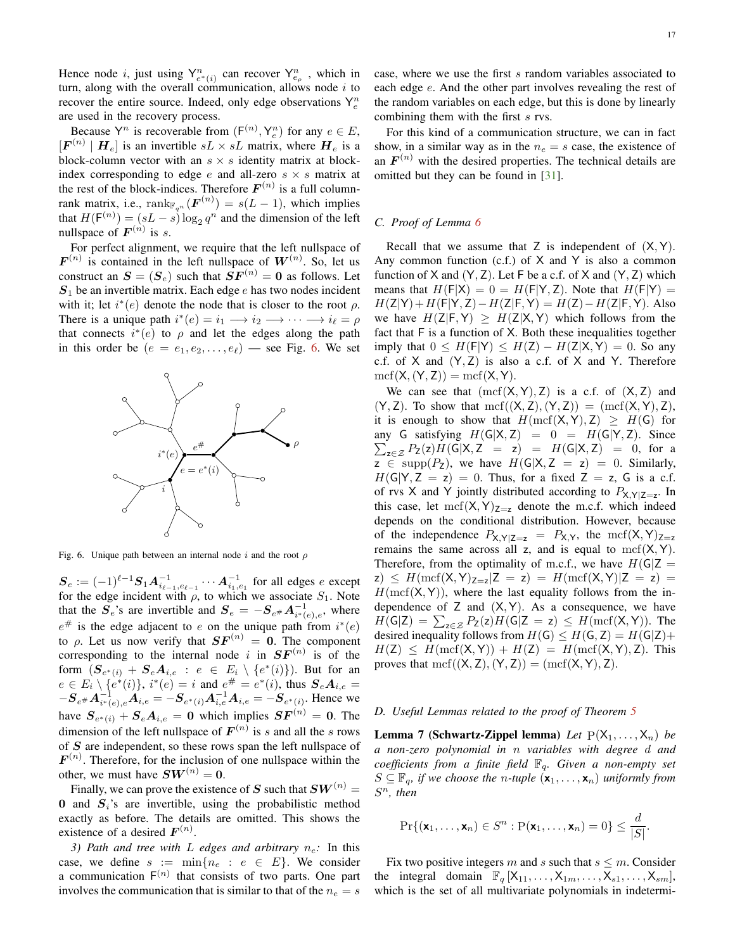Hence node *i*, just using  $Y_{e^*(i)}^n$  can recover  $Y_{e_p}^n$ , which in turn, along with the overall communication, allows node  $i$  to recover the entire source. Indeed, only edge observations  $Y_e^n$ are used in the recovery process.

Because  $Y^n$  is recoverable from  $(F^{(n)}, Y_e^n)$  for any  $e \in E$ ,  $[\mathbf{F}^{(n)} | \mathbf{H}_e]$  is an invertible  $sL \times sL$  matrix, where  $\mathbf{H}_e$  is a block-column vector with an  $s \times s$  identity matrix at blockindex corresponding to edge e and all-zero  $s \times s$  matrix at the rest of the block-indices. Therefore  $F^{(n)}$  is a full columnrank matrix, i.e.,  $\text{rank}_{\mathbb{F}_{q^n}}(\mathbf{F}^{(n)}) = s(L-1)$ , which implies that  $H(\mathsf{F}^{(n)}) = (sL - s) \log_2 q^n$  and the dimension of the left nullspace of  $F^{(n)}$  is s.

For perfect alignment, we require that the left nullspace of  $F^{(n)}$  is contained in the left nullspace of  $W^{(n)}$ . So, let us construct an  $S = (S_e)$  such that  $SF^{(n)} = 0$  as follows. Let  $S_1$  be an invertible matrix. Each edge e has two nodes incident with it; let  $i^*(e)$  denote the node that is closer to the root  $\rho$ . There is a unique path  $i^*(e) = i_1 \longrightarrow i_2 \longrightarrow \cdots \longrightarrow i_\ell = \rho$ that connects  $i^*(e)$  to  $\rho$  and let the edges along the path in this order be  $(e = e_1, e_2, \dots, e_\ell)$  — see Fig. [6.](#page-16-3) We set



<span id="page-16-3"></span>Fig. 6. Unique path between an internal node i and the root  $\rho$ 

 $S_e := (-1)^{\ell-1} S_1 A_{i_{\ell-1}, e_{\ell-1}}^{-1} \cdots A_{i_1, e_1}^{-1}$  for all edges e except for the edge incident with  $\rho$ , to which we associate  $S_1$ . Note that the  $S_e$ 's are invertible and  $S_e = -S_{e#} A_{i^*(e),e}^{-1}$ , where  $e^{\#}$  is the edge adjacent to e on the unique path from  $i^*(e)$ to  $\rho$ . Let us now verify that  $SF^{(n)} = 0$ . The component corresponding to the internal node i in  $SF^{(n)}$  is of the form  $(\mathbf{S}_{e^*(i)} + \mathbf{S}_e \mathbf{A}_{i,e} : e \in E_i \setminus \{e^*(i)\})$ . But for an  $e \in E_i \setminus \{e^*(i)\}, i^*(e) = i \text{ and } e^{\#} = e^*(i)$ , thus  $S_e A_{i,e} =$  $-S_{e^{\#}}A_{i^*(e),e}^{-1}A_{i,e} = -S_{e^*(i)}A_{i,e}^{-1}A_{i,e} = -S_{e^*(i)}$ . Hence we have  $S_{e^*(i)} + S_e A_{i,e} = 0$  which implies  $SF^{(n)} = 0$ . The dimension of the left nullspace of  $F^{(n)}$  is s and all the s rows of  $S$  are independent, so these rows span the left nullspace of  $F^{(n)}$ . Therefore, for the inclusion of one nullspace within the other, we must have  $SW^{(n)} = 0$ .

Finally, we can prove the existence of S such that  $SW^{(n)} =$ 0 and  $S_i$ 's are invertible, using the probabilistic method exactly as before. The details are omitted. This shows the existence of a desired  $F^{(n)}$ .

*3) Path and tree with* L *edges and arbitrary*  $n_e$ : In this case, we define  $s := \min\{n_e : e \in E\}$ . We consider a communication  $F^{(n)}$  that consists of two parts. One part involves the communication that is similar to that of the  $n_e = s$ 

For this kind of a communication structure, we can in fact show, in a similar way as in the  $n_e = s$  case, the existence of an  $F^{(n)}$  with the desired properties. The technical details are omitted but they can be found in [\[31\]](#page-22-27).

## <span id="page-16-0"></span>*C. Proof of Lemma [6](#page-12-7)*

Recall that we assume that  $Z$  is independent of  $(X, Y)$ . Any common function  $(c.f.)$  of  $X$  and  $Y$  is also a common function of  $X$  and  $(Y, Z)$ . Let  $F$  be a c.f. of  $X$  and  $(Y, Z)$  which means that  $H(F|X) = 0 = H(F|Y, Z)$ . Note that  $H(F|Y) =$  $H(Z|Y) + H(F|Y, Z) - H(Z|F, Y) = H(Z) - H(Z|F, Y)$ . Also we have  $H(Z|F, Y) \geq H(Z|X, Y)$  which follows from the fact that F is a function of X. Both these inequalities together imply that  $0 \leq H(F|Y) \leq H(Z) - H(Z|X,Y) = 0$ . So any c.f. of  $X$  and  $(Y, Z)$  is also a c.f. of  $X$  and  $Y$ . Therefore  $\mathrm{mcf}(X,(Y,Z)) = \mathrm{mcf}(X,Y).$ 

We can see that  $(mcf(X, Y), Z)$  is a c.f. of  $(X, Z)$  and  $(Y, Z)$ . To show that  $\mathrm{mcf}((X, Z), (Y, Z)) = (\mathrm{mcf}(X, Y), Z)$ , it is enough to show that  $H(\text{mcf}(X, Y), Z) \geq H(G)$  for any G satisfying  $H(G|X, Z) = 0 = H(G|Y, Z)$ . Since  $\sum_{z \in \mathcal{Z}} P_Z(z) H(G|X, Z = z) = H(G|X, Z) = 0$ , for a  $z \in \text{supp}(P_Z)$ , we have  $H(G|X, Z = z) = 0$ . Similarly,  $H(G|Y, Z = z) = 0$ . Thus, for a fixed  $Z = z$ , G is a c.f. of rvs X and Y jointly distributed according to  $P_{X,Y|Z=z}$ . In this case, let  $\text{mcf}(X, Y)_{Z=z}$  denote the m.c.f. which indeed depends on the conditional distribution. However, because of the independence  $P_{X,Y|Z=z} = P_{X,Y}$ , the mcf(X,Y)<sub>Z=z</sub> remains the same across all z, and is equal to  $\text{mcf}(X, Y)$ . Therefore, from the optimality of m.c.f., we have  $H(G|Z =$  $z) \leq H(\text{mcf}(X, Y)_{Z=z}|Z=z) = H(\text{mcf}(X, Y)|Z=z) =$  $H(\text{mcf}(X, Y))$ , where the last equality follows from the independence of  $Z$  and  $(X, Y)$ . As a consequence, we have  $H(\mathsf{G}|\mathsf{Z}) = \sum_{\mathsf{z}\in\mathcal{Z}} P_{\mathsf{Z}}(\mathsf{z})H(\mathsf{G}|\mathsf{Z}=\mathsf{z}) \leq H(\mathrm{mcf}(\mathsf{X},\mathsf{Y})).$  The desired inequality follows from  $H(G) \leq H(G, Z) = H(G|Z) +$  $H(Z) \leq H(\text{mcf}(X, Y)) + H(Z) = H(\text{mcf}(X, Y), Z)$ . This proves that  $\mathrm{mcf}((X, Z), (Y, Z)) = (\mathrm{mcf}(X, Y), Z).$ 

## <span id="page-16-2"></span><span id="page-16-1"></span>*D. Useful Lemmas related to the proof of Theorem [5](#page-8-3)*

**Lemma 7 (Schwartz-Zippel lemma)** *Let*  $P(X_1, \ldots, X_n)$  *be a non-zero polynomial in* n *variables with degree* d *and coefficients from a finite field* Fq*. Given a non-empty set*  $S \subseteq \mathbb{F}_q$ , if we choose the *n*-tuple  $(\mathbf{x}_1, \dots, \mathbf{x}_n)$  *uniformly from* S <sup>n</sup>*, then*

$$
\Pr\{(\mathbf{x}_1,\ldots,\mathbf{x}_n)\in S^n:\mathrm{P}(\mathbf{x}_1,\ldots,\mathbf{x}_n)=0\}\leq \frac{d}{|S|}.
$$

Fix two positive integers m and s such that  $s \leq m$ . Consider the integral domain  $\mathbb{F}_q [X_{11}, \ldots, X_{1m}, \ldots, X_{s1}, \ldots, X_{sm}],$ which is the set of all multivariate polynomials in indetermi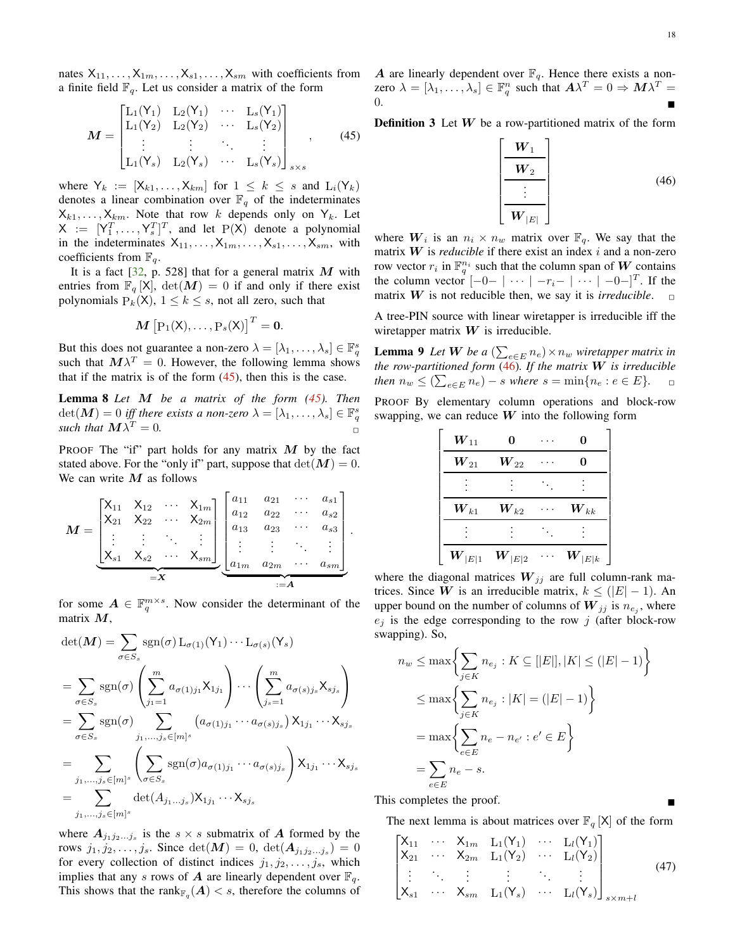nates  $X_{11}, \ldots, X_{1m}, \ldots, X_{s1}, \ldots, X_{sm}$  with coefficients from a finite field  $\mathbb{F}_q$ . Let us consider a matrix of the form

$$
M = \begin{bmatrix} L_1(Y_1) & L_2(Y_1) & \cdots & L_s(Y_1) \\ L_1(Y_2) & L_2(Y_2) & \cdots & L_s(Y_2) \\ \vdots & \vdots & \ddots & \vdots \\ L_1(Y_s) & L_2(Y_s) & \cdots & L_s(Y_s) \end{bmatrix}_{s \times s},
$$
 (45)

where  $Y_k := [X_{k1}, \ldots, X_{km}]$  for  $1 \leq k \leq s$  and  $L_i(Y_k)$ denotes a linear combination over  $\mathbb{F}_q$  of the indeterminates  $X_{k1}, \ldots, X_{km}$ . Note that row k depends only on  $Y_k$ . Let  $X := [Y_1^T, \ldots, Y_s^T]^T$ , and let  $P(X)$  denote a polynomial in the indeterminates  $X_{11}, \ldots, X_{1m}, \ldots, X_{s1}, \ldots, X_{sm}$ , with coefficients from  $\mathbb{F}_q$ .

It is a fact  $[32, p. 528]$  that for a general matrix M with entries from  $\mathbb{F}_q$  [X],  $\det(M) = 0$  if and only if there exist polynomials  $P_k(X)$ ,  $1 \leq k \leq s$ , not all zero, such that

$$
\boldsymbol{M}\left[\mathrm{P}_1(\mathsf{X}),\ldots,\mathrm{P}_s(\mathsf{X})\right]^T=\mathbf{0}.
$$

But this does not guarantee a non-zero  $\lambda = [\lambda_1, \dots, \lambda_s] \in \mathbb{F}_q^s$ such that  $M\lambda^T = 0$ . However, the following lemma shows that if the matrix is of the form  $(45)$ , then this is the case.

<span id="page-17-4"></span>Lemma 8 *Let* M *be a matrix of the form [\(45\)](#page-17-1). Then*  $\det(\boldsymbol{M}) = 0$  *iff there exists a non-zero*  $\lambda = [\lambda_1, \dots, \lambda_s] \in \mathbb{F}_q^s$ *such that*  $M\lambda^T = 0$ .

PROOF The "if" part holds for any matrix  $M$  by the fact stated above. For the "only if" part, suppose that  $\det(\mathbf{M}) = 0$ . We can write  $M$  as follows

$$
M = \underbrace{\begin{bmatrix} X_{11} & X_{12} & \cdots & X_{1m} \\ X_{21} & X_{22} & \cdots & X_{2m} \\ \vdots & \vdots & \ddots & \vdots \\ X_{s1} & X_{s2} & \cdots & X_{sm} \end{bmatrix}}_{=X} \underbrace{\begin{bmatrix} a_{11} & a_{21} & \cdots & a_{s1} \\ a_{12} & a_{22} & \cdots & a_{s2} \\ a_{13} & a_{23} & \cdots & a_{s3} \\ \vdots & \vdots & \ddots & \vdots \\ a_{1m} & a_{2m} & \cdots & a_{sm} \end{bmatrix}}_{:=A}
$$

for some  $A \in \mathbb{F}_q^{m \times s}$ . Now consider the determinant of the matrix M,

$$
\det(M) = \sum_{\sigma \in S_s} \text{sgn}(\sigma) L_{\sigma(1)}(Y_1) \cdots L_{\sigma(s)}(Y_s)
$$
  
\n
$$
= \sum_{\sigma \in S_s} \text{sgn}(\sigma) \left( \sum_{j_1=1}^m a_{\sigma(1)j_1} X_{1j_1} \right) \cdots \left( \sum_{j_s=1}^m a_{\sigma(s)j_s} X_{sj_s} \right)
$$
  
\n
$$
= \sum_{\sigma \in S_s} \text{sgn}(\sigma) \sum_{j_1, \dots, j_s \in [m]^s} \left( a_{\sigma(1)j_1} \cdots a_{\sigma(s)j_s} \right) X_{1j_1} \cdots X_{sj_s}
$$
  
\n
$$
= \sum_{j_1, \dots, j_s \in [m]^s} \left( \sum_{\sigma \in S_s} \text{sgn}(\sigma) a_{\sigma(1)j_1} \cdots a_{\sigma(s)j_s} \right) X_{1j_1} \cdots X_{sj_s}
$$
  
\n
$$
= \sum_{j_1, \dots, j_s \in [m]^s} \det(A_{j_1 \dots j_s}) X_{1j_1} \cdots X_{sj_s}
$$

where  $A_{j_1j_2...j_s}$  is the  $s \times s$  submatrix of A formed by the rows  $j_1, j_2, \ldots, j_s$ . Since  $\det(M) = 0$ ,  $\det(A_{j_1 j_2 \ldots j_s}) = 0$ for every collection of distinct indices  $j_1, j_2, \ldots, j_s$ , which implies that any s rows of A are linearly dependent over  $\mathbb{F}_q$ . This shows that the rank $\mathbb{F}_q(A) < s$ , therefore the columns of A are linearly dependent over  $\mathbb{F}_q$ . Hence there exists a nonzero  $\lambda = [\lambda_1, ..., \lambda_s] \in \mathbb{F}_q^n$  such that  $A\lambda^T = 0 \Rightarrow M\lambda^T =$  $0.$ 

<span id="page-17-1"></span>**Definition 3** Let  $W$  be a row-partitioned matrix of the form

<span id="page-17-2"></span>
$$
\left[\begin{array}{c}\nW_1 \\
\hline\nW_2 \\
\hline\n\vdots \\
\hline\nW_{|E|}\n\end{array}\right]
$$
\n(46)

where  $W_i$  is an  $n_i \times n_w$  matrix over  $\mathbb{F}_q$ . We say that the matrix  $W$  is *reducible* if there exist an index  $i$  and a non-zero row vector  $r_i$  in  $\mathbb{F}_q^{n_i}$  such that the column span of W contains the column vector  $[-0-|\cdots|-r_i-|\cdots|-0-]^T$ . If the matrix W is not reducible then, we say it is *irreducible*.  $\Box$ 

A tree-PIN source with linear wiretapper is irreducible iff the wiretapper matrix  $W$  is irreducible.

**Lemma 9** *Let W be a*  $\left(\sum_{e \in E} n_e\right) \times n_w$  *wiretapper matrix in the row-partitioned form* [\(46\)](#page-17-2)*. If the matrix* W *is irreducible then*  $n_w \leq (\sum_{e \in E} n_e) - s$  *where*  $s = \min\{n_e : e \in E\}$ .  $\Box$ 

PROOF By elementary column operations and block-row swapping, we can reduce  $W$  into the following form

<span id="page-17-0"></span>

| $\boldsymbol{W}_{11}$   | 0                       | 0                       |
|-------------------------|-------------------------|-------------------------|
| $\boldsymbol{W}_{21}$   | $\boldsymbol{W}_{22}$   | 0                       |
|                         |                         |                         |
| $\boldsymbol{W}_{k1}$   | $\boldsymbol{W}_{k2}$   | $\boldsymbol{W}_{kk}$   |
|                         |                         |                         |
| $\boldsymbol{W}_{ E 1}$ | $\boldsymbol{W}_{ E 2}$ | $\boldsymbol{W}_{ E k}$ |

where the diagonal matrices  $W_{jj}$  are full column-rank matrices. Since W is an irreducible matrix,  $k \leq (|E| - 1)$ . An upper bound on the number of columns of  $\overline{W}_{jj}$  is  $n_{e_j}$ , where  $e_i$  is the edge corresponding to the row j (after block-row swapping). So,

$$
n_w \le \max\left\{\sum_{j\in K} n_{e_j} : K \subseteq [|E|], |K| \le (|E|-1)\right\}
$$
  

$$
\le \max\left\{\sum_{j\in K} n_{e_j} : |K| = (|E|-1)\right\}
$$
  

$$
= \max\left\{\sum_{e\in E} n_e - n_{e'} : e' \in E\right\}
$$
  

$$
= \sum_{e\in E} n_e - s.
$$

This completes the proof.

.

The next lemma is about matrices over  $\mathbb{F}_q$  [X] of the form

<span id="page-17-3"></span>
$$
\begin{bmatrix}\nX_{11} & \cdots & X_{1m} & L_1(Y_1) & \cdots & L_l(Y_1) \\
X_{21} & \cdots & X_{2m} & L_1(Y_2) & \cdots & L_l(Y_2) \\
\vdots & \ddots & \vdots & \vdots & \ddots & \vdots \\
X_{s1} & \cdots & X_{sm} & L_1(Y_s) & \cdots & L_l(Y_s)\n\end{bmatrix}_{s \times m + l}
$$
\n(47)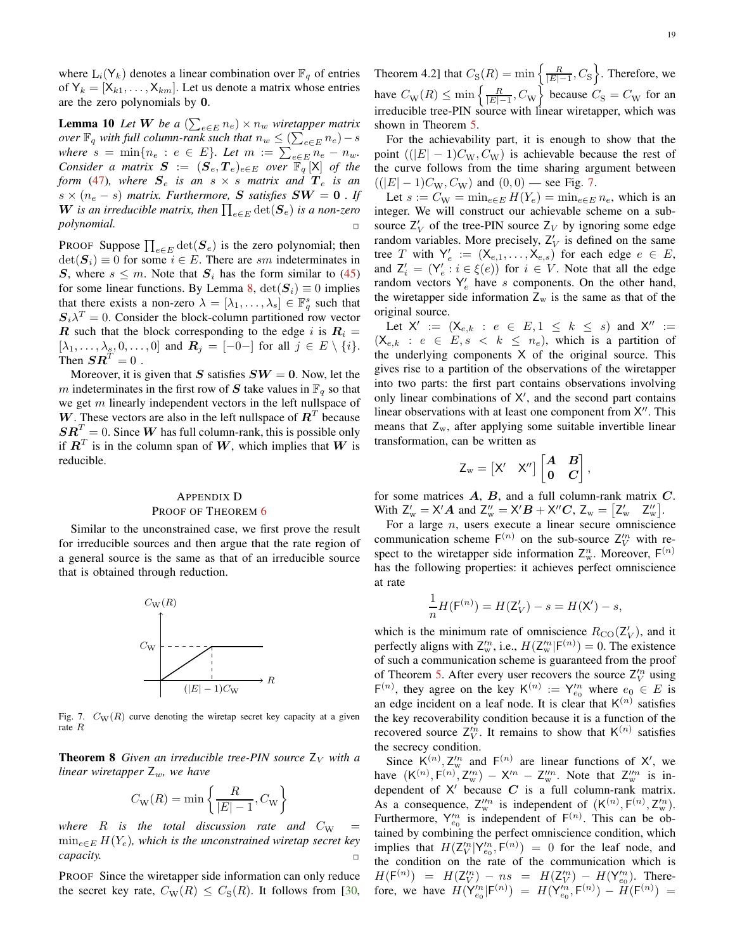where  $L_i(Y_k)$  denotes a linear combination over  $\mathbb{F}_q$  of entries of  $Y_k = [X_{k1}, \ldots, X_{km}]$ . Let us denote a matrix whose entries are the zero polynomials by 0.

<span id="page-18-1"></span>**Lemma 10** *Let* **W** *be a*  $\left(\sum_{e \in E} n_e\right) \times n_w$  *wiretapper matrix over*  $\mathbb{F}_q$  *with full column-rank such that*  $n_w \leq (\sum_{e \in E} n_e) - s$ *where*  $s = \min\{n_e : e \in E\}$ . Let  $m := \sum_{e \in E} n_e - n_w$ . *Consider a matrix*  $S := (S_e, T_e)_{e \in E}$  *over*  $\overline{\mathbb{F}}_q [X]$  *of the form* [\(47\)](#page-17-3)*, where*  $S_e$  *is an*  $s \times s$  *matrix and*  $T_e$  *is an*  $s \times (n_e - s)$  *matrix. Furthermore,* S *satisfies*  $SW = 0$ . If W is an irreducible matrix, then  $\prod_{e \in E} \det(\mathbf{S}_e)$  is a non-zero *polynomial.* ✷

PROOF Suppose  $\prod_{e \in E} \det(\mathbf{S}_e)$  is the zero polynomial; then  $\det(\mathbf{S}_i) \equiv 0$  for some  $i \in E$ . There are sm indeterminates in S, where  $s \leq m$ . Note that  $S_i$  has the form similar to [\(45\)](#page-17-1) for some linear functions. By Lemma [8,](#page-17-4)  $\det(\mathbf{S}_i) \equiv 0$  implies that there exists a non-zero  $\lambda = [\lambda_1, \dots, \lambda_s] \in \mathbb{F}_q^s$  such that  $\mathbf{S}_i \lambda^T = 0$ . Consider the block-column partitioned row vector **R** such that the block corresponding to the edge i is  $R_i =$  $[\lambda_1, \ldots, \lambda_s, 0, \ldots, 0]$  and  $\mathbf{R}_j = [-0$ - for all  $j \in E \setminus \{i\}.$ Then  $\boldsymbol{S} \boldsymbol{R}^T = 0$ .

Moreover, it is given that S satisfies  $SW = 0$ . Now, let the m indeterminates in the first row of S take values in  $\mathbb{F}_q$  so that we get  $m$  linearly independent vectors in the left nullspace of W. These vectors are also in the left nullspace of  $\mathbb{R}^T$  because  $\mathbf{S}\mathbf{R}^T = 0$ . Since W has full column-rank, this is possible only if  $\mathbf{R}^T$  is in the column span of W, which implies that W is reducible.

# <span id="page-18-0"></span>APPENDIX D PROOF OF THEOREM [6](#page-9-2)

Similar to the unconstrained case, we first prove the result for irreducible sources and then argue that the rate region of a general source is the same as that of an irreducible source that is obtained through reduction.



<span id="page-18-2"></span>Fig. 7.  $C_W(R)$  curve denoting the wiretap secret key capacity at a given rate R

**Theorem 8** *Given an irreducible tree-PIN source*  $Z_V$  *with a linear wiretapper*  $Z_w$ *, we have* 

$$
C_{\rm W}(R)=\min\left\{\frac{R}{|E|-1},C_{\rm W}\right\}
$$

*where*  $R$  *is the total discussion rate and*  $C_W$ mine∈<sup>E</sup> H(Ye)*, which is the unconstrained wiretap secret key capacity.* ✷

PROOF Since the wiretapper side information can only reduce the secret key rate,  $C_{\text{W}}(R) \leq C_{\text{S}}(R)$ . It follows from [\[30,](#page-22-26)

Theorem 4.2] that  $C_S(R) = \min\left\{\frac{R}{|E|-1}, C_S\right\}$ . Therefore, we have  $C_{\text{W}}(R) \le \min\left\{\frac{R}{|E|-1}, C_{\text{W}}\right\}$  because  $C_{\text{S}} = C_{\text{W}}$  for an irreducible tree-PIN source with linear wiretapper, which was shown in Theorem [5.](#page-8-3)

For the achievability part, it is enough to show that the point  $((|E| - 1)C_W, C_W)$  is achievable because the rest of the curve follows from the time sharing argument between  $((|E| - 1)C_W, C_W)$  and  $(0, 0)$  — see Fig. [7.](#page-18-2)

Let  $s := C_{\text{W}} = \min_{e \in E} H(Y_e) = \min_{e \in E} n_e$ , which is an integer. We will construct our achievable scheme on a subsource  $Z_V$  of the tree-PIN source  $Z_V$  by ignoring some edge random variables. More precisely,  $Z_V'$  is defined on the same tree T with  $Y'_e := (X_{e,1}, \ldots, X_{e,s})$  for each edge  $e \in E$ , and  $Z'_i = (Y'_e : i \in \xi(e))$  for  $i \in V$ . Note that all the edge random vectors  $Y'_e$  have s components. On the other hand, the wiretapper side information  $Z_w$  is the same as that of the original source.

Let  $X' := (X_{e,k} : e \in E, 1 \leq k \leq s)$  and  $X'' :=$  $(\mathsf{X}_{e,k} : e \in E, s < k \leq n_e)$ , which is a partition of the underlying components X of the original source. This gives rise to a partition of the observations of the wiretapper into two parts: the first part contains observations involving only linear combinations of X', and the second part contains linear observations with at least one component from X". This means that  $Z_{w}$ , after applying some suitable invertible linear transformation, can be written as

$$
Z_{\rm w}=\begin{bmatrix}X' & X''\end{bmatrix}\begin{bmatrix}A & B \\ 0 & C\end{bmatrix},
$$

for some matrices  $A$ ,  $B$ , and a full column-rank matrix  $C$ . With  $Z_w' = X'A$  and  $Z_w'' = X'B + X''C$ ,  $Z_w = [Z_w' \quad Z_w'']$ .

For a large  $n$ , users execute a linear secure omniscience communication scheme  $F^{(n)}$  on the sub-source  $Z_V^{\prime n}$  with respect to the wiretapper side information  $Z_w^n$ . Moreover,  $F^{(n)}$ has the following properties: it achieves perfect omniscience at rate

$$
\frac{1}{n}H(\mathsf{F}^{(n)}) = H(\mathsf{Z}'_V) - s = H(\mathsf{X}') - s,
$$

which is the minimum rate of omniscience  $R_{\text{CO}}(\mathbb{Z}_V')$ , and it perfectly aligns with  $Z_w^{\prime n}$ , i.e.,  $H(Z_w^{\prime n} | F^{(n)}) = 0$ . The existence of such a communication scheme is guaranteed from the proof of Theorem [5.](#page-8-3) After every user recovers the source  $Z_V^{\prime n}$  using F<sup>(n)</sup>, they agree on the key K<sup>(n)</sup> :=  $Y_{e_0}^{n}$  where  $e_0 \in E$  is an edge incident on a leaf node. It is clear that  $K^{(n)}$  satisfies the key recoverability condition because it is a function of the recovered source  $Z_V''$ . It remains to show that  $K^{(n)}$  satisfies the secrecy condition.

Since  $K^{(n)}$ ,  $Z_w^n$  and  $F^{(n)}$  are linear functions of X', we have  $(K^{(n)}, F^{(n)}, Z_w^n) - X'^n - Z_w^n$ . Note that  $Z_w^m$  is independent of  $X'$  because  $C$  is a full column-rank matrix. As a consequence,  $Z_{w}^{"n}$  is independent of  $(K^{(n)}, F^{(n)}, Z_{w}^{"n})$ . Furthermore,  $Y_{e_0}^{\prime n}$  is independent of  $F^{(n)}$ . This can be obtained by combining the perfect omniscience condition, which implies that  $H(\mathsf{Z}_{V}^{'n} | \mathsf{Y}_{e_0}^{'n}, \mathsf{F}^{(n)}) = 0$  for the leaf node, and the condition on the rate of the communication which is  $H(\mathsf{F}^{(n)}) = H(\mathsf{Z}_{V}^{'n}) - ns = H(\mathsf{Z}_{V}^{'n}) - H(\mathsf{Y}_{e_0}^{'n})$ . Therefore, we have  $H(Y_{e_0}^m | F^{(n)}) = H(Y_{e_0}^m, F^{(n)}) - H(F^{(n)}) =$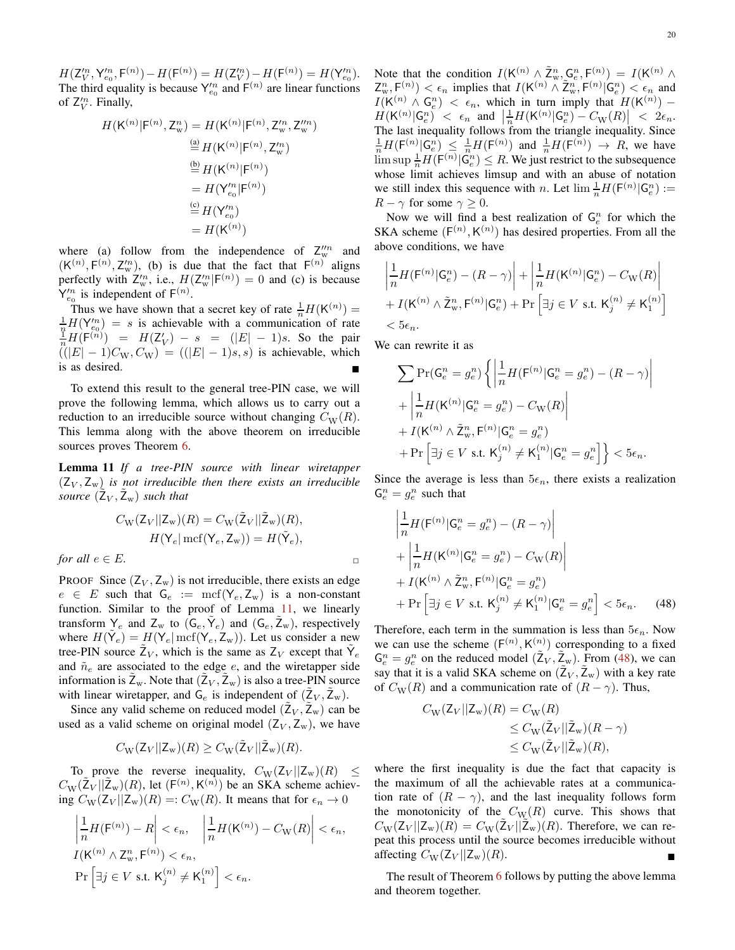$H({\sf Z}_V'^n,{\sf Y}_{e_0}^n,{\sf F}^{(n)})-H({\sf F}^{(n)})=H({\sf Z}_V'^n)-H({\sf F}^{(n)})=H({\sf Y}_{e_0}^{\prime n}).$ The third equality is because  $Y_{e_0}^n$  and  $F^{(n)}$  are linear functions of  $Z_V^n$ . Finally,

$$
H(\mathsf{K}^{(n)}|\mathsf{F}^{(n)}, \mathsf{Z}_{\mathsf{w}}^{n}) = H(\mathsf{K}^{(n)}|\mathsf{F}^{(n)}, \mathsf{Z}_{\mathsf{w}}^{n}, \mathsf{Z}_{\mathsf{w}}^{n n})
$$
  
\n
$$
\stackrel{\overset{\mathsf{(a)}}{=} }{\stackrel{\mathsf{d}}{=} H(\mathsf{K}^{(n)}|\mathsf{F}^{(n)}, \mathsf{Z}_{\mathsf{w}}^{n})}
$$
  
\n
$$
\stackrel{\overset{\mathsf{(b)}}{=} }{=} H(\mathsf{K}^{(n)}|\mathsf{F}^{(n)})
$$
  
\n
$$
\stackrel{\overset{\mathsf{(c)}}{=} }{=} H(\mathsf{Y}_{e_0}^{n}|\mathsf{F}^{(n)})
$$
  
\n
$$
= H(\mathsf{K}^{(n)})
$$

where (a) follow from the independence of  $Z_{\rm w}^{\prime\prime n}$  and  $(K^{(n)}, F^{(n)}, Z_w^n)$ , (b) is due that the fact that  $F^{(n)}$  aligns perfectly with  $Z_w^n$ , i.e.,  $H(Z_w^n | F^{(n)}) = 0$  and (c) is because  $Y_{e_0}^{\prime n}$  is independent of  $F^{(n)}$ .

Thus we have shown that a secret key of rate  $\frac{1}{n}H(K^{(n)}) =$  $\frac{1}{n}H(Y_{e_0}^m) = s$  is achievable with a communication of rate<br>  $\frac{1}{n}H(F^{(n)}) = H(Z_V') - s = (|E| - 1)s$ . So the pair  $((|E| - 1)C_W, C_W) = ((|E| - 1)s, s)$  is achievable, which is as desired.

To extend this result to the general tree-PIN case, we will prove the following lemma, which allows us to carry out a reduction to an irreducible source without changing  $C_{\rm W}(R)$ . This lemma along with the above theorem on irreducible sources proves Theorem [6.](#page-9-2)

<span id="page-19-0"></span>Lemma 11 *If a tree-PIN source with linear wiretapper*  $(Z_V, Z_w)$  *is not irreducible then there exists an irreducible source*  $(\tilde{Z}_V, \tilde{Z}_w)$  *such that* 

$$
C_{\rm W}(Z_V||Z_{\rm w})(R) = C_{\rm W}(\tilde{Z}_V||\tilde{Z}_{\rm w})(R),
$$
  

$$
H(\mathsf{Y}_e | \operatorname{mcf}(\mathsf{Y}_e, \mathsf{Z}_{\rm w})) = H(\tilde{\mathsf{Y}}_e),
$$

*for all*  $e \in E$ .

PROOF Since  $(Z_V, Z_w)$  is not irreducible, there exists an edge  $e \in E$  such that  $G_e := \text{mcf}(Y_e, Z_w)$  is a non-constant function. Similar to the proof of Lemma [11,](#page-19-0) we linearly transform  $Y_e$  and  $Z_w$  to  $(G_e, \tilde{Y}_e)$  and  $(G_e, \tilde{Z}_w)$ , respectively where  $H(\tilde{Y}_e) = H(Y_e | \text{mcf}(\tilde{Y}_e, \tilde{Z}_w))$ . Let us consider a new tree-PIN source  $\tilde{Z}_V$ , which is the same as  $Z_V$  except that  $\tilde{Y}_e$ and  $\tilde{n}_e$  are associated to the edge  $e$ , and the wiretapper side information is  $\tilde{Z}_w$ . Note that  $(\tilde{Z}_V, \tilde{Z}_w)$  is also a tree-PIN source with linear wiretapper, and  $G_e$  is independent of  $(\tilde{Z}_V, \tilde{Z}_w)$ .

Since any valid scheme on reduced model  $(\tilde{Z}_V, \tilde{Z}_w)$  can be used as a valid scheme on original model  $(Z_V, Z_w)$ , we have

$$
C_{\rm W}(Z_V||Z_{\rm w})(R) \geq C_{\rm W}(\tilde{Z}_V||\tilde{Z}_{\rm w})(R).
$$

To prove the reverse inequality,  $C_{\rm W}(Z_V || Z_{\rm w})(R) \leq$  $C_{\rm W}(\tilde{\mathsf{Z}}_V || \tilde{\mathsf{Z}}_{\rm w})(R)$ , let  $(\mathsf{F}^{(n)}, \mathsf{K}^{(n)})$  be an SKA scheme achieving  $C_{\rm W}(Z_V || Z_{\rm w})(R) =: C_{\rm W}(R)$ . It means that for  $\epsilon_n \to 0$ 

$$
\left| \frac{1}{n} H(\mathsf{F}^{(n)}) - R \right| < \epsilon_n, \quad \left| \frac{1}{n} H(\mathsf{K}^{(n)}) - C_{\mathsf{W}}(R) \right| < \epsilon_n,
$$
\n
$$
I(\mathsf{K}^{(n)} \wedge \mathsf{Z}_{\mathsf{w}}^n, \mathsf{F}^{(n)}) < \epsilon_n,
$$
\n
$$
\Pr \left[ \exists j \in V \text{ s.t. } \mathsf{K}_j^{(n)} \neq \mathsf{K}_1^{(n)} \right] < \epsilon_n.
$$

Note that the condition  $I(K^{(n)} \wedge \overline{Z}_{w}^{n}, \mathbb{G}_{e}^{n}, \mathbb{F}^{(n)}) = I(K^{(n)} \wedge \overline{Z}_{w}^{n})$  $Z_w^n$ ,  $F^{(n)}$   $\leq$   $\epsilon_n$  implies that  $I(K^{(n)} \wedge \tilde{Z}_w^n, F^{(n)} | G_e^n)$   $\leq$   $\epsilon_n$  and  $I(K^{(n)} \wedge G_e^n) < \epsilon_n$ , which in turn imply that  $H(K^{(n)})$  –  $\overline{H}(\mathsf{K}^{(n)}|\mathsf{G}_e^n) < \epsilon_n \ \ \text{and} \ \left|\frac{1}{n}H(\mathsf{K}^{(n)}|\mathsf{G}_e^n)-C_{\mathrm{W}}(R)\right| < 2\epsilon_n.$ The last inequality follows from the triangle inequality. Since  $\frac{1}{n}H(F^{(n)} | G_e^n) \leq \frac{1}{n}H(F^{(n)})$  and  $\frac{1}{n}H(F^{(n)}) \to R$ , we have  $\limsup_{n} \frac{1}{n} H(F^{(n)} | G_e^n) \le R$ . We just restrict to the subsequence whose limit achieves limsup and with an abuse of notation we still index this sequence with *n*. Let  $\lim_{n} \frac{1}{n} H(F^{(n)} | G_e^n) :=$  $R - \gamma$  for some  $\gamma \geq 0$ .

Now we will find a best realization of  $\mathsf{G}_e^n$  for which the SKA scheme  $(F^{(n)}, K^{(n)})$  has desired properties. From all the above conditions, we have

$$
\left| \frac{1}{n} H(\mathsf{F}^{(n)} | \mathsf{G}_e^n) - (R - \gamma) \right| + \left| \frac{1}{n} H(\mathsf{K}^{(n)} | \mathsf{G}_e^n) - C_{\mathsf{W}}(R) \right|
$$
  
+  $I(\mathsf{K}^{(n)} \wedge \tilde{\mathsf{Z}}_{\mathsf{w}}^n, \mathsf{F}^{(n)} | \mathsf{G}_e^n) + \Pr \left[ \exists j \in V \text{ s.t. } \mathsf{K}_j^{(n)} \neq \mathsf{K}_1^{(n)} \right]$   
<  $5\epsilon_n$ .

We can rewrite it as

$$
\sum \Pr(\mathsf{G}_e^n = g_e^n) \left\{ \left| \frac{1}{n} H(\mathsf{F}^{(n)} | \mathsf{G}_e^n = g_e^n) - (R - \gamma) \right| \right\}
$$
  
+ 
$$
\left| \frac{1}{n} H(\mathsf{K}^{(n)} | \mathsf{G}_e^n = g_e^n) - C_{\mathsf{W}}(R) \right|
$$
  
+ 
$$
I(\mathsf{K}^{(n)} \wedge \tilde{\mathsf{Z}}_{\mathsf{w}}^n, \mathsf{F}^{(n)} | \mathsf{G}_e^n = g_e^n)
$$
  
+ 
$$
\Pr \left[ \exists j \in V \text{ s.t. } \mathsf{K}_j^{(n)} \neq \mathsf{K}_1^{(n)} | \mathsf{G}_e^n = g_e^n \right] \right\} < 5\epsilon_n.
$$

Since the average is less than  $5\epsilon_n$ , there exists a realization  $\mathsf{G}_e^n = g_e^n$  such that

$$
\left| \frac{1}{n} H(\mathsf{F}^{(n)} | \mathsf{G}_e^n = g_e^n) - (R - \gamma) \right|
$$
  
+ 
$$
\left| \frac{1}{n} H(\mathsf{K}^{(n)} | \mathsf{G}_e^n = g_e^n) - C_{\mathsf{W}}(R) \right|
$$
  
+ 
$$
I(\mathsf{K}^{(n)} \wedge \tilde{\mathsf{Z}}_w^n, \mathsf{F}^{(n)} | \mathsf{G}_e^n = g_e^n)
$$
  
+ 
$$
\Pr \left[ \exists j \in V \text{ s.t. } \mathsf{K}_j^{(n)} \neq \mathsf{K}_1^{(n)} | \mathsf{G}_e^n = g_e^n \right] < 5\epsilon_n.
$$
 (48)

Therefore, each term in the summation is less than  $5\epsilon_n$ . Now we can use the scheme  $(F^{(n)}, K^{(n)})$  corresponding to a fixed  $\mathsf{G}_e^n = g_e^n$  on the reduced model  $(\tilde{\mathsf{Z}}_V, \tilde{\mathsf{Z}}_w)$ . From [\(48\)](#page-19-1), we can say that it is a valid SKA scheme on  $(\tilde{Z}_V, \tilde{Z}_w)$  with a key rate of  $C_W(R)$  and a communication rate of  $(R - \gamma)$ . Thus,

<span id="page-19-1"></span>
$$
C_{\rm W}(Z_V||Z_{\rm w})(R) = C_{\rm W}(R)
$$
  
\n
$$
\leq C_{\rm W}(\tilde{Z}_V||\tilde{Z}_{\rm w})(R-\gamma)
$$
  
\n
$$
\leq C_{\rm W}(\tilde{Z}_V||\tilde{Z}_{\rm w})(R),
$$

where the first inequality is due the fact that capacity is the maximum of all the achievable rates at a communication rate of  $(R - \gamma)$ , and the last inequality follows form the monotonicity of the  $C_{\text{W}}(R)$  curve. This shows that  $C_{\text{W}}(\mathsf{Z}_V || \mathsf{Z}_{\text{w}})(R) = C_{\text{W}}(\tilde{\mathsf{Z}}_V || \tilde{\mathsf{Z}}_{\text{w}})(R)$ . Therefore, we can repeat this process until the source becomes irreducible without affecting  $C_{\rm W}(Z_V || Z_{\rm w})(R)$ .

The result of Theorem [6](#page-9-2) follows by putting the above lemma and theorem together.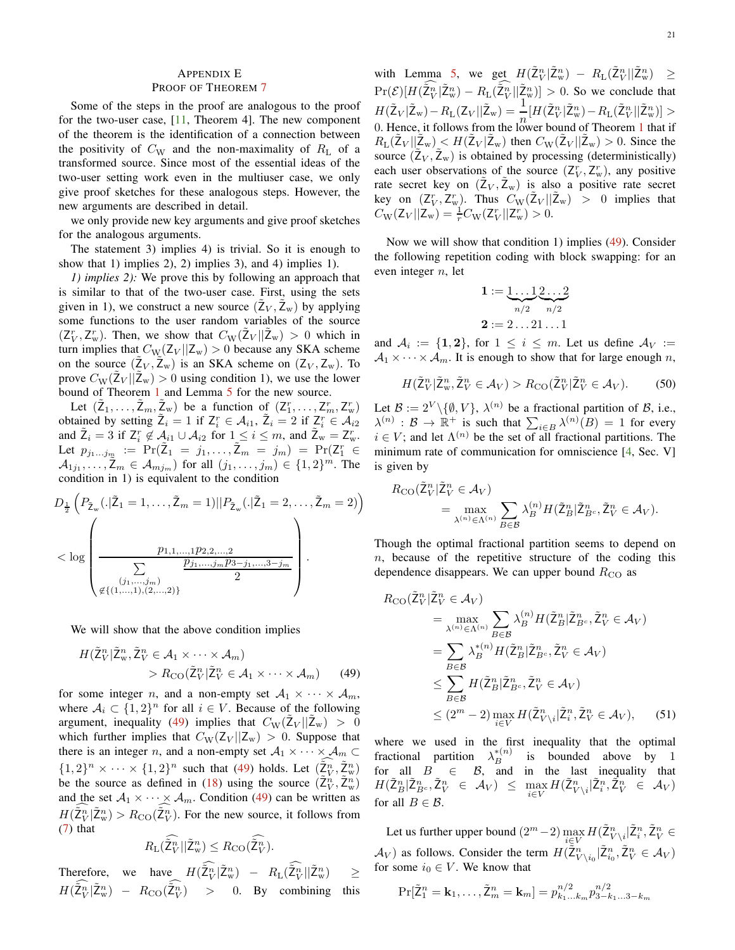# <span id="page-20-0"></span>APPENDIX E

## PROOF OF THEOREM [7](#page-9-3)

Some of the steps in the proof are analogous to the proof for the two-user case, [\[11,](#page-22-9) Theorem 4]. The new component of the theorem is the identification of a connection between the positivity of  $C_W$  and the non-maximality of  $R_L$  of a transformed source. Since most of the essential ideas of the two-user setting work even in the multiuser case, we only give proof sketches for these analogous steps. However, the new arguments are described in detail.

we only provide new key arguments and give proof sketches for the analogous arguments.

The statement 3) implies 4) is trivial. So it is enough to show that 1) implies 2), 2) implies 3), and 4) implies 1).

*1) implies 2):* We prove this by following an approach that is similar to that of the two-user case. First, using the sets given in 1), we construct a new source  $(\tilde{Z}_V, \tilde{Z}_w)$  by applying some functions to the user random variables of the source  $(Z_V^r, Z_w^r)$ . Then, we show that  $C_W(\tilde{Z}_V || \tilde{Z}_w) > 0$  which in turn implies that  $C_{\text{W}}(Z_V || Z_{\text{w}}) > 0$  because any SKA scheme on the source  $(\tilde{Z}_V, \tilde{Z}_w)$  is an SKA scheme on  $(Z_V, Z_w)$ . To prove  $C_{\text{W}}(\tilde{\mathbb{Z}}_V || \tilde{\mathbb{Z}}_{w}) > 0$  using condition 1), we use the lower bound of Theorem [1](#page-4-0) and Lemma [5](#page-9-1) for the new source.

Let  $(\tilde{Z}_1,\ldots,\tilde{Z}_m,\tilde{Z}_w)$  be a function of  $(Z_1^r,\ldots,Z_m^r,Z_w^r)$ obtained by setting  $\tilde{Z}_i = 1$  if  $Z_i^r \in A_{i1}$ ,  $\tilde{Z}_i = 2$  if  $Z_i^r \in A_{i2}$ and  $\tilde{Z}_i = 3$  if  $Z_i^r \notin A_{i1} \cup A_{i2}$  for  $1 \leq i \leq m$ , and  $\tilde{Z}_w = Z_w^r$ . Let  $p_{j_1...j_m} := \Pr(\tilde{Z}_1 = j_1,..., \tilde{Z}_m = j_m) = \Pr(Z_1^r \in$  $A_{1j_1}, \ldots, \mathbb{Z}_m \in \mathcal{A}_{mj_m}$  for all  $(j_1, \ldots, j_m) \in \{1, 2\}^m$ . The condition in 1) is equivalent to the condition

$$
D_{\frac{1}{2}}\left(P_{\tilde{Z}_{w}}(.|\tilde{Z}_{1}=1,\ldots,\tilde{Z}_{m}=1)||P_{\tilde{Z}_{w}}(.|\tilde{Z}_{1}=2,\ldots,\tilde{Z}_{m}=2)\right)
$$
  

$$
< \log \left(\frac{p_{1,1,\ldots,1}p_{2,2,\ldots,2}}{\sum_{\substack{(j_{1},\ldots,j_{m})} \neq \{((1,\ldots,1)), (2,\ldots,2)\}}} \right).
$$

We will show that the above condition implies

$$
H(\tilde{\mathbf{Z}}_V^n | \tilde{\mathbf{Z}}_w^n, \tilde{\mathbf{Z}}_V^n \in \mathcal{A}_1 \times \cdots \times \mathcal{A}_m) > R_{\text{CO}}(\tilde{\mathbf{Z}}_V^n | \tilde{\mathbf{Z}}_V^n \in \mathcal{A}_1 \times \cdots \times \mathcal{A}_m)
$$
(49)

for some integer *n*, and a non-empty set  $A_1 \times \cdots \times A_m$ , where  $A_i \subset \{1,2\}^n$  for all  $i \in V$ . Because of the following argument, inequality [\(49\)](#page-20-1) implies that  $C_{\rm W}(\tilde{Z}_{V}||\tilde{Z}_{w}) > 0$ which further implies that  $C_{\text{W}}(Z_V || Z_{\text{w}}) > 0$ . Suppose that there is an integer n, and a non-empty set  $A_1 \times \cdots \times A_m \subset$  $\{1,2\}^n \times \cdots \times \{1,2\}^n$  such that [\(49\)](#page-20-1) holds. Let  $(\tilde{Z}_V^n, \tilde{Z}_w^n)$ be the source as defined in [\(18\)](#page-9-4) using the source  $(\tilde{\mathsf{Z}}_V^n, \tilde{\mathsf{Z}}_w^n)$ and the set  $A_1 \times \cdots \times A_m$ . Condition [\(49\)](#page-20-1) can be written as  $H(\tilde{\mathcal{Z}}_V^n | \tilde{\mathcal{Z}}_W^n) > R_{\text{CO}}(\tilde{\mathcal{Z}}_V^n)$ . For the new source, it follows from [\(7\)](#page-4-7) that

$$
R_{\mathcal{L}}(\widehat{\tilde{\mathcal{Z}}_V^n}||\tilde{\mathcal{Z}}_w^n) \leq R_{\mathcal{C}(\widehat{\tilde{\mathcal{Z}}_V^n}).
$$

Therefore, we have  $H(\tilde{Z}_{V}^{n}|\tilde{Z}_{w}^{n}) - R_{L}(\tilde{Z}_{V}^{n}|\tilde{Z}_{w}^{n}) \geq$  $H(\tilde{\mathsf{Z}}_V^n | \tilde{\mathsf{Z}}_W^n) - R_{\text{CO}}(\tilde{\mathsf{Z}}_V^n) > 0$ . By combining this with Lemma [5,](#page-9-1) we get  $H(\tilde{\mathbb{Z}}_V^n | \tilde{\mathbb{Z}}_w^n) - R_L(\tilde{\mathbb{Z}}_V^n | \tilde{\mathbb{Z}}_w^n) \ge$  $\Pr(\mathcal{E})[H(\tilde{\mathsf{Z}}_V^n | \tilde{\mathsf{Z}}_w^n) - R_{\text{L}}(\tilde{\mathsf{Z}}_V^n | \tilde{\mathsf{Z}}_w^n)] > 0$ . So we conclude that  $H(\tilde{\mathsf{Z}}_V|\tilde{\mathsf{Z}}_w) - R_{\text{L}}(\mathsf{Z}_V||\tilde{\mathsf{Z}}_w) = \frac{1}{n} [H(\tilde{\mathsf{Z}}_V^n|\tilde{\mathsf{Z}}_w^n) - R_{\text{L}}(\tilde{\mathsf{Z}}_V^n||\tilde{\mathsf{Z}}_w^n)] >$ 0. Hence, it follows from the lower bound of Theorem [1](#page-4-0) that if  $R_{\text{L}}(\tilde{Z}_V || \tilde{Z}_w) \leq H(\tilde{Z}_V | \tilde{Z}_w)$  then  $C_{\text{W}}(\tilde{Z}_V || \tilde{Z}_w) > 0$ . Since the source  $(\tilde{Z}_V, \tilde{Z}_w)$  is obtained by processing (deterministically) each user observations of the source  $(Z_V^r, Z_w^r)$ , any positive rate secret key on  $(\tilde{Z}_V, \tilde{Z}_w)$  is also a positive rate secret key on  $(Z_V^r, Z_w^r)$ . Thus  $C_W(\tilde{Z}_V || \tilde{Z}_w) > 0$  implies that  $C_{\rm W}(\mathsf{Z}_{V}||\mathsf{Z}_{\rm w}) = \frac{1}{r}C_{\rm W}(\mathsf{Z}_{V}^{r}||\mathsf{Z}_{\rm w}^{r}) > 0.$ 

Now we will show that condition 1) implies [\(49\)](#page-20-1). Consider the following repetition coding with block swapping: for an even integer  $n$ , let

$$
\mathbf{1} := \underbrace{1 \dots 1}_{n/2} \underbrace{2 \dots 2}_{n/2}
$$

$$
\mathbf{2} := 2 \dots 21 \dots 1
$$

and  $A_i := \{1, 2\}$ , for  $1 \leq i \leq m$ . Let us define  $A_V :=$  $A_1 \times \cdots \times A_m$ . It is enough to show that for large enough n,

$$
H(\tilde{\mathbf{Z}}_V^n | \tilde{\mathbf{Z}}_w^n, \tilde{\mathbf{Z}}_V^n \in \mathcal{A}_V) > R_{\text{CO}}(\tilde{\mathbf{Z}}_V^n | \tilde{\mathbf{Z}}_V^n \in \mathcal{A}_V). \tag{50}
$$

Let  $\mathcal{B} := 2^V \setminus \{ \emptyset, V \}$ ,  $\lambda^{(n)}$  be a fractional partition of  $\mathcal{B}$ , i.e.,  $\lambda^{(n)} : \mathcal{B} \to \mathbb{R}^+$  is such that  $\sum_{i \in B} \lambda^{(n)}(B) = 1$  for every  $i \in V$ ; and let  $\Lambda^{(n)}$  be the set of all fractional partitions. The minimum rate of communication for omniscience [\[4](#page-22-4), Sec. V] is given by

$$
R_{\rm{CO}}(\tilde{\mathcal{I}}_V^n | \tilde{\mathcal{I}}_V^n \in \mathcal{A}_V) = \max_{\lambda^{(n)} \in \Lambda^{(n)}} \sum_{B \in \mathcal{B}} \lambda_B^{(n)} H(\tilde{\mathcal{I}}_B^n | \tilde{\mathcal{I}}_{B^c}^n, \tilde{\mathcal{I}}_V^n \in \mathcal{A}_V).
$$

Though the optimal fractional partition seems to depend on  $n$ , because of the repetitive structure of the coding this dependence disappears. We can upper bound  $R_{\rm CO}$  as

$$
R_{\rm CO}(\tilde{Z}_{V}^{n}|\tilde{Z}_{V}^{n} \in \mathcal{A}_{V})
$$
\n
$$
= \max_{\lambda^{(n)} \in \Lambda^{(n)}} \sum_{B \in \mathcal{B}} \lambda_{B}^{(n)} H(\tilde{Z}_{B}^{n}|\tilde{Z}_{B^{c}}^{n}, \tilde{Z}_{V}^{n} \in \mathcal{A}_{V})
$$
\n
$$
= \sum_{B \in \mathcal{B}} \lambda_{B}^{*(n)} H(\tilde{Z}_{B}^{n}|\tilde{Z}_{B^{c}}^{n}, \tilde{Z}_{V}^{n} \in \mathcal{A}_{V})
$$
\n
$$
\leq \sum_{B \in \mathcal{B}} H(\tilde{Z}_{B}^{n}|\tilde{Z}_{B^{c}}^{n}, \tilde{Z}_{V}^{n} \in \mathcal{A}_{V})
$$
\n
$$
\leq (2^{m} - 2) \max_{i \in V} H(\tilde{Z}_{V \setminus i}^{n}|\tilde{Z}_{i}^{n}, \tilde{Z}_{V}^{n} \in \mathcal{A}_{V}), \qquad (51)
$$

<span id="page-20-2"></span><span id="page-20-1"></span>where we used in the first inequality that the optimal fractional partition  $\lambda_B^{*(n)}$  is bounded above by 1 for all  $B_{\infty} \in B$ , and in the last inequality that  $H(\tilde{\mathsf{Z}}_B^n | \tilde{\mathsf{Z}}_{B^c}^n, \tilde{\mathsf{Z}}_V^n \in \mathcal{A}_V) \le \max_{i \in V} H(\tilde{\mathsf{Z}}_{V \setminus i}^n | \tilde{\mathsf{Z}}_i^n, \tilde{\mathsf{Z}}_V^n \in \mathcal{A}_V)$ for all  $B \in \mathcal{B}$ .

Let us further upper bound  $(2^m-2)\max\limits_{i\in V}H(\tilde{\mathsf{Z}}_{V\setminus i}^n|\tilde{\mathsf{Z}}_i^n,\tilde{\mathsf{Z}}_V^n\in$  $\mathcal{A}_V$ ) as follows. Consider the term  $H(\tilde{\mathsf{Z}}_{V\setminus i_0}^n | \tilde{\mathsf{Z}}_{i_0}^n, \tilde{\mathsf{Z}}_{V}^n \in \mathcal{A}_V)$ for some  $i_0 \in V$ . We know that

$$
\Pr[\tilde{\mathsf{Z}}_1^n = \mathbf{k}_1, \dots, \tilde{\mathsf{Z}}_m^n = \mathbf{k}_m] = p_{k_1 \dots k_m}^{n/2} p_{3-k_1 \dots 3-k_m}^{n/2}
$$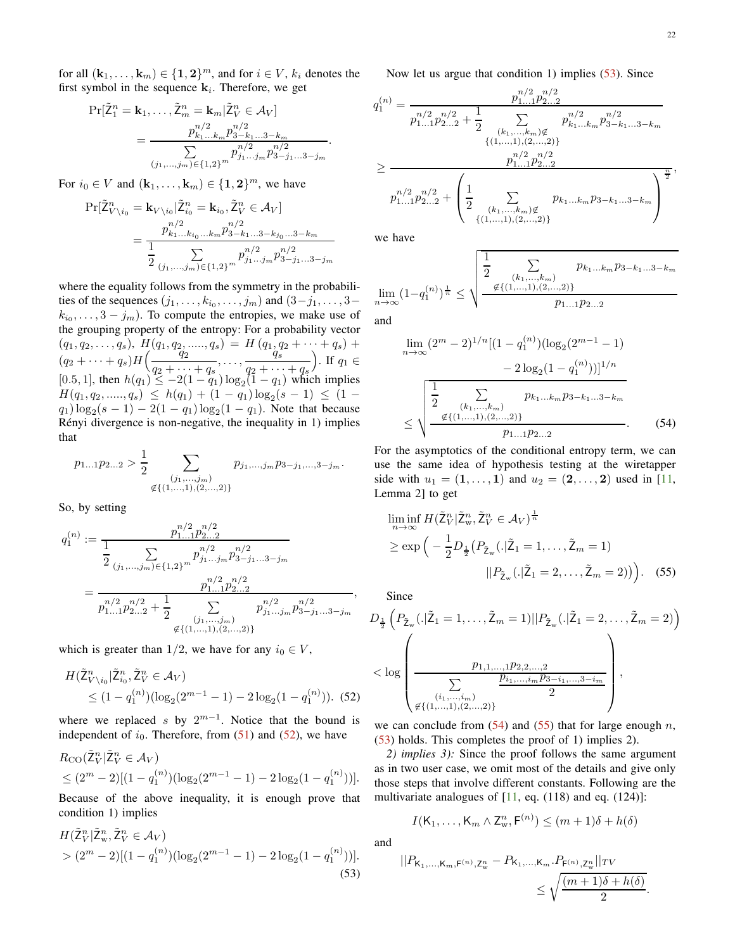for all  $(\mathbf{k}_1, \dots, \mathbf{k}_m) \in \{1, 2\}^m$ , and for  $i \in V$ ,  $k_i$  denotes the first symbol in the sequence  $\mathbf{k}_i$ . Therefore, we get

$$
Pr[\tilde{Z}_{1}^{n} = k_{1},..., \tilde{Z}_{m}^{n} = k_{m} | \tilde{Z}_{V}^{n} \in \mathcal{A}_{V}]
$$
  
= 
$$
\frac{p_{k_{1}...k_{m}}^{n/2} p_{3-k_{1}...3-k_{m}}^{n/2}}{\sum_{(j_{1},...,j_{m}) \in \{1,2\}^{m}} p_{j_{1}...j_{m}}^{n/2} p_{3-j_{1}...3-j_{m}}^{n/2}}.
$$

For  $i_0 \in V$  and  $(\mathbf{k}_1, \dots, \mathbf{k}_m) \in \{1, 2\}^m$ , we have

$$
\Pr[\tilde{\mathsf{Z}}_{V \setminus i_0}^n = \mathbf{k}_{V \setminus i_0} | \tilde{\mathsf{Z}}_{i_0}^n = \mathbf{k}_{i_0}, \tilde{\mathsf{Z}}_{V}^n \in \mathcal{A}_{V}]
$$
\n
$$
= \frac{p_{k_1...k_{i_0}...k_m}^{n/2} p_{3-k_1...3-k_{j_0}...3-k_m}^{n/2}}{\frac{1}{2} \sum_{(j_1,...,j_m) \in \{1,2\}^m} p_{j_1...j_m}^{n/2} p_{3-j_1...3-j_m}^{n/2}}
$$

where the equality follows from the symmetry in the probabilities of the sequences  $(j_1, \ldots, k_{i_0}, \ldots, j_m)$  and  $(3 - j_1, \ldots, 3 - j_m)$  $k_{i_0}, \ldots, 3 - j_m$ ). To compute the entropies, we make use of the grouping property of the entropy: For a probability vector  $(q_1, q_2, \ldots, q_s), H(q_1, q_2, \ldots, q_s) = H(q_1, q_2 + \cdots + q_s) +$  $(q_2 + \cdots + q_s)H\left(\frac{q_1}{q_2 + \cdots} \right)$  $\frac{q_2}{q_2 + \cdots + q_s}, \ldots, \frac{q_1}{q_2 + \cdots}$  $q_2 + \cdots + q_s$ ). If  $q_1 \in$ [0.5, 1], then  $h(q_1) \le -2(1 - q_1) \log_2(1 - q_1)$  which implies  $H(q_1, q_2, \ldots, q_s) \leq h(q_1) + (1 - q_1) \log_2(s - 1) \leq (1$  $q_1) \log_2(s-1) - 2(1-q_1) \log_2(1-q_1)$ . Note that because Rényi divergence is non-negative, the inequality in 1) implies that

$$
p_{1...1}p_{2...2} > \frac{1}{2} \sum_{\substack{(j_1,...,j_m) \\ \notin \{(1,...,1),(2,...,2)\}}} p_{j_1,...,j_m}p_{3-j_1,...,3-j_m}.
$$

So, by setting

$$
q_1^{(n)} := \frac{p_{1...1}^{n/2} p_{2...2}^{n/2}}{\frac{1}{2} \sum_{(j_1,...,j_m) \in \{1,2\}^m} p_{j_1...j_m}^{n/2} p_{3-j_1...3-j_m}^{n/2}} = \frac{p_{1...1}^{n/2} p_{2...2}^{n/2}}{p_{1...1}^{n/2} p_{2...2}^{n/2} + \frac{1}{2} \sum_{(j_1,...,j_m)} p_{j_1...j_m}^{n/2} p_{3-j_1...3-j_m}^{n/2}},
$$
\n
$$
\notin \{(1,...,1),(2,...,2)\}
$$

which is greater than 1/2, we have for any  $i_0 \in V$ ,

$$
H(\tilde{Z}_{V\setminus i_0}^n | \tilde{Z}_{i_0}^n, \tilde{Z}_{V}^n \in \mathcal{A}_{V})
$$
  
 
$$
\leq (1 - q_1^{(n)}) (\log_2(2^{m-1} - 1) - 2 \log_2(1 - q_1^{(n)})).
$$
 (52)

where we replaced s by  $2^{m-1}$ . Notice that the bound is independent of  $i_0$ . Therefore, from [\(51\)](#page-20-2) and [\(52\)](#page-21-0), we have

$$
R_{\rm CO}(\tilde{\mathbf{Z}}_V^n | \tilde{\mathbf{Z}}_V^n \in \mathcal{A}_V)
$$
  
\n
$$
\leq (2^m - 2)[(1 - q_1^{(n)}) (\log_2(2^{m-1} - 1) - 2 \log_2(1 - q_1^{(n)}))].
$$

Because of the above inequality, it is enough prove that condition 1) implies

$$
H(\tilde{Z}_V^n | \tilde{Z}_W^n, \tilde{Z}_V^n \in \mathcal{A}_V)
$$
  
>  $(2^m - 2)[(1 - q_1^{(n)}) (\log_2(2^{m-1} - 1) - 2 \log_2(1 - q_1^{(n)}))].$  (53)

Now let us argue that condition 1) implies  $(53)$ . Since

$$
q_1^{(n)} = \frac{p_{1...1}^{n/2} p_{2...2}^{n/2}}{p_{1...1}^{n/2} p_{2...2}^{n/2} + \frac{1}{2} \sum_{\substack{(k_1, ..., k_m) \notin\\{(1, ..., 1), (2, ..., 2)\}}} p_{k_1...k_m}^{n/2} p_{3-k_1...3-k_m}^{n/2}}}{\sum_{\substack{p_{1...1}^{n/2} p_{2...2}^{n/2}\\p_{1...1}^{n/2} p_{2...2}^{n/2}}} p_{k_1...k_m}^{n/2} p_{3-k_1...3-k_m}^{n/2}} \sum_{\substack{\overline{n} \in \{1, ..., k_m\} \text{ is the number of times }\\{(k_1, ..., k_m) \notin \{1, ..., k_m\} \} \text{ is the number of times }\\{(1, ..., 1), (2, ..., 2)\}}} \frac{p_{k_1...k_m} p_{3-k_1...3-k_m}}{p_{k_1...k_m} p_{3-k_1...3-k_m}}
$$

we have

$$
\lim_{n \to \infty} (1 - q_1^{(n)})^{\frac{1}{n}} \le \sqrt{\frac{\frac{1}{2} \sum_{\substack{(k_1, \ldots, k_m) \\ \text{#}\{ (1, \ldots, 1), (2, \ldots, 2) \} \\ P1 \ldots 1 P2 \ldots 2}} p_{k_1 \ldots k_m} p_{3-k_1 \ldots 3-k_m}}
$$

and

<span id="page-21-2"></span>
$$
\lim_{n \to \infty} (2^m - 2)^{1/n} [(1 - q_1^{(n)}) (\log_2 (2^{m-1} - 1) - 2 \log_2 (1 - q_1^{(n)}))]^{1/n}
$$

$$
\leq \sqrt{\frac{\frac{1}{2} \sum_{\substack{(k_1, \ldots, k_m) \\ \text{if } (1, \ldots, 1), (2, \ldots, 2) \} }} p_{k_1 \ldots k_m} p_{3-k_1 \ldots 3-k_m}}
$$
(54)

For the asymptotics of the conditional entropy term, we can use the same idea of hypothesis testing at the wiretapper side with  $u_1 = (1, \ldots, 1)$  and  $u_2 = (2, \ldots, 2)$  used in [\[11,](#page-22-9) Lemma 2] to get

<span id="page-21-3"></span>
$$
\liminf_{n \to \infty} H(\tilde{\mathbf{Z}}_V^n | \tilde{\mathbf{Z}}_W^n, \tilde{\mathbf{Z}}_V^n \in \mathcal{A}_V)^{\frac{1}{n}} \ge \exp\left(-\frac{1}{2}D_{\frac{1}{2}}(P_{\tilde{\mathbf{Z}}_W}(.|\tilde{\mathbf{Z}}_1 = 1, \dots, \tilde{\mathbf{Z}}_m = 1) \right)
$$
\n
$$
||P_{\tilde{\mathbf{Z}}_W}(.|\tilde{\mathbf{Z}}_1 = 2, \dots, \tilde{\mathbf{Z}}_m = 2))\Big).
$$
\n(55)

Since

$$
D_{\frac{1}{2}}\left(P_{\tilde{Z}_{w}}(.|\tilde{Z}_{1}=1,\ldots,\tilde{Z}_{m}=1)||P_{\tilde{Z}_{w}}(.|\tilde{Z}_{1}=2,\ldots,\tilde{Z}_{m}=2)\right)
$$
  

$$
< \log \left(\frac{p_{1,1,\ldots,1}p_{2,2,\ldots,2}}{\sum_{\substack{(i_{1},\ldots,i_{m})} \in \{(i_{1},\ldots,i_{m})\} \\ \text{if } \{(i_{1},\ldots,i_{m})\} }} \right),
$$

<span id="page-21-0"></span>we can conclude from  $(54)$  and  $(55)$  that for large enough n, [\(53\)](#page-21-1) holds. This completes the proof of 1) implies 2).

*2) implies 3):* Since the proof follows the same argument as in two user case, we omit most of the details and give only those steps that involve different constants. Following are the multivariate analogues of  $[11, eq. (118)$  $[11, eq. (118)$  and eq.  $(124)$ ]:

$$
I(K_1,\ldots,K_m \wedge Z_w^n,\mathsf{F}^{(n)}) \leq (m+1)\delta + h(\delta)
$$

<span id="page-21-1"></span>and

$$
||P_{K_1,...,K_m,\mathsf{F}^{(n)},\mathsf{Z}_w^n} - P_{K_1,...,K_m} . P_{\mathsf{F}^{(n)},\mathsf{Z}_w^n} ||_{TV}
$$
  

$$
\leq \sqrt{\frac{(m+1)\delta + h(\delta)}{2}}.
$$